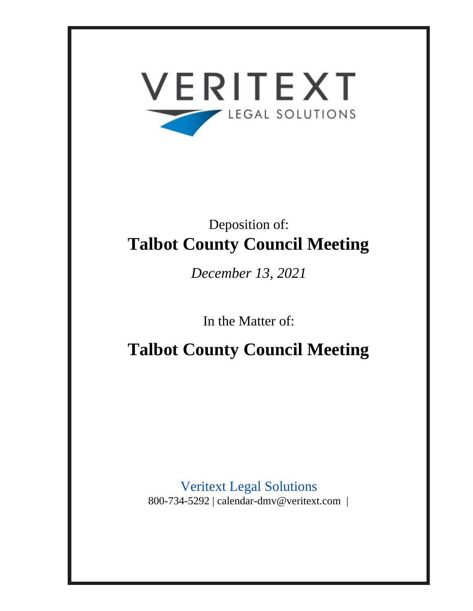

# Deposition of: **Talbot County Council Meeting**

*December 13, 2021*

In the Matter of:

**Talbot County Council Meeting**

Veritext Legal Solutions 800-734-5292 | calendar-dmv@veritext.com |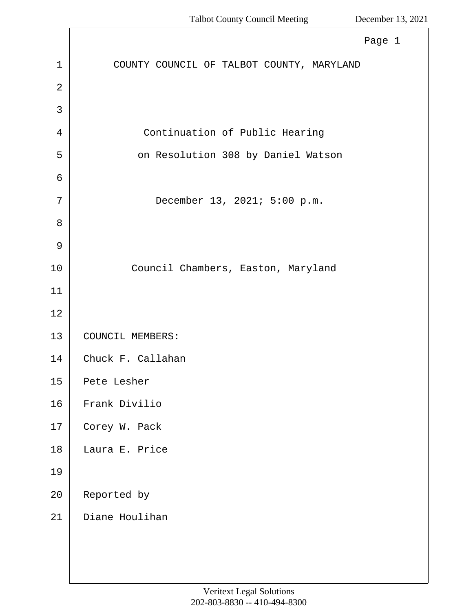<span id="page-1-0"></span>

|                | Page 1                                    |
|----------------|-------------------------------------------|
| $\mathbf 1$    | COUNTY COUNCIL OF TALBOT COUNTY, MARYLAND |
| $\overline{2}$ |                                           |
| 3              |                                           |
| 4              | Continuation of Public Hearing            |
| 5              | on Resolution 308 by Daniel Watson        |
| 6              |                                           |
| 7              | December 13, 2021; 5:00 p.m.              |
| 8              |                                           |
| 9              |                                           |
| 10             | Council Chambers, Easton, Maryland        |
| 11             |                                           |
| 12             |                                           |
| 13             | COUNCIL MEMBERS:                          |
| 14             | Chuck F. Callahan                         |
| 15             | Pete Lesher                               |
| 16             | Frank Divilio                             |
| 17             | Corey W. Pack                             |
| 18             | Laura E. Price                            |
| 19             |                                           |
| 20             | Reported by                               |
| 21             | Diane Houlihan                            |
|                |                                           |
|                |                                           |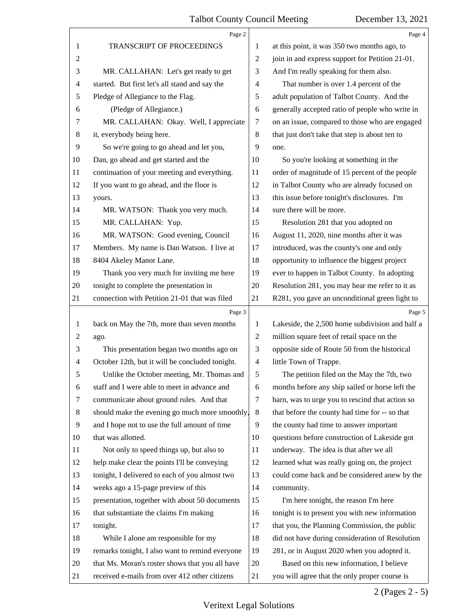<span id="page-2-0"></span>

|                | Page 2                                          |                | Page 4                                          |
|----------------|-------------------------------------------------|----------------|-------------------------------------------------|
| 1              | TRANSCRIPT OF PROCEEDINGS                       | 1              | at this point, it was 350 two months ago, to    |
| $\sqrt{2}$     |                                                 | $\overline{c}$ | join in and express support for Petition 21-01. |
| 3              | MR. CALLAHAN: Let's get ready to get            | 3              | And I'm really speaking for them also.          |
| $\overline{4}$ | started. But first let's all stand and say the  | 4              | That number is over 1.4 percent of the          |
| 5              | Pledge of Allegiance to the Flag.               | 5              | adult population of Talbot County. And the      |
| 6              | (Pledge of Allegiance.)                         | 6              | generally accepted ratio of people who write in |
| 7              | MR. CALLAHAN: Okay. Well, I appreciate          | $\tau$         | on an issue, compared to those who are engaged  |
| 8              | it, everybody being here.                       | $\,8\,$        | that just don't take that step is about ten to  |
| 9              | So we're going to go ahead and let you,         | 9              | one.                                            |
| 10             | Dan, go ahead and get started and the           | 10             | So you're looking at something in the           |
| 11             | continuation of your meeting and everything.    | 11             | order of magnitude of 15 percent of the people  |
| 12             | If you want to go ahead, and the floor is       | 12             | in Talbot County who are already focused on     |
| 13             | yours.                                          | 13             | this issue before tonight's disclosures. I'm    |
| 14             | MR. WATSON: Thank you very much.                | 14             | sure there will be more.                        |
| 15             | MR. CALLAHAN: Yup.                              | 15             | Resolution 281 that you adopted on              |
| 16             | MR. WATSON: Good evening, Council               | 16             | August 11, 2020, nine months after it was       |
| 17             | Members. My name is Dan Watson. I live at       | 17             | introduced, was the county's one and only       |
| 18             | 8404 Akeley Manor Lane.                         | 18             | opportunity to influence the biggest project    |
| 19             | Thank you very much for inviting me here        | 19             | ever to happen in Talbot County. In adopting    |
| 20             | tonight to complete the presentation in         | 20             | Resolution 281, you may hear me refer to it as  |
| 21             | connection with Petition 21-01 that was filed   | 21             | R281, you gave an unconditional green light to  |
|                |                                                 |                |                                                 |
|                | Page 3                                          |                | Page 5                                          |
| $\mathbf{1}$   | back on May the 7th, more than seven months     | 1              | Lakeside, the 2,500 home subdivision and half a |
| $\overline{c}$ | ago.                                            | $\overline{c}$ | million square feet of retail space on the      |
| 3              | This presentation began two months ago on       | 3              | opposite side of Route 50 from the historical   |
| $\overline{4}$ | October 12th, but it will be concluded tonight. | $\overline{4}$ | little Town of Trappe.                          |
| 5              | Unlike the October meeting, Mr. Thomas and      | 5              | The petition filed on the May the 7th, two      |
| 6              | staff and I were able to meet in advance and    | 6              | months before any ship sailed or horse left the |
| 7              | communicate about ground rules. And that        | 7              | barn, was to urge you to rescind that action so |
| 8              | should make the evening go much more smoothly,  | 8              | that before the county had time for -- so that  |
| 9              | and I hope not to use the full amount of time   | 9              | the county had time to answer important         |
| 10             | that was allotted.                              | 10             | questions before construction of Lakeside got   |
| 11             | Not only to speed things up, but also to        | 11             | underway. The idea is that after we all         |
| 12             | help make clear the points I'll be conveying    | 12             | learned what was really going on, the project   |
| 13             | tonight, I delivered to each of you almost two  | 13             | could come back and be considered anew by the   |
| 14             | weeks ago a 15-page preview of this             | 14             | community.                                      |
| 15             | presentation, together with about 50 documents  | 15             | I'm here tonight, the reason I'm here           |
| 16             | that substantiate the claims I'm making         | 16             | tonight is to present you with new information  |
| 17             | tonight.                                        | 17             | that you, the Planning Commission, the public   |
| 18             | While I alone am responsible for my             | 18             | did not have during consideration of Resolution |
| 19             | remarks tonight, I also want to remind everyone | 19             | 281, or in August 2020 when you adopted it.     |
| 20             | that Ms. Moran's roster shows that you all have | 20             | Based on this new information, I believe        |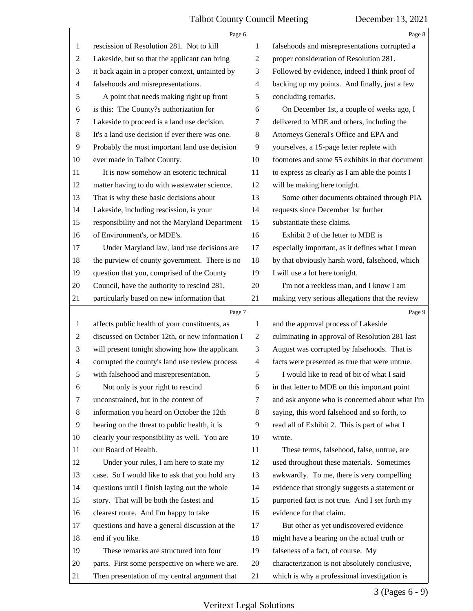<span id="page-3-0"></span>

|                | Page 6                                          |                | Page 8                                          |
|----------------|-------------------------------------------------|----------------|-------------------------------------------------|
| 1              | rescission of Resolution 281. Not to kill       | 1              | falsehoods and misrepresentations corrupted a   |
| 2              | Lakeside, but so that the applicant can bring   | $\overline{c}$ | proper consideration of Resolution 281.         |
| 3              | it back again in a proper context, untainted by | 3              | Followed by evidence, indeed I think proof of   |
| 4              | falsehoods and misrepresentations.              | $\overline{4}$ | backing up my points. And finally, just a few   |
| 5              | A point that needs making right up front        | 5              | concluding remarks.                             |
| 6              | is this: The County?s authorization for         | 6              | On December 1st, a couple of weeks ago, I       |
| 7              | Lakeside to proceed is a land use decision.     | 7              | delivered to MDE and others, including the      |
| $\,8\,$        | It's a land use decision if ever there was one. | 8              | Attorneys General's Office and EPA and          |
| 9              | Probably the most important land use decision   | 9              | yourselves, a 15-page letter replete with       |
| 10             | ever made in Talbot County.                     | 10             | footnotes and some 55 exhibits in that document |
| 11             | It is now somehow an esoteric technical         | 11             | to express as clearly as I am able the points I |
| 12             | matter having to do with wastewater science.    | 12             | will be making here tonight.                    |
| 13             | That is why these basic decisions about         | 13             | Some other documents obtained through PIA       |
| 14             | Lakeside, including rescission, is your         | 14             | requests since December 1st further             |
| 15             | responsibility and not the Maryland Department  | 15             | substantiate these claims.                      |
| 16             | of Environment's, or MDE's.                     | 16             | Exhibit 2 of the letter to MDE is               |
| 17             | Under Maryland law, land use decisions are      | 17             | especially important, as it defines what I mean |
| 18             | the purview of county government. There is no   | 18             | by that obviously harsh word, falsehood, which  |
| 19             | question that you, comprised of the County      | 19             | I will use a lot here tonight.                  |
| 20             | Council, have the authority to rescind 281,     | 20             | I'm not a reckless man, and I know I am         |
| 21             | particularly based on new information that      | 21             | making very serious allegations that the review |
|                |                                                 |                |                                                 |
|                | Page 7                                          |                | Page 9                                          |
| 1              | affects public health of your constituents, as  | $\mathbf{1}$   | and the approval process of Lakeside            |
| 2              | discussed on October 12th, or new information I | $\overline{2}$ | culminating in approval of Resolution 281 last  |
| 3              | will present tonight showing how the applicant  | 3              | August was corrupted by falsehoods. That is     |
| $\overline{4}$ | corrupted the county's land use review process  | $\overline{4}$ | facts were presented as true that were untrue.  |
| 5              | with falsehood and misrepresentation.           | 5              | I would like to read of bit of what I said      |
| 6              | Not only is your right to rescind               | 6              | in that letter to MDE on this important point   |
| 7              | unconstrained, but in the context of            | 7              | and ask anyone who is concerned about what I'm  |
| 8              | information you heard on October the 12th       | 8              | saying, this word falsehood and so forth, to    |
| 9              | bearing on the threat to public health, it is   | 9              | read all of Exhibit 2. This is part of what I   |
| 10             | clearly your responsibility as well. You are    | 10             | wrote.                                          |
| 11             | our Board of Health.                            | 11             | These terms, falsehood, false, untrue, are      |
| 12             | Under your rules, I am here to state my         | 12             | used throughout these materials. Sometimes      |
| 13             | case. So I would like to ask that you hold any  | 13             | awkwardly. To me, there is very compelling      |
| 14             | questions until I finish laying out the whole   | 14             | evidence that strongly suggests a statement or  |
| 15             | story. That will be both the fastest and        | 15             | purported fact is not true. And I set forth my  |
| 16             | clearest route. And I'm happy to take           | 16             | evidence for that claim.                        |
| 17             | questions and have a general discussion at the  | 17             | But other as yet undiscovered evidence          |
| 18             | end if you like.                                | 18             | might have a bearing on the actual truth or     |
| 19             | These remarks are structured into four          | 19             | falseness of a fact, of course. My              |
| 20             | parts. First some perspective on where we are.  | 20             | characterization is not absolutely conclusive,  |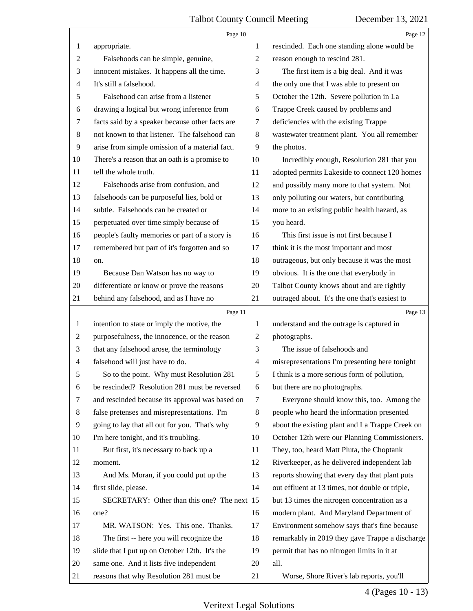<span id="page-4-0"></span>

|                | Page 10                                         |                          | Page 12                                         |
|----------------|-------------------------------------------------|--------------------------|-------------------------------------------------|
| 1              | appropriate.                                    | 1                        | rescinded. Each one standing alone would be     |
| $\overline{c}$ | Falsehoods can be simple, genuine,              | $\overline{2}$           | reason enough to rescind 281.                   |
| 3              | innocent mistakes. It happens all the time.     | 3                        | The first item is a big deal. And it was        |
| $\overline{4}$ | It's still a falsehood.                         | $\overline{\mathcal{A}}$ | the only one that I was able to present on      |
| 5              | Falsehood can arise from a listener             | 5                        | October the 12th. Severe pollution in La        |
| 6              | drawing a logical but wrong inference from      | 6                        | Trappe Creek caused by problems and             |
| 7              | facts said by a speaker because other facts are | $\tau$                   | deficiencies with the existing Trappe           |
| $\,8\,$        | not known to that listener. The falsehood can   | 8                        | wastewater treatment plant. You all remember    |
| 9              | arise from simple omission of a material fact.  | 9                        | the photos.                                     |
| 10             | There's a reason that an oath is a promise to   | 10                       | Incredibly enough, Resolution 281 that you      |
| 11             | tell the whole truth.                           | 11                       | adopted permits Lakeside to connect 120 homes   |
| 12             | Falsehoods arise from confusion, and            | 12                       | and possibly many more to that system. Not      |
| 13             | falsehoods can be purposeful lies, bold or      | 13                       | only polluting our waters, but contributing     |
| 14             | subtle. Falsehoods can be created or            | 14                       | more to an existing public health hazard, as    |
| 15             | perpetuated over time simply because of         | 15                       | you heard.                                      |
| 16             | people's faulty memories or part of a story is  | 16                       | This first issue is not first because I         |
| 17             | remembered but part of it's forgotten and so    | 17                       | think it is the most important and most         |
| 18             | on.                                             | 18                       | outrageous, but only because it was the most    |
| 19             | Because Dan Watson has no way to                | 19                       | obvious. It is the one that everybody in        |
| 20             | differentiate or know or prove the reasons      | 20                       | Talbot County knows about and are rightly       |
| 21             | behind any falsehood, and as I have no          | 21                       | outraged about. It's the one that's easiest to  |
|                |                                                 |                          |                                                 |
|                | Page 11                                         |                          | Page 13                                         |
| $\mathbf{1}$   | intention to state or imply the motive, the     | 1                        | understand and the outrage is captured in       |
| $\overline{c}$ | purposefulness, the innocence, or the reason    | $\overline{c}$           | photographs.                                    |
| 3              | that any falsehood arose, the terminology       | 3                        | The issue of falsehoods and                     |
| $\overline{4}$ | falsehood will just have to do.                 | $\overline{4}$           | misrepresentations I'm presenting here tonight  |
| 5              | So to the point. Why must Resolution 281        | 5                        | I think is a more serious form of pollution,    |
| 6              | be rescinded? Resolution 281 must be reversed   | 6                        | but there are no photographs.                   |
| 7              | and rescinded because its approval was based on | 7                        | Everyone should know this, too. Among the       |
| 8              | false pretenses and misrepresentations. I'm     | 8                        | people who heard the information presented      |
| 9              | going to lay that all out for you. That's why   | 9                        | about the existing plant and La Trappe Creek on |
| 10             | I'm here tonight, and it's troubling.           | 10                       | October 12th were our Planning Commissioners.   |
| 11             | But first, it's necessary to back up a          | 11                       | They, too, heard Matt Pluta, the Choptank       |
| 12             | moment.                                         | 12                       | Riverkeeper, as he delivered independent lab    |
| 13             | And Ms. Moran, if you could put up the          | 13                       | reports showing that every day that plant puts  |
| 14             | first slide, please.                            | 14                       | out effluent at 13 times, not double or triple, |
| 15             | SECRETARY: Other than this one? The next        | 15                       | but 13 times the nitrogen concentration as a    |
| 16             | one?                                            | 16                       | modern plant. And Maryland Department of        |
| 17             | MR. WATSON: Yes. This one. Thanks.              | 17                       | Environment somehow says that's fine because    |
| 18             | The first -- here you will recognize the        | 18                       | remarkably in 2019 they gave Trappe a discharge |
| 19             | slide that I put up on October 12th. It's the   | 19                       | permit that has no nitrogen limits in it at     |
| 20             | same one. And it lists five independent         | 20                       | all.                                            |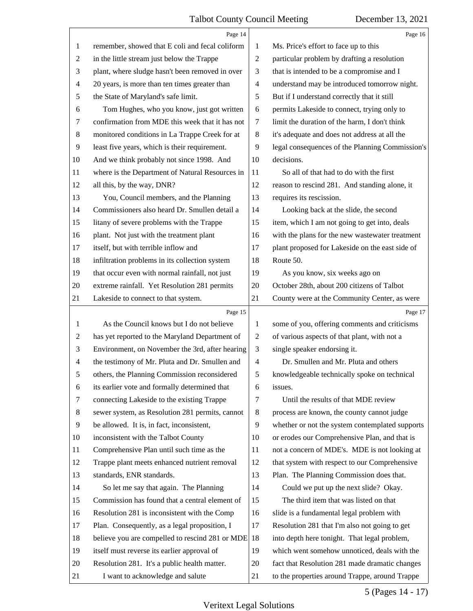<span id="page-5-0"></span>

|                | Page 14                                         |                | Page 16                                         |
|----------------|-------------------------------------------------|----------------|-------------------------------------------------|
| $\mathbf{1}$   | remember, showed that E coli and fecal coliform | 1              | Ms. Price's effort to face up to this           |
| $\overline{c}$ | in the little stream just below the Trappe      | $\mathfrak{2}$ | particular problem by drafting a resolution     |
| 3              | plant, where sludge hasn't been removed in over | 3              | that is intended to be a compromise and I       |
| 4              | 20 years, is more than ten times greater than   | $\overline{4}$ | understand may be introduced tomorrow night.    |
| 5              | the State of Maryland's safe limit.             | 5              | But if I understand correctly that it still     |
| 6              | Tom Hughes, who you know, just got written      | 6              | permits Lakeside to connect, trying only to     |
| 7              | confirmation from MDE this week that it has not | 7              | limit the duration of the harm, I don't think   |
| $\,8\,$        | monitored conditions in La Trappe Creek for at  | 8              | it's adequate and does not address at all the   |
| 9              | least five years, which is their requirement.   | 9              | legal consequences of the Planning Commission's |
| 10             | And we think probably not since 1998. And       | 10             | decisions.                                      |
| 11             | where is the Department of Natural Resources in | 11             | So all of that had to do with the first         |
| 12             | all this, by the way, DNR?                      | 12             | reason to rescind 281. And standing alone, it   |
| 13             | You, Council members, and the Planning          | 13             | requires its rescission.                        |
| 14             | Commissioners also heard Dr. Smullen detail a   | 14             | Looking back at the slide, the second           |
| 15             | litany of severe problems with the Trappe       | 15             | item, which I am not going to get into, deals   |
| 16             | plant. Not just with the treatment plant        | 16             | with the plans for the new wastewater treatment |
| 17             | itself, but with terrible inflow and            | 17             | plant proposed for Lakeside on the east side of |
| 18             | infiltration problems in its collection system  | 18             | Route 50.                                       |
| 19             | that occur even with normal rainfall, not just  | 19             | As you know, six weeks ago on                   |
| 20             | extreme rainfall. Yet Resolution 281 permits    | 20             | October 28th, about 200 citizens of Talbot      |
| 21             | Lakeside to connect to that system.             | 21             | County were at the Community Center, as were    |
|                | Page 15                                         |                | Page 17                                         |
| $\mathbf{1}$   | As the Council knows but I do not believe       | 1              | some of you, offering comments and criticisms   |
| 2              | has yet reported to the Maryland Department of  | $\overline{2}$ | of various aspects of that plant, with not a    |
| 3              | Environment, on November the 3rd, after hearing | 3              | single speaker endorsing it.                    |
| $\overline{4}$ | the testimony of Mr. Pluta and Dr. Smullen and  | $\overline{4}$ | Dr. Smullen and Mr. Pluta and others            |
| 5              | others, the Planning Commission reconsidered    | 5              | knowledgeable technically spoke on technical    |
| 6              | its earlier vote and formally determined that   | 6              | issues.                                         |
| 7              | connecting Lakeside to the existing Trappe      | 7              | Until the results of that MDE review            |
| $\,8\,$        | sewer system, as Resolution 281 permits, cannot | 8              | process are known, the county cannot judge      |
| 9              | be allowed. It is, in fact, inconsistent,       | 9              | whether or not the system contemplated supports |
| 10             | inconsistent with the Talbot County             | 10             | or erodes our Comprehensive Plan, and that is   |
| 11             | Comprehensive Plan until such time as the       | 11             | not a concern of MDE's. MDE is not looking at   |
| 12             | Trappe plant meets enhanced nutrient removal    | 12             | that system with respect to our Comprehensive   |
| 13             | standards, ENR standards.                       | 13             | Plan. The Planning Commission does that.        |
| 14             | So let me say that again. The Planning          | 14             | Could we put up the next slide? Okay.           |
| 15             | Commission has found that a central element of  | 15             | The third item that was listed on that          |
| 16             | Resolution 281 is inconsistent with the Comp    | 16             | slide is a fundamental legal problem with       |
| 17             | Plan. Consequently, as a legal proposition, I   | 17             | Resolution 281 that I'm also not going to get   |
| 18             | believe you are compelled to rescind 281 or MDE | 18             | into depth here tonight. That legal problem,    |
| 19             | itself must reverse its earlier approval of     | 19             | which went somehow unnoticed, deals with the    |
| 20             |                                                 | 20             | fact that Resolution 281 made dramatic changes  |
|                | Resolution 281. It's a public health matter.    |                |                                                 |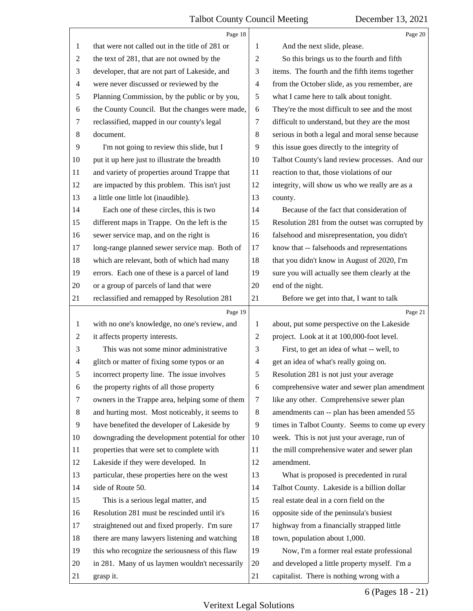<span id="page-6-0"></span>

|                | Page 18                                         |                          | Page 20                                         |
|----------------|-------------------------------------------------|--------------------------|-------------------------------------------------|
| 1              | that were not called out in the title of 281 or | 1                        | And the next slide, please.                     |
| 2              | the text of 281, that are not owned by the      | 2                        | So this brings us to the fourth and fifth       |
| 3              | developer, that are not part of Lakeside, and   | 3                        | items. The fourth and the fifth items together  |
| $\overline{4}$ | were never discussed or reviewed by the         | $\overline{4}$           | from the October slide, as you remember, are    |
| 5              | Planning Commission, by the public or by you,   | 5                        | what I came here to talk about tonight.         |
| 6              | the County Council. But the changes were made,  | 6                        | They're the most difficult to see and the most  |
| 7              | reclassified, mapped in our county's legal      | $\tau$                   | difficult to understand, but they are the most  |
| 8              | document.                                       | 8                        | serious in both a legal and moral sense because |
| 9              | I'm not going to review this slide, but I       | 9                        | this issue goes directly to the integrity of    |
| 10             | put it up here just to illustrate the breadth   | 10                       | Talbot County's land review processes. And our  |
| 11             | and variety of properties around Trappe that    | 11                       | reaction to that, those violations of our       |
| 12             | are impacted by this problem. This isn't just   | 12                       | integrity, will show us who we really are as a  |
| 13             | a little one little lot (inaudible).            | 13                       | county.                                         |
| 14             | Each one of these circles, this is two          | 14                       | Because of the fact that consideration of       |
| 15             | different maps in Trappe. On the left is the    | 15                       | Resolution 281 from the outset was corrupted by |
| 16             | sewer service map, and on the right is          | 16                       | falsehood and misrepresentation, you didn't     |
| 17             | long-range planned sewer service map. Both of   | 17                       | know that -- falsehoods and representations     |
| 18             | which are relevant, both of which had many      | 18                       | that you didn't know in August of 2020, I'm     |
| 19             | errors. Each one of these is a parcel of land   | 19                       | sure you will actually see them clearly at the  |
| 20             | or a group of parcels of land that were         | 20                       | end of the night.                               |
| 21             | reclassified and remapped by Resolution 281     | 21                       | Before we get into that, I want to talk         |
|                |                                                 |                          |                                                 |
|                | Page 19                                         |                          | Page 21                                         |
| 1              | with no one's knowledge, no one's review, and   | 1                        | about, put some perspective on the Lakeside     |
| $\overline{c}$ | it affects property interests.                  | $\sqrt{2}$               | project. Look at it at 100,000-foot level.      |
| 3              | This was not some minor administrative          | 3                        | First, to get an idea of what -- well, to       |
| 4              | glitch or matter of fixing some typos or an     | $\overline{\mathcal{A}}$ | get an idea of what's really going on.          |
| 5              | incorrect property line. The issue involves     | 5                        | Resolution 281 is not just your average         |
| 6              | the property rights of all those property       | 6                        | comprehensive water and sewer plan amendment    |
| 7              | owners in the Trappe area, helping some of them | $\tau$                   | like any other. Comprehensive sewer plan        |
| 8              | and hurting most. Most noticeably, it seems to  | 8                        | amendments can -- plan has been amended 55      |
| 9              | have benefited the developer of Lakeside by     | 9                        | times in Talbot County. Seems to come up every  |
| 10             | downgrading the development potential for other | 10                       | week. This is not just your average, run of     |
| 11             | properties that were set to complete with       | 11                       | the mill comprehensive water and sewer plan     |
| 12             | Lakeside if they were developed. In             | 12                       | amendment.                                      |
| 13             | particular, these properties here on the west   | 13                       | What is proposed is precedented in rural        |
| 14             | side of Route 50.                               | 14                       | Talbot County. Lakeside is a billion dollar     |
| 15             | This is a serious legal matter, and             | 15                       | real estate deal in a corn field on the         |
| 16             | Resolution 281 must be rescinded until it's     | 16                       | opposite side of the peninsula's busiest        |
| 17             | straightened out and fixed properly. I'm sure   | 17                       | highway from a financially strapped little      |
| 18             | there are many lawyers listening and watching   | 18                       | town, population about 1,000.                   |
| 19             | this who recognize the seriousness of this flaw | 19                       | Now, I'm a former real estate professional      |
| 20             | in 281. Many of us laymen wouldn't necessarily  | 20                       | and developed a little property myself. I'm a   |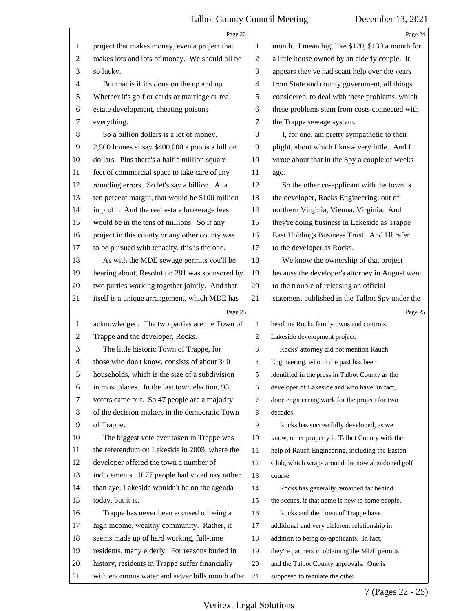<span id="page-7-0"></span>

|                | Page 22                                         |                | Page 24                                          |
|----------------|-------------------------------------------------|----------------|--------------------------------------------------|
| 1              | project that makes money, even a project that   | 1              | month. I mean big, like \$120, \$130 a month for |
| $\overline{c}$ | makes lots and lots of money. We should all be  | $\sqrt{2}$     | a little house owned by an elderly couple. It    |
| 3              | so lucky.                                       | 3              | appears they've had scant help over the years    |
| 4              | But that is if it's done on the up and up.      | 4              | from State and county government, all things     |
| 5              | Whether it's golf or cards or marriage or real  | 5              | considered, to deal with these problems, which   |
| 6              | estate development, cheating poisons            | 6              | these problems stem from costs connected with    |
| 7              | everything.                                     | 7              | the Trappe sewage system.                        |
| 8              | So a billion dollars is a lot of money.         | 8              | I, for one, am pretty sympathetic to their       |
| 9              | 2,500 homes at say \$400,000 a pop is a billion | 9              | plight, about which I knew very little. And I    |
| 10             | dollars. Plus there's a half a million square   | 10             | wrote about that in the Spy a couple of weeks    |
| 11             | feet of commercial space to take care of any    | 11             | ago.                                             |
| 12             | rounding errors. So let's say a billion. At a   | 12             | So the other co-applicant with the town is       |
| 13             | ten percent margin, that would be \$100 million | 13             | the developer, Rocks Engineering, out of         |
| 14             | in profit. And the real estate brokerage fees   | 14             | northern Virginia, Vienna, Virginia. And         |
| 15             | would be in the tens of millions. So if any     | 15             | they're doing business in Lakeside as Trappe     |
| 16             | project in this county or any other county was  | 16             | East Holdings Business Trust. And I'll refer     |
| 17             | to be pursued with tenacity, this is the one.   | 17             | to the developer as Rocks.                       |
| 18             | As with the MDE sewage permits you'll be        | 18             | We know the ownership of that project            |
| 19             | hearing about, Resolution 281 was sponsored by  | 19             | because the developer's attorney in August went  |
| 20             | two parties working together jointly. And that  | 20             | to the trouble of releasing an official          |
| 21             | itself is a unique arrangement, which MDE has   | 21             | statement published in the Talbot Spy under the  |
|                | Page 23                                         |                | Page 25                                          |
|                |                                                 |                |                                                  |
| $\mathbf{1}$   | acknowledged. The two parties are the Town of   | 1              | headline Rocks family owns and controls          |
| $\overline{c}$ | Trappe and the developer, Rocks.                | $\overline{c}$ | Lakeside development project.                    |
| 3              | The little historic Town of Trappe, for         | 3              | Rocks' attorney did not mention Rauch            |
| 4              | those who don't know, consists of about 340     | 4              | Engineering, who in the past has been            |
| 5              | households, which is the size of a subdivision  | 5              | identified in the press in Talbot County as the  |
| 6              | in most places. In the last town election, 93   | 6              | developer of Lakeside and who have, in fact,     |
| 7              | voters came out. So 47 people are a majority    | $\tau$         | done engineering work for the project for two    |
| 8              | of the decision-makers in the democratic Town   | 8              | decades.                                         |
| 9              | of Trappe.                                      | 9              | Rocks has successfully developed, as we          |
| 10             | The biggest vote ever taken in Trappe was       | 10             | know, other property in Talbot County with the   |
| 11             | the referendum on Lakeside in 2003, where the   | 11             | help of Rauch Engineering, including the Easton  |
| 12             | developer offered the town a number of          | 12             | Club, which wraps around the now abandoned golf  |
| 13             | inducements. If 77 people had voted nay rather  | 13             | course.                                          |
| 14             | than aye, Lakeside wouldn't be on the agenda    | 14             | Rocks has generally remained far behind          |
| 15             | today, but it is.                               | 15             | the scenes, if that name is new to some people.  |
| 16             | Trappe has never been accused of being a        | 16             | Rocks and the Town of Trappe have                |
| 17             | high income, wealthy community. Rather, it      | 17             | additional and very different relationship in    |
| 18             | seems made up of hard working, full-time        | 18             | addition to being co-applicants. In fact,        |
| 19             | residents, many elderly. For reasons buried in  | 19             | they're partners in obtaining the MDE permits    |
| 20             | history, residents in Trappe suffer financially | 20             | and the Talbot County approvals. One is          |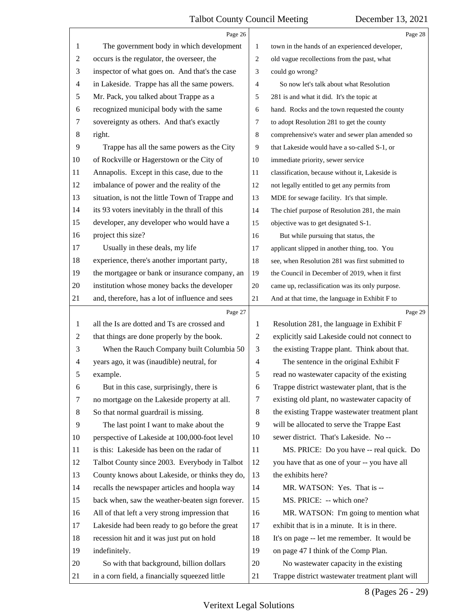<span id="page-8-0"></span>

|                | Page 26                                         |                | Page 28                                         |
|----------------|-------------------------------------------------|----------------|-------------------------------------------------|
| 1              | The government body in which development        | $\mathbf{1}$   | town in the hands of an experienced developer,  |
| $\overline{c}$ | occurs is the regulator, the overseer, the      | 2              | old vague recollections from the past, what     |
| 3              | inspector of what goes on. And that's the case  | 3              | could go wrong?                                 |
| 4              | in Lakeside. Trappe has all the same powers.    | $\overline{4}$ | So now let's talk about what Resolution         |
| 5              | Mr. Pack, you talked about Trappe as a          | 5              | 281 is and what it did. It's the topic at       |
| 6              | recognized municipal body with the same         | 6              | hand. Rocks and the town requested the county   |
| 7              | sovereignty as others. And that's exactly       | 7              | to adopt Resolution 281 to get the county       |
| $\,8\,$        | right.                                          | 8              | comprehensive's water and sewer plan amended so |
| 9              | Trappe has all the same powers as the City      | 9              | that Lakeside would have a so-called S-1, or    |
| 10             | of Rockville or Hagerstown or the City of       | 10             | immediate priority, sewer service               |
| 11             | Annapolis. Except in this case, due to the      | 11             | classification, because without it, Lakeside is |
| 12             | imbalance of power and the reality of the       | 12             | not legally entitled to get any permits from    |
| 13             | situation, is not the little Town of Trappe and | 13             | MDE for sewage facility. It's that simple.      |
| 14             | its 93 voters inevitably in the thrall of this  | 14             | The chief purpose of Resolution 281, the main   |
| 15             | developer, any developer who would have a       | 15             | objective was to get designated S-1.            |
| 16             | project this size?                              | 16             | But while pursuing that status, the             |
| 17             | Usually in these deals, my life                 | 17             | applicant slipped in another thing, too. You    |
| 18             | experience, there's another important party,    | 18             | see, when Resolution 281 was first submitted to |
| 19             | the mortgagee or bank or insurance company, an  | 19             | the Council in December of 2019, when it first  |
| 20             | institution whose money backs the developer     | $20\,$         | came up, reclassification was its only purpose. |
| 21             | and, therefore, has a lot of influence and sees | 21             | And at that time, the language in Exhibit F to  |
|                | Page 27                                         |                | Page 29                                         |
| 1              | all the Is are dotted and Ts are crossed and    | 1              | Resolution 281, the language in Exhibit F       |
| $\overline{2}$ | that things are done properly by the book.      | 2              | explicitly said Lakeside could not connect to   |
| 3              | When the Rauch Company built Columbia 50        | 3              | the existing Trappe plant. Think about that.    |
| 4              | years ago, it was (inaudible) neutral, for      | 4              | The sentence in the original Exhibit F          |
| 5              | example.                                        | 5              | read no wastewater capacity of the existing     |
| 6              | But in this case, surprisingly, there is        | 6              | Trappe district wastewater plant, that is the   |
| 7              | no mortgage on the Lakeside property at all.    | 7              | existing old plant, no wastewater capacity of   |
| 8              | So that normal guardrail is missing.            | 8              | the existing Trappe wastewater treatment plant  |
| 9              | The last point I want to make about the         | 9              | will be allocated to serve the Trappe East      |
| 10             | perspective of Lakeside at 100,000-foot level   | 10             | sewer district. That's Lakeside. No --          |
| 11             |                                                 |                | MS. PRICE: Do you have -- real quick. Do        |
| 12             | is this: Lakeside has been on the radar of      | 11             |                                                 |
| 13             | Talbot County since 2003. Everybody in Talbot   | 12             | you have that as one of your -- you have all    |
|                | County knows about Lakeside, or thinks they do, | 13             | the exhibits here?                              |
| 14             | recalls the newspaper articles and hoopla way   | 14             | MR. WATSON: Yes. That is --                     |
| 15             | back when, saw the weather-beaten sign forever. | 15             | MS. PRICE: -- which one?                        |
| 16             | All of that left a very strong impression that  | 16             | MR. WATSON: I'm going to mention what           |
| 17             | Lakeside had been ready to go before the great  | 17             | exhibit that is in a minute. It is in there.    |
| 18             | recession hit and it was just put on hold       | 18             | It's on page -- let me remember. It would be    |
| 19             | indefinitely.                                   | 19             | on page 47 I think of the Comp Plan.            |
| 20             | So with that background, billion dollars        | 20             | No wastewater capacity in the existing          |

## 8 (Pages 26 - 29)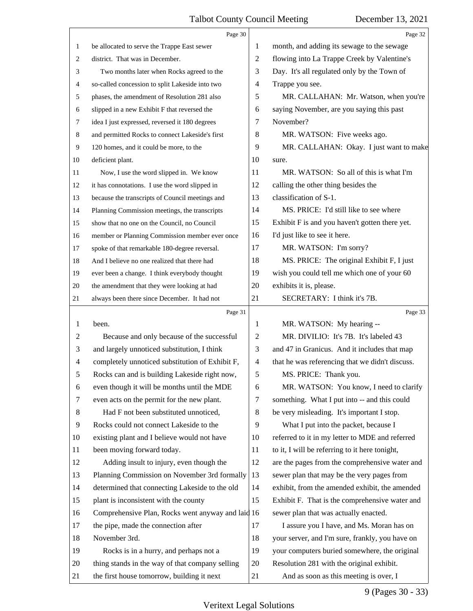<span id="page-9-0"></span>

|                | Page 30                                           |                          | Page 32                                         |
|----------------|---------------------------------------------------|--------------------------|-------------------------------------------------|
| 1              | be allocated to serve the Trappe East sewer       | 1                        | month, and adding its sewage to the sewage      |
| 2              | district. That was in December.                   | $\overline{c}$           | flowing into La Trappe Creek by Valentine's     |
| 3              | Two months later when Rocks agreed to the         | 3                        | Day. It's all regulated only by the Town of     |
| 4              | so-called concession to split Lakeside into two   | $\overline{\mathcal{A}}$ | Trappe you see.                                 |
| 5              | phases, the amendment of Resolution 281 also      | 5                        | MR. CALLAHAN: Mr. Watson, when you're           |
| 6              | slipped in a new Exhibit F that reversed the      | 6                        | saying November, are you saying this past       |
| 7              | idea I just expressed, reversed it 180 degrees    | 7                        | November?                                       |
| 8              | and permitted Rocks to connect Lakeside's first   | 8                        | MR. WATSON: Five weeks ago.                     |
| 9              | 120 homes, and it could be more, to the           | 9                        | MR. CALLAHAN: Okay. I just want to make         |
| 10             | deficient plant.                                  | 10                       | sure.                                           |
| 11             | Now, I use the word slipped in. We know           | 11                       | MR. WATSON: So all of this is what I'm          |
| 12             | it has connotations. I use the word slipped in    | 12                       | calling the other thing besides the             |
| 13             | because the transcripts of Council meetings and   | 13                       | classification of S-1.                          |
| 14             | Planning Commission meetings, the transcripts     | 14                       | MS. PRICE: I'd still like to see where          |
| 15             | show that no one on the Council, no Council       | 15                       | Exhibit F is and you haven't gotten there yet.  |
| 16             | member or Planning Commission member ever once    | 16                       | I'd just like to see it here.                   |
| 17             | spoke of that remarkable 180-degree reversal.     | 17                       | MR. WATSON: I'm sorry?                          |
| 18             | And I believe no one realized that there had      | 18                       | MS. PRICE: The original Exhibit F, I just       |
| 19             | ever been a change. I think everybody thought     | 19                       | wish you could tell me which one of your 60     |
| 20             | the amendment that they were looking at had       | 20                       | exhibits it is, please.                         |
| 21             | always been there since December. It had not      | 21                       | SECRETARY: I think it's 7B.                     |
|                | Page 31                                           |                          | Page 33                                         |
| 1              | been.                                             | 1                        | MR. WATSON: My hearing --                       |
| 2              | Because and only because of the successful        | $\overline{c}$           | MR. DIVILIO: It's 7B. It's labeled 43           |
| 3              | and largely unnoticed substitution, I think       | 3                        |                                                 |
|                |                                                   |                          | and 47 in Granicus. And it includes that map    |
| $\overline{4}$ | completely unnoticed substitution of Exhibit F,   | $\overline{4}$           | that he was referencing that we didn't discuss. |
| 5              | Rocks can and is building Lakeside right now,     | 5                        | MS. PRICE: Thank you.                           |
| 6              | even though it will be months until the MDE       | 6                        | MR. WATSON: You know, I need to clarify         |
| 7              | even acts on the permit for the new plant.        | $\tau$                   | something. What I put into -- and this could    |
| 8              | Had F not been substituted unnoticed,             | 8                        | be very misleading. It's important I stop.      |
| 9              | Rocks could not connect Lakeside to the           | 9                        | What I put into the packet, because I           |
| 10             | existing plant and I believe would not have       | 10                       | referred to it in my letter to MDE and referred |
| 11             | been moving forward today.                        | 11                       | to it, I will be referring to it here tonight,  |
| 12             | Adding insult to injury, even though the          | 12                       | are the pages from the comprehensive water and  |
| 13             | Planning Commission on November 3rd formally      | 13                       | sewer plan that may be the very pages from      |
| 14             | determined that connecting Lakeside to the old    | 14                       | exhibit, from the amended exhibit, the amended  |
| 15             | plant is inconsistent with the county             | 15                       | Exhibit F. That is the comprehensive water and  |
| 16             | Comprehensive Plan, Rocks went anyway and laid 16 |                          | sewer plan that was actually enacted.           |
| 17             | the pipe, made the connection after               | 17                       | I assure you I have, and Ms. Moran has on       |
| 18             | November 3rd.                                     | 18                       | your server, and I'm sure, frankly, you have on |
| 19             | Rocks is in a hurry, and perhaps not a            | 19                       | your computers buried somewhere, the original   |
| 20             | thing stands in the way of that company selling   | 20                       | Resolution 281 with the original exhibit.       |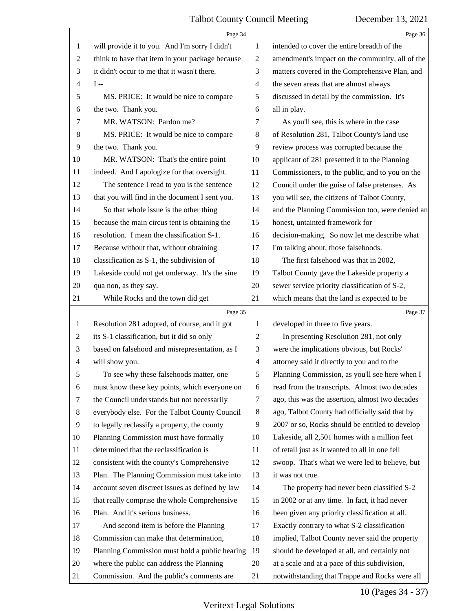<span id="page-10-0"></span>

|                          | Page 34                                                                          |                          | Page 36                                                                                         |
|--------------------------|----------------------------------------------------------------------------------|--------------------------|-------------------------------------------------------------------------------------------------|
| 1                        | will provide it to you. And I'm sorry I didn't                                   | 1                        | intended to cover the entire breadth of the                                                     |
| 2                        | think to have that item in your package because                                  | $\overline{2}$           | amendment's impact on the community, all of the                                                 |
| 3                        | it didn't occur to me that it wasn't there.                                      | 3                        | matters covered in the Comprehensive Plan, and                                                  |
| $\overline{\mathcal{A}}$ | $I -$                                                                            | $\overline{\mathcal{A}}$ | the seven areas that are almost always                                                          |
| 5                        | MS. PRICE: It would be nice to compare                                           | 5                        | discussed in detail by the commission. It's                                                     |
| 6                        | the two. Thank you.                                                              | 6                        | all in play.                                                                                    |
| 7                        | MR. WATSON: Pardon me?                                                           | 7                        | As you'll see, this is where in the case                                                        |
| 8                        | MS. PRICE: It would be nice to compare                                           | $\,8\,$                  | of Resolution 281, Talbot County's land use                                                     |
| 9                        | the two. Thank you.                                                              | 9                        | review process was corrupted because the                                                        |
| 10                       | MR. WATSON: That's the entire point                                              | 10                       | applicant of 281 presented it to the Planning                                                   |
| 11                       | indeed. And I apologize for that oversight.                                      | 11                       | Commissioners, to the public, and to you on the                                                 |
| 12                       | The sentence I read to you is the sentence                                       | 12                       | Council under the guise of false pretenses. As                                                  |
| 13                       | that you will find in the document I sent you.                                   | 13                       | you will see, the citizens of Talbot County,                                                    |
| 14                       | So that whole issue is the other thing                                           | 14                       | and the Planning Commission too, were denied an                                                 |
| 15                       | because the main circus tent is obtaining the                                    | 15                       | honest, untainted framework for                                                                 |
| 16                       | resolution. I mean the classification S-1.                                       | 16                       | decision-making. So now let me describe what                                                    |
| 17                       | Because without that, without obtaining                                          | 17                       | I'm talking about, those falsehoods.                                                            |
| 18                       | classification as S-1, the subdivision of                                        | 18                       | The first falsehood was that in 2002,                                                           |
| 19                       | Lakeside could not get underway. It's the sine                                   | 19                       | Talbot County gave the Lakeside property a                                                      |
| 20                       | qua non, as they say.                                                            | 20                       | sewer service priority classification of S-2,                                                   |
| 21                       | While Rocks and the town did get                                                 | 21                       | which means that the land is expected to be                                                     |
|                          | Page 35                                                                          |                          | Page 37                                                                                         |
| $\mathbf{1}$             | Resolution 281 adopted, of course, and it got                                    | 1                        | developed in three to five years.                                                               |
| 2                        | its S-1 classification, but it did so only                                       | $\overline{c}$           | In presenting Resolution 281, not only                                                          |
| 3                        | based on falsehood and misrepresentation, as I                                   |                          |                                                                                                 |
|                          |                                                                                  | 3                        | were the implications obvious, but Rocks'                                                       |
| 4                        | will show you.                                                                   | $\overline{4}$           | attorney said it directly to you and to the                                                     |
| 5                        | To see why these falsehoods matter, one                                          | 5                        | Planning Commission, as you'll see here when I                                                  |
| 6                        | must know these key points, which everyone on                                    | 6                        | read from the transcripts. Almost two decades                                                   |
| 7                        | the Council understands but not necessarily                                      | $\tau$                   | ago, this was the assertion, almost two decades                                                 |
| 8                        | everybody else. For the Talbot County Council                                    | 8                        | ago, Talbot County had officially said that by                                                  |
| 9                        | to legally reclassify a property, the county                                     | 9                        | 2007 or so, Rocks should be entitled to develop                                                 |
| 10                       | Planning Commission must have formally                                           | 10                       | Lakeside, all 2,501 homes with a million feet                                                   |
| 11                       | determined that the reclassification is                                          | 11                       | of retail just as it wanted to all in one fell                                                  |
| 12                       | consistent with the county's Comprehensive                                       | 12                       | swoop. That's what we were led to believe, but                                                  |
| 13                       | Plan. The Planning Commission must take into                                     | 13                       | it was not true.                                                                                |
| 14                       | account seven discreet issues as defined by law                                  | 14                       | The property had never been classified S-2                                                      |
| 15                       |                                                                                  | 15                       |                                                                                                 |
| 16                       | that really comprise the whole Comprehensive<br>Plan. And it's serious business. | 16                       | in 2002 or at any time. In fact, it had never<br>been given any priority classification at all. |
| 17                       | And second item is before the Planning                                           | 17                       | Exactly contrary to what S-2 classification                                                     |
| 18                       | Commission can make that determination,                                          | 18                       | implied, Talbot County never said the property                                                  |
| 19                       | Planning Commission must hold a public hearing                                   | 19                       | should be developed at all, and certainly not                                                   |
| 20                       | where the public can address the Planning                                        | 20                       | at a scale and at a pace of this subdivision,                                                   |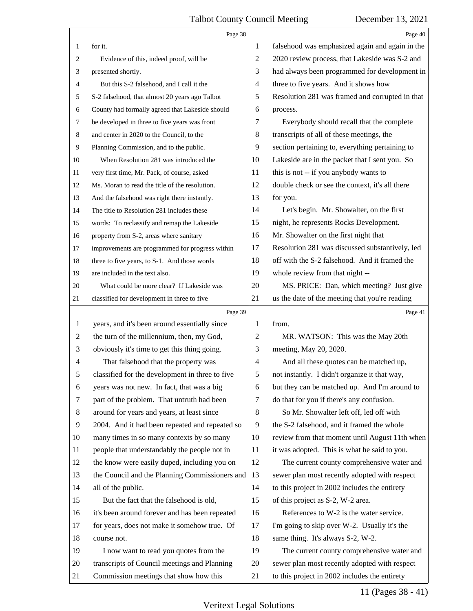<span id="page-11-0"></span>

|    | Page 38                                         |    | Page 40                                         |
|----|-------------------------------------------------|----|-------------------------------------------------|
| 1  | for it.                                         | 1  | falsehood was emphasized again and again in the |
| 2  | Evidence of this, indeed proof, will be         | 2  | 2020 review process, that Lakeside was S-2 and  |
| 3  | presented shortly.                              | 3  | had always been programmed for development in   |
| 4  | But this S-2 falsehood, and I call it the       | 4  | three to five years. And it shows how           |
| 5  | S-2 falsehood, that almost 20 years ago Talbot  | 5  | Resolution 281 was framed and corrupted in that |
| 6  | County had formally agreed that Lakeside should | 6  | process.                                        |
| 7  | be developed in three to five years was front   | 7  | Everybody should recall that the complete       |
| 8  | and center in 2020 to the Council, to the       | 8  | transcripts of all of these meetings, the       |
| 9  | Planning Commission, and to the public.         | 9  | section pertaining to, everything pertaining to |
| 10 | When Resolution 281 was introduced the          | 10 | Lakeside are in the packet that I sent you. So  |
| 11 | very first time, Mr. Pack, of course, asked     | 11 | this is not -- if you anybody wants to          |
| 12 | Ms. Moran to read the title of the resolution.  | 12 | double check or see the context, it's all there |
| 13 | And the falsehood was right there instantly.    | 13 | for you.                                        |
| 14 | The title to Resolution 281 includes these      | 14 | Let's begin. Mr. Showalter, on the first        |
| 15 | words: To reclassify and remap the Lakeside     | 15 | night, he represents Rocks Development.         |
| 16 | property from S-2, areas where sanitary         | 16 | Mr. Showalter on the first night that           |
| 17 | improvements are programmed for progress within | 17 | Resolution 281 was discussed substantively, led |
| 18 | three to five years, to S-1. And those words    | 18 | off with the S-2 falsehood. And it framed the   |
| 19 | are included in the text also.                  | 19 | whole review from that night --                 |
| 20 | What could be more clear? If Lakeside was       | 20 | MS. PRICE: Dan, which meeting? Just give        |
| 21 | classified for development in three to five     | 21 | us the date of the meeting that you're reading  |
|    |                                                 |    |                                                 |
|    | Page 39                                         |    | Page 41                                         |
| 1  | years, and it's been around essentially since   | 1  | from.                                           |
| 2  | the turn of the millennium, then, my God,       | 2  | MR. WATSON: This was the May 20th               |
| 3  | obviously it's time to get this thing going.    | 3  | meeting, May 20, 2020.                          |
| 4  | That falsehood that the property was            | 4  | And all these quotes can be matched up,         |
| 5  | classified for the development in three to five | 5  | not instantly. I didn't organize it that way,   |
| 6  | years was not new. In fact, that was a big      | 6  | but they can be matched up. And I'm around to   |
| 7  | part of the problem. That untruth had been      | 7  | do that for you if there's any confusion.       |
| 8  | around for years and years, at least since      | 8  | So Mr. Showalter left off, led off with         |
| 9  | 2004. And it had been repeated and repeated so  | 9  | the S-2 falsehood, and it framed the whole      |
| 10 | many times in so many contexts by so many       | 10 | review from that moment until August 11th when  |
| 11 | people that understandably the people not in    | 11 | it was adopted. This is what he said to you.    |
| 12 | the know were easily duped, including you on    | 12 | The current county comprehensive water and      |
| 13 | the Council and the Planning Commissioners and  | 13 | sewer plan most recently adopted with respect   |
| 14 | all of the public.                              | 14 | to this project in 2002 includes the entirety   |
| 15 | But the fact that the falsehood is old,         | 15 | of this project as S-2, W-2 area.               |
| 16 | it's been around forever and has been repeated  | 16 | References to W-2 is the water service.         |
| 17 | for years, does not make it somehow true. Of    | 17 | I'm going to skip over W-2. Usually it's the    |
| 18 | course not.                                     | 18 | same thing. It's always S-2, W-2.               |
| 19 | I now want to read you quotes from the          | 19 | The current county comprehensive water and      |
| 20 | transcripts of Council meetings and Planning    | 20 | sewer plan most recently adopted with respect   |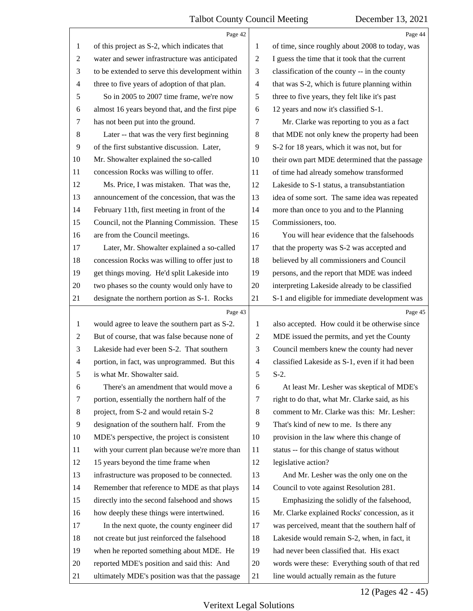<span id="page-12-0"></span>

|                          | Page 42                                         |                          | Page 44                                         |
|--------------------------|-------------------------------------------------|--------------------------|-------------------------------------------------|
| 1                        | of this project as S-2, which indicates that    | 1                        | of time, since roughly about 2008 to today, was |
| $\overline{c}$           | water and sewer infrastructure was anticipated  | $\overline{2}$           | I guess the time that it took that the current  |
| 3                        | to be extended to serve this development within | 3                        | classification of the county -- in the county   |
| $\overline{\mathcal{A}}$ | three to five years of adoption of that plan.   | $\overline{4}$           | that was S-2, which is future planning within   |
| 5                        | So in 2005 to 2007 time frame, we're now        | 5                        | three to five years, they felt like it's past   |
| 6                        | almost 16 years beyond that, and the first pipe | 6                        | 12 years and now it's classified S-1.           |
| 7                        | has not been put into the ground.               | 7                        | Mr. Clarke was reporting to you as a fact       |
| 8                        | Later -- that was the very first beginning      | 8                        | that MDE not only knew the property had been    |
| 9                        | of the first substantive discussion. Later,     | 9                        | S-2 for 18 years, which it was not, but for     |
| 10                       | Mr. Showalter explained the so-called           | 10                       | their own part MDE determined that the passage  |
| 11                       | concession Rocks was willing to offer.          | 11                       | of time had already somehow transformed         |
| 12                       | Ms. Price, I was mistaken. That was the,        | 12                       | Lakeside to S-1 status, a transubstantiation    |
| 13                       | announcement of the concession, that was the    | 13                       | idea of some sort. The same idea was repeated   |
| 14                       | February 11th, first meeting in front of the    | 14                       | more than once to you and to the Planning       |
| 15                       | Council, not the Planning Commission. These     | 15                       | Commissioners, too.                             |
| 16                       | are from the Council meetings.                  | 16                       | You will hear evidence that the falsehoods      |
| 17                       | Later, Mr. Showalter explained a so-called      | 17                       | that the property was S-2 was accepted and      |
| 18                       | concession Rocks was willing to offer just to   | 18                       | believed by all commissioners and Council       |
| 19                       | get things moving. He'd split Lakeside into     | 19                       | persons, and the report that MDE was indeed     |
| 20                       | two phases so the county would only have to     | 20                       | interpreting Lakeside already to be classified  |
| 21                       | designate the northern portion as S-1. Rocks    | 21                       | S-1 and eligible for immediate development was  |
|                          | Page 43                                         |                          | Page 45                                         |
| $\mathbf{1}$             | would agree to leave the southern part as S-2.  | 1                        | also accepted. How could it be otherwise since  |
| $\overline{c}$           | But of course, that was false because none of   | $\overline{c}$           | MDE issued the permits, and yet the County      |
| 3                        | Lakeside had ever been S-2. That southern       | 3                        | Council members knew the county had never       |
| 4                        | portion, in fact, was unprogrammed. But this    | $\overline{\mathcal{A}}$ | classified Lakeside as S-1, even if it had been |
| 5                        | is what Mr. Showalter said.                     | 5                        | $S-2$ .                                         |
| 6                        | There's an amendment that would move a          | 6                        | At least Mr. Lesher was skeptical of MDE's      |
| 7                        | portion, essentially the northern half of the   | $\tau$                   | right to do that, what Mr. Clarke said, as his  |
| 8                        | project, from S-2 and would retain S-2          | 8                        | comment to Mr. Clarke was this: Mr. Lesher:     |
| 9                        | designation of the southern half. From the      | 9                        | That's kind of new to me. Is there any          |
| 10                       | MDE's perspective, the project is consistent    | 10                       | provision in the law where this change of       |
| 11                       | with your current plan because we're more than  | 11                       | status -- for this change of status without     |
| 12                       | 15 years beyond the time frame when             | 12                       | legislative action?                             |
| 13                       | infrastructure was proposed to be connected.    | 13                       | And Mr. Lesher was the only one on the          |
| 14                       |                                                 |                          |                                                 |
| 15                       | Remember that reference to MDE as that plays    | 14                       | Council to vote against Resolution 281.         |
|                          | directly into the second falsehood and shows    | 15                       | Emphasizing the solidly of the falsehood,       |
| 16                       | how deeply these things were intertwined.       | 16                       | Mr. Clarke explained Rocks' concession, as it   |
| 17                       | In the next quote, the county engineer did      | 17                       | was perceived, meant that the southern half of  |
| 18                       | not create but just reinforced the falsehood    | 18                       | Lakeside would remain S-2, when, in fact, it    |
| 19                       | when he reported something about MDE. He        | 19                       | had never been classified that. His exact       |
| 20                       | reported MDE's position and said this: And      | 20                       | words were these: Everything south of that red  |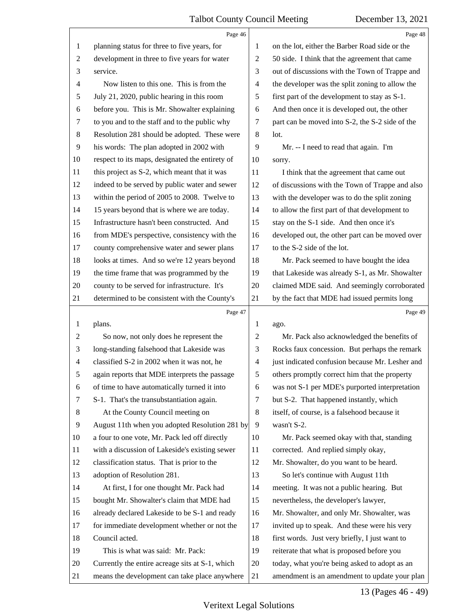<span id="page-13-0"></span>

|    | Page 46                                         |                          | Page 48                                         |
|----|-------------------------------------------------|--------------------------|-------------------------------------------------|
| 1  | planning status for three to five years, for    | 1                        | on the lot, either the Barber Road side or the  |
| 2  | development in three to five years for water    | $\overline{c}$           | 50 side. I think that the agreement that came   |
| 3  | service.                                        | 3                        | out of discussions with the Town of Trappe and  |
| 4  | Now listen to this one. This is from the        | 4                        | the developer was the split zoning to allow the |
| 5  | July 21, 2020, public hearing in this room      | 5                        | first part of the development to stay as S-1.   |
| 6  | before you. This is Mr. Showalter explaining    | 6                        | And then once it is developed out, the other    |
| 7  | to you and to the staff and to the public why   | 7                        | part can be moved into S-2, the S-2 side of the |
| 8  | Resolution 281 should be adopted. These were    | $\,8\,$                  | lot.                                            |
| 9  | his words: The plan adopted in 2002 with        | 9                        | Mr. -- I need to read that again. I'm           |
| 10 | respect to its maps, designated the entirety of | 10                       | sorry.                                          |
| 11 | this project as S-2, which meant that it was    | 11                       | I think that the agreement that came out        |
| 12 | indeed to be served by public water and sewer   | 12                       | of discussions with the Town of Trappe and also |
| 13 | within the period of 2005 to 2008. Twelve to    | 13                       | with the developer was to do the split zoning   |
| 14 | 15 years beyond that is where we are today.     | 14                       | to allow the first part of that development to  |
| 15 | Infrastructure hasn't been constructed. And     | 15                       | stay on the S-1 side. And then once it's        |
| 16 | from MDE's perspective, consistency with the    | 16                       | developed out, the other part can be moved over |
| 17 | county comprehensive water and sewer plans      | 17                       | to the S-2 side of the lot.                     |
| 18 | looks at times. And so we're 12 years beyond    | 18                       | Mr. Pack seemed to have bought the idea         |
| 19 | the time frame that was programmed by the       | 19                       | that Lakeside was already S-1, as Mr. Showalter |
| 20 | county to be served for infrastructure. It's    | 20                       | claimed MDE said. And seemingly corroborated    |
| 21 | determined to be consistent with the County's   | 21                       | by the fact that MDE had issued permits long    |
|    |                                                 |                          |                                                 |
|    | Page 47                                         |                          | Page 49                                         |
| 1  | plans.                                          | 1                        | ago.                                            |
| 2  | So now, not only does he represent the          | $\overline{c}$           | Mr. Pack also acknowledged the benefits of      |
| 3  | long-standing falsehood that Lakeside was       | 3                        | Rocks faux concession. But perhaps the remark   |
| 4  | classified S-2 in 2002 when it was not, he      | $\overline{\mathcal{A}}$ | just indicated confusion because Mr. Lesher and |
| 5  | again reports that MDE interprets the passage   | 5                        | others promptly correct him that the property   |
| 6  | of time to have automatically turned it into    | 6                        | was not S-1 per MDE's purported interpretation  |
| 7  | S-1. That's the transubstantiation again.       | 7                        | but S-2. That happened instantly, which         |
| 8  | At the County Council meeting on                | $\,8\,$                  | itself, of course, is a falsehood because it    |
| 9  | August 11th when you adopted Resolution 281 by  | 9                        | wasn't S-2.                                     |
| 10 | a four to one vote, Mr. Pack led off directly   | 10                       | Mr. Pack seemed okay with that, standing        |
| 11 | with a discussion of Lakeside's existing sewer  | 11                       | corrected. And replied simply okay,             |
| 12 | classification status. That is prior to the     | 12                       | Mr. Showalter, do you want to be heard.         |
| 13 | adoption of Resolution 281.                     | 13                       | So let's continue with August 11th              |
| 14 | At first, I for one thought Mr. Pack had        | 14                       | meeting. It was not a public hearing. But       |
| 15 | bought Mr. Showalter's claim that MDE had       | 15                       | nevertheless, the developer's lawyer,           |
| 16 | already declared Lakeside to be S-1 and ready   | 16                       | Mr. Showalter, and only Mr. Showalter, was      |
| 17 | for immediate development whether or not the    | 17                       | invited up to speak. And these were his very    |
| 18 | Council acted.                                  | 18                       | first words. Just very briefly, I just want to  |
| 19 | This is what was said: Mr. Pack:                | 19                       | reiterate that what is proposed before you      |
| 20 | Currently the entire acreage sits at S-1, which | 20                       | today, what you're being asked to adopt as an   |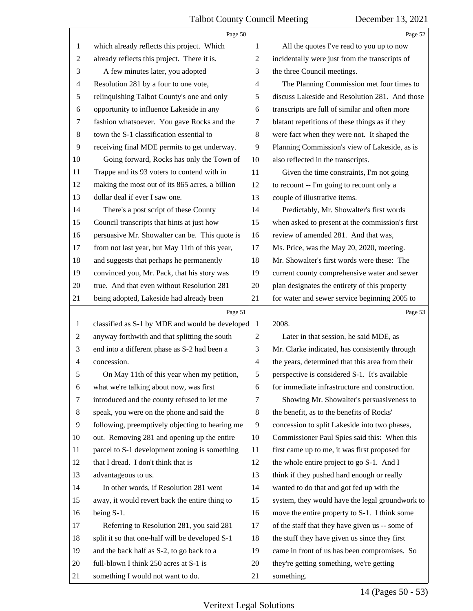<span id="page-14-0"></span>

|                | Page 50                                         |                | Page 52                                         |
|----------------|-------------------------------------------------|----------------|-------------------------------------------------|
| 1              | which already reflects this project. Which      | 1              | All the quotes I've read to you up to now       |
| $\overline{2}$ | already reflects this project. There it is.     | $\overline{c}$ | incidentally were just from the transcripts of  |
| 3              | A few minutes later, you adopted                | 3              | the three Council meetings.                     |
| $\overline{4}$ | Resolution 281 by a four to one vote,           | 4              | The Planning Commission met four times to       |
| 5              | relinquishing Talbot County's one and only      | 5              | discuss Lakeside and Resolution 281. And those  |
| 6              | opportunity to influence Lakeside in any        | 6              | transcripts are full of similar and often more  |
| 7              | fashion whatsoever. You gave Rocks and the      | 7              | blatant repetitions of these things as if they  |
| $8\,$          | town the S-1 classification essential to        | $\,8\,$        | were fact when they were not. It shaped the     |
| 9              | receiving final MDE permits to get underway.    | 9              | Planning Commission's view of Lakeside, as is   |
| 10             | Going forward, Rocks has only the Town of       | 10             | also reflected in the transcripts.              |
| 11             | Trappe and its 93 voters to contend with in     | 11             | Given the time constraints, I'm not going       |
| 12             | making the most out of its 865 acres, a billion | 12             | to recount -- I'm going to recount only a       |
| 13             | dollar deal if ever I saw one.                  | 13             | couple of illustrative items.                   |
| 14             | There's a post script of these County           | 14             | Predictably, Mr. Showalter's first words        |
| 15             | Council transcripts that hints at just how      | 15             | when asked to present at the commission's first |
| 16             | persuasive Mr. Showalter can be. This quote is  | 16             | review of amended 281. And that was,            |
| 17             | from not last year, but May 11th of this year,  | 17             | Ms. Price, was the May 20, 2020, meeting.       |
| 18             | and suggests that perhaps he permanently        | 18             | Mr. Showalter's first words were these: The     |
| 19             | convinced you, Mr. Pack, that his story was     | 19             | current county comprehensive water and sewer    |
| 20             | true. And that even without Resolution 281      | 20             | plan designates the entirety of this property   |
| 21             | being adopted, Lakeside had already been        | 21             | for water and sewer service beginning 2005 to   |
|                |                                                 |                |                                                 |
|                | Page 51                                         |                | Page 53                                         |
| $\mathbf{1}$   | classified as S-1 by MDE and would be developed | 1              | 2008.                                           |
| $\overline{c}$ | anyway forthwith and that splitting the south   | $\mathfrak{2}$ | Later in that session, he said MDE, as          |
| 3              | end into a different phase as S-2 had been a    | 3              | Mr. Clarke indicated, has consistently through  |
| 4              | concession.                                     | $\overline{4}$ | the years, determined that this area from their |
| 5              | On May 11th of this year when my petition,      | 5              | perspective is considered S-1. It's available   |
| 6              | what we're talking about now, was first         | 6              | for immediate infrastructure and construction.  |
| 7              | introduced and the county refused to let me     | 7              | Showing Mr. Showalter's persuasiveness to       |
| 8              | speak, you were on the phone and said the       | $\,8\,$        | the benefit, as to the benefits of Rocks'       |
| 9              | following, preemptively objecting to hearing me | 9              | concession to split Lakeside into two phases,   |
| 10             | out. Removing 281 and opening up the entire     | 10             | Commissioner Paul Spies said this: When this    |
| 11             | parcel to S-1 development zoning is something   | 11             | first came up to me, it was first proposed for  |
| 12             | that I dread. I don't think that is             | 12             | the whole entire project to go S-1. And I       |
| 13             | advantageous to us.                             | 13             | think if they pushed hard enough or really      |
| 14             | In other words, if Resolution 281 went          | 14             | wanted to do that and got fed up with the       |
| 15             | away, it would revert back the entire thing to  | 15             | system, they would have the legal groundwork to |
| 16             | being S-1.                                      | 16             | move the entire property to S-1. I think some   |
| 17             | Referring to Resolution 281, you said 281       | 17             | of the staff that they have given us -- some of |
| 18             | split it so that one-half will be developed S-1 | 18             | the stuff they have given us since they first   |
| 19             | and the back half as S-2, to go back to a       | 19             | came in front of us has been compromises. So    |
| 20             | full-blown I think 250 acres at S-1 is          | 20             | they're getting something, we're getting        |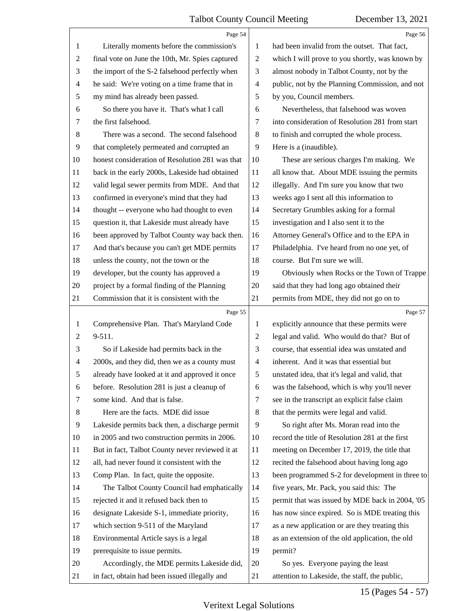<span id="page-15-0"></span>

|                | Page 54                                         |                | Page 56                                         |
|----------------|-------------------------------------------------|----------------|-------------------------------------------------|
| 1              | Literally moments before the commission's       | 1              | had been invalid from the outset. That fact,    |
| $\overline{c}$ | final vote on June the 10th, Mr. Spies captured | $\overline{c}$ | which I will prove to you shortly, was known by |
| 3              | the import of the S-2 falsehood perfectly when  | 3              | almost nobody in Talbot County, not by the      |
| 4              | he said: We're voting on a time frame that in   | 4              | public, not by the Planning Commission, and not |
| 5              | my mind has already been passed.                | 5              | by you, Council members.                        |
| 6              | So there you have it. That's what I call        | 6              | Nevertheless, that falsehood was woven          |
| 7              | the first falsehood.                            | 7              | into consideration of Resolution 281 from start |
| 8              | There was a second. The second falsehood        | 8              | to finish and corrupted the whole process.      |
| $\overline{9}$ | that completely permeated and corrupted an      | 9              | Here is a (inaudible).                          |
| 10             | honest consideration of Resolution 281 was that | 10             | These are serious charges I'm making. We        |
| 11             | back in the early 2000s, Lakeside had obtained  | 11             | all know that. About MDE issuing the permits    |
| 12             | valid legal sewer permits from MDE. And that    | 12             | illegally. And I'm sure you know that two       |
| 13             | confirmed in everyone's mind that they had      | 13             | weeks ago I sent all this information to        |
| 14             | thought -- everyone who had thought to even     | 14             | Secretary Grumbles asking for a formal          |
| 15             | question it, that Lakeside must already have    | 15             | investigation and I also sent it to the         |
| 16             | been approved by Talbot County way back then.   | 16             | Attorney General's Office and to the EPA in     |
| 17             | And that's because you can't get MDE permits    | 17             | Philadelphia. I've heard from no one yet, of    |
| 18             | unless the county, not the town or the          | 18             | course. But I'm sure we will.                   |
| 19             | developer, but the county has approved a        | 19             | Obviously when Rocks or the Town of Trappe      |
| 20             | project by a formal finding of the Planning     | 20             | said that they had long ago obtained their      |
| 21             | Commission that it is consistent with the       | 21             | permits from MDE, they did not go on to         |
|                |                                                 |                |                                                 |
|                | Page 55                                         |                | Page 57                                         |
| $\mathbf{1}$   | Comprehensive Plan. That's Maryland Code        | 1              | explicitly announce that these permits were     |
| $\overline{c}$ | 9-511.                                          | $\overline{c}$ | legal and valid. Who would do that? But of      |
| 3              | So if Lakeside had permits back in the          | 3              | course, that essential idea was unstated and    |
| 4              | 2000s, and they did, then we as a county must   | 4              | inherent. And it was that essential but         |
| 5              | already have looked at it and approved it once  | 5              | unstated idea, that it's legal and valid, that  |
| 6              | before. Resolution 281 is just a cleanup of     | 6              | was the falsehood, which is why you'll never    |
| 7              | some kind. And that is false.                   | 7              | see in the transcript an explicit false claim   |
| 8              | Here are the facts. MDE did issue               | 8              | that the permits were legal and valid.          |
| $\overline{9}$ | Lakeside permits back then, a discharge permit  | 9              | So right after Ms. Moran read into the          |
| 10             | in 2005 and two construction permits in 2006.   | 10             | record the title of Resolution 281 at the first |
| 11             | But in fact, Talbot County never reviewed it at | 11             | meeting on December 17, 2019, the title that    |
| 12             | all, had never found it consistent with the     | 12             | recited the falsehood about having long ago     |
| 13             | Comp Plan. In fact, quite the opposite.         | 13             | been programmed S-2 for development in three to |
| 14             | The Talbot County Council had emphatically      | 14             | five years, Mr. Pack, you said this: The        |
| 15             | rejected it and it refused back then to         | 15             | permit that was issued by MDE back in 2004, '05 |
| 16             | designate Lakeside S-1, immediate priority,     | 16             | has now since expired. So is MDE treating this  |
| 17             | which section 9-511 of the Maryland             | 17             | as a new application or are they treating this  |
| 18             | Environmental Article says is a legal           | 18             | as an extension of the old application, the old |
| 19             | prerequisite to issue permits.                  | 19             | permit?                                         |
| 20             | Accordingly, the MDE permits Lakeside did,      | 20             | So yes. Everyone paying the least               |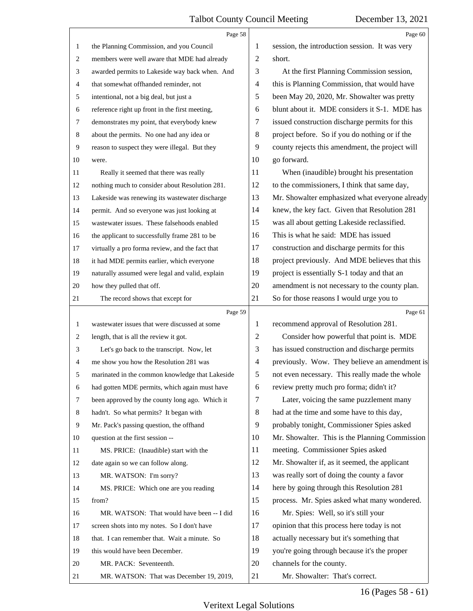<span id="page-16-0"></span>

|                | Page 58                                         |                | Page 60                                         |
|----------------|-------------------------------------------------|----------------|-------------------------------------------------|
| 1              | the Planning Commission, and you Council        | 1              | session, the introduction session. It was very  |
| $\overline{2}$ | members were well aware that MDE had already    | $\overline{2}$ | short.                                          |
| 3              | awarded permits to Lakeside way back when. And  | 3              | At the first Planning Commission session,       |
| $\overline{4}$ | that somewhat offhanded reminder, not           | 4              | this is Planning Commission, that would have    |
| 5              | intentional, not a big deal, but just a         | 5              | been May 20, 2020, Mr. Showalter was pretty     |
| 6              | reference right up front in the first meeting,  | 6              | blunt about it. MDE considers it S-1. MDE has   |
| $\tau$         | demonstrates my point, that everybody knew      | 7              | issued construction discharge permits for this  |
| 8              | about the permits. No one had any idea or       | 8              | project before. So if you do nothing or if the  |
| 9              | reason to suspect they were illegal. But they   | 9              | county rejects this amendment, the project will |
| 10             | were.                                           | 10             | go forward.                                     |
| 11             | Really it seemed that there was really          | 11             | When (inaudible) brought his presentation       |
| 12             | nothing much to consider about Resolution 281.  | 12             | to the commissioners, I think that same day,    |
| 13             | Lakeside was renewing its wastewater discharge  | 13             | Mr. Showalter emphasized what everyone already  |
| 14             | permit. And so everyone was just looking at     | 14             | knew, the key fact. Given that Resolution 281   |
| 15             | wastewater issues. These falsehoods enabled     | 15             | was all about getting Lakeside reclassified.    |
| 16             | the applicant to successfully frame 281 to be   | 16             | This is what he said: MDE has issued            |
| 17             | virtually a pro forma review, and the fact that | 17             | construction and discharge permits for this     |
| 18             | it had MDE permits earlier, which everyone      | 18             | project previously. And MDE believes that this  |
| 19             | naturally assumed were legal and valid, explain | 19             | project is essentially S-1 today and that an    |
| 20             | how they pulled that off.                       | 20             | amendment is not necessary to the county plan.  |
| 21             | The record shows that except for                | 21             | So for those reasons I would urge you to        |
|                |                                                 |                |                                                 |
|                | Page 59                                         |                | Page 61                                         |
| 1              | wastewater issues that were discussed at some   | 1              | recommend approval of Resolution 281.           |
| 2              | length, that is all the review it got.          | $\overline{2}$ | Consider how powerful that point is. MDE        |
| 3              | Let's go back to the transcript. Now, let       | 3              | has issued construction and discharge permits   |
| $\overline{4}$ | me show you how the Resolution 281 was          | $\overline{4}$ | previously. Wow. They believe an amendment is   |
| 5              | marinated in the common knowledge that Lakeside | 5              | not even necessary. This really made the whole  |
| 6              | had gotten MDE permits, which again must have   | 6              | review pretty much pro forma; didn't it?        |
| 7              | been approved by the county long ago. Which it  | 7              | Later, voicing the same puzzlement many         |
| 8              | hadn't. So what permits? It began with          | 8              | had at the time and some have to this day,      |
| 9              | Mr. Pack's passing question, the offhand        | 9              | probably tonight, Commissioner Spies asked      |
| 10             | question at the first session --                | 10             | Mr. Showalter. This is the Planning Commission  |
| 11             | MS. PRICE: (Inaudible) start with the           | 11             | meeting. Commissioner Spies asked               |
| 12             | date again so we can follow along.              | 12             | Mr. Showalter if, as it seemed, the applicant   |
| 13             | MR. WATSON: I'm sorry?                          | 13             | was really sort of doing the county a favor     |
| 14             | MS. PRICE: Which one are you reading            | 14             | here by going through this Resolution 281       |
| 15             | from?                                           | 15             | process. Mr. Spies asked what many wondered.    |
| 16             | MR. WATSON: That would have been -- I did       | 16             | Mr. Spies: Well, so it's still your             |
| 17             | screen shots into my notes. So I don't have     | 17             | opinion that this process here today is not     |
| 18             | that. I can remember that. Wait a minute. So    | 18             | actually necessary but it's something that      |
| 19             | this would have been December.                  | 19             | you're going through because it's the proper    |
| 20             | MR. PACK: Seventeenth.                          | 20             | channels for the county.                        |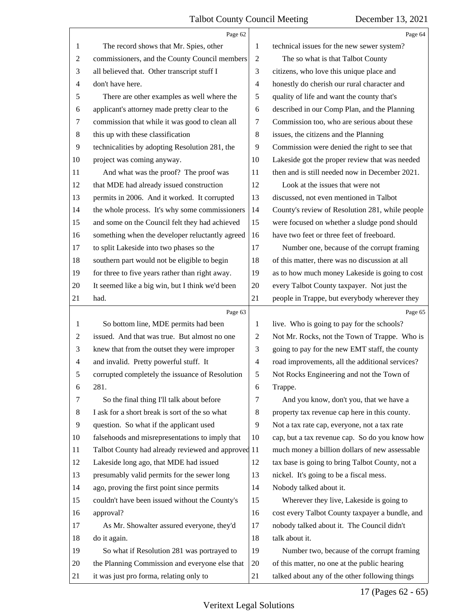<span id="page-17-0"></span>

|                | Page 62                                            |                  | Page 64                                         |
|----------------|----------------------------------------------------|------------------|-------------------------------------------------|
| $\mathbf{1}$   | The record shows that Mr. Spies, other             | 1                | technical issues for the new sewer system?      |
| $\overline{c}$ | commissioners, and the County Council members      | $\boldsymbol{2}$ | The so what is that Talbot County               |
| 3              | all believed that. Other transcript stuff I        | 3                | citizens, who love this unique place and        |
| 4              | don't have here.                                   | 4                | honestly do cherish our rural character and     |
| 5              | There are other examples as well where the         | 5                | quality of life and want the county that's      |
| 6              | applicant's attorney made pretty clear to the      | 6                | described in our Comp Plan, and the Planning    |
| 7              | commission that while it was good to clean all     | 7                | Commission too, who are serious about these     |
| $\,8$          | this up with these classification                  | 8                | issues, the citizens and the Planning           |
| $\overline{9}$ | technicalities by adopting Resolution 281, the     | 9                | Commission were denied the right to see that    |
| 10             | project was coming anyway.                         | 10               | Lakeside got the proper review that was needed  |
| 11             | And what was the proof? The proof was              | 11               | then and is still needed now in December 2021.  |
| 12             | that MDE had already issued construction           | 12               | Look at the issues that were not                |
| 13             | permits in 2006. And it worked. It corrupted       | 13               | discussed, not even mentioned in Talbot         |
| 14             | the whole process. It's why some commissioners     | 14               | County's review of Resolution 281, while people |
| 15             | and some on the Council felt they had achieved     | 15               | were focused on whether a sludge pond should    |
| 16             | something when the developer reluctantly agreed    | 16               | have two feet or three feet of freeboard.       |
| 17             | to split Lakeside into two phases so the           | 17               | Number one, because of the corrupt framing      |
| 18             | southern part would not be eligible to begin       | 18               | of this matter, there was no discussion at all  |
| 19             | for three to five years rather than right away.    | 19               | as to how much money Lakeside is going to cost  |
| 20             | It seemed like a big win, but I think we'd been    | 20               | every Talbot County taxpayer. Not just the      |
| 21             | had.                                               | 21               | people in Trappe, but everybody wherever they   |
|                |                                                    |                  |                                                 |
|                | Page 63                                            |                  | Page 65                                         |
| $\mathbf{1}$   | So bottom line, MDE permits had been               | 1                | live. Who is going to pay for the schools?      |
| $\overline{c}$ | issued. And that was true. But almost no one       | $\overline{c}$   | Not Mr. Rocks, not the Town of Trappe. Who is   |
| 3              | knew that from the outset they were improper       | 3                | going to pay for the new EMT staff, the county  |
| 4              | and invalid. Pretty powerful stuff. It             | $\overline{4}$   | road improvements, all the additional services? |
| 5              | corrupted completely the issuance of Resolution    | 5                | Not Rocks Engineering and not the Town of       |
| 6              | 281.                                               | 6                | Trappe.                                         |
| 7              | So the final thing I'll talk about before          | 7                | And you know, don't you, that we have a         |
| 8              | I ask for a short break is sort of the so what     | 8                | property tax revenue cap here in this county.   |
| $\overline{9}$ | question. So what if the applicant used            | 9                | Not a tax rate cap, everyone, not a tax rate    |
| 10             | falsehoods and misrepresentations to imply that    | 10               | cap, but a tax revenue cap. So do you know how  |
| 11             | Talbot County had already reviewed and approved 11 |                  | much money a billion dollars of new assessable  |
| 12             | Lakeside long ago, that MDE had issued             | 12               | tax base is going to bring Talbot County, not a |
| 13             | presumably valid permits for the sewer long        | 13               | nickel. It's going to be a fiscal mess.         |
| 14             | ago, proving the first point since permits         | 14               | Nobody talked about it.                         |
| 15             | couldn't have been issued without the County's     | 15               | Wherever they live, Lakeside is going to        |
| 16             | approval?                                          | 16               | cost every Talbot County taxpayer a bundle, and |
| 17             | As Mr. Showalter assured everyone, they'd          | 17               | nobody talked about it. The Council didn't      |
| 18             | do it again.                                       | 18               | talk about it.                                  |
| 19             | So what if Resolution 281 was portrayed to         | 19               | Number two, because of the corrupt framing      |
| 20             | the Planning Commission and everyone else that     | 20               | of this matter, no one at the public hearing    |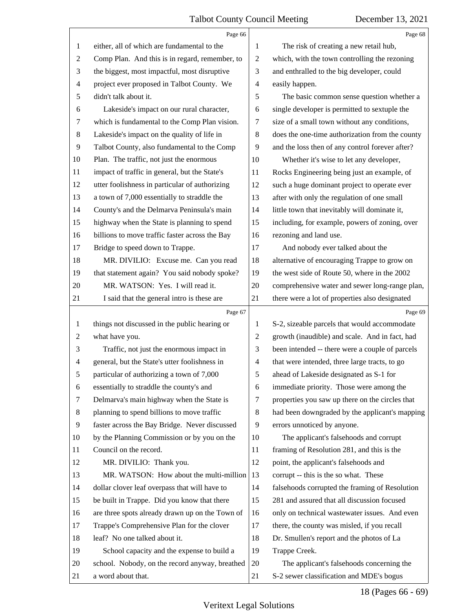<span id="page-18-0"></span>

|                          | Page 66                                         |                | Page 68                                         |
|--------------------------|-------------------------------------------------|----------------|-------------------------------------------------|
| 1                        | either, all of which are fundamental to the     | 1              | The risk of creating a new retail hub,          |
| $\overline{c}$           | Comp Plan. And this is in regard, remember, to  | $\overline{c}$ | which, with the town controlling the rezoning   |
| 3                        | the biggest, most impactful, most disruptive    | 3              | and enthralled to the big developer, could      |
| $\overline{\mathcal{A}}$ | project ever proposed in Talbot County. We      | 4              | easily happen.                                  |
| 5                        | didn't talk about it.                           | 5              | The basic common sense question whether a       |
| 6                        | Lakeside's impact on our rural character,       | 6              | single developer is permitted to sextuple the   |
| 7                        | which is fundamental to the Comp Plan vision.   | 7              | size of a small town without any conditions,    |
| 8                        | Lakeside's impact on the quality of life in     | $\,8\,$        | does the one-time authorization from the county |
| 9                        | Talbot County, also fundamental to the Comp     | 9              | and the loss then of any control forever after? |
| 10                       | Plan. The traffic, not just the enormous        | 10             | Whether it's wise to let any developer,         |
| 11                       | impact of traffic in general, but the State's   | 11             | Rocks Engineering being just an example, of     |
| 12                       | utter foolishness in particular of authorizing  | 12             | such a huge dominant project to operate ever    |
| 13                       | a town of 7,000 essentially to straddle the     | 13             | after with only the regulation of one small     |
| 14                       | County's and the Delmarva Peninsula's main      | 14             | little town that inevitably will dominate it,   |
| 15                       | highway when the State is planning to spend     | 15             | including, for example, powers of zoning, over  |
| 16                       | billions to move traffic faster across the Bay  | 16             | rezoning and land use.                          |
| 17                       | Bridge to speed down to Trappe.                 | 17             | And nobody ever talked about the                |
| 18                       | MR. DIVILIO: Excuse me. Can you read            | 18             | alternative of encouraging Trappe to grow on    |
| 19                       | that statement again? You said nobody spoke?    | 19             | the west side of Route 50, where in the 2002    |
| 20                       | MR. WATSON: Yes. I will read it.                | 20             | comprehensive water and sewer long-range plan,  |
| 21                       | I said that the general intro is these are      | 21             | there were a lot of properties also designated  |
|                          |                                                 |                |                                                 |
|                          | Page 67                                         |                | Page 69                                         |
| $\mathbf{1}$             | things not discussed in the public hearing or   | 1              | S-2, sizeable parcels that would accommodate    |
| 2                        | what have you.                                  | 2              | growth (inaudible) and scale. And in fact, had  |
| 3                        | Traffic, not just the enormous impact in        | 3              | been intended -- there were a couple of parcels |
| 4                        | general, but the State's utter foolishness in   | $\overline{4}$ | that were intended, three large tracts, to go   |
|                          | particular of authorizing a town of 7,000       | 5              | ahead of Lakeside designated as S-1 for         |
| 6                        | essentially to straddle the county's and        | 6              | immediate priority. Those were among the        |
| 7                        | Delmarva's main highway when the State is       | 7              | properties you saw up there on the circles that |
| 8                        | planning to spend billions to move traffic      | 8              | had been downgraded by the applicant's mapping  |
| 9                        | faster across the Bay Bridge. Never discussed   | 9              | errors unnoticed by anyone.                     |
| 10                       | by the Planning Commission or by you on the     | 10             | The applicant's falsehoods and corrupt          |
| 11                       | Council on the record.                          | 11             | framing of Resolution 281, and this is the      |
| 12                       | MR. DIVILIO: Thank you.                         | 12             | point, the applicant's falsehoods and           |
| 13                       | MR. WATSON: How about the multi-million         | 13             | corrupt -- this is the so what. These           |
| 14                       | dollar clover leaf overpass that will have to   | 14             | falsehoods corrupted the framing of Resolution  |
| 15                       | be built in Trappe. Did you know that there     | 15             | 281 and assured that all discussion focused     |
| 16                       | are three spots already drawn up on the Town of | 16             | only on technical wastewater issues. And even   |
| 17                       | Trappe's Comprehensive Plan for the clover      | 17             | there, the county was misled, if you recall     |
| 18                       | leaf? No one talked about it.                   | 18             | Dr. Smullen's report and the photos of La       |
| 19                       | School capacity and the expense to build a      | 19             | Trappe Creek.                                   |
| 20                       | school. Nobody, on the record anyway, breathed  | 20             | The applicant's falsehoods concerning the       |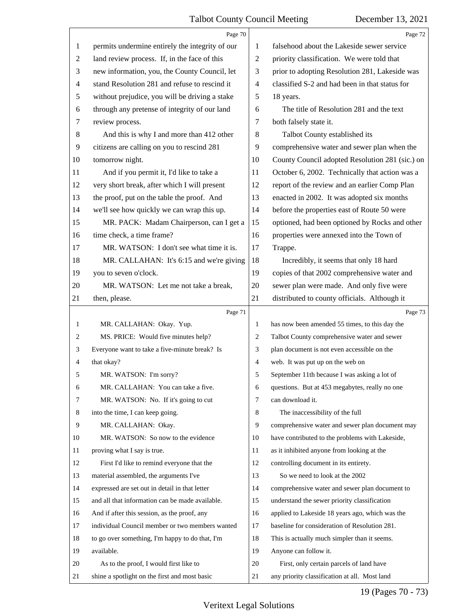<span id="page-19-0"></span>

|              | Page 70                                         |                | Page 72                                         |
|--------------|-------------------------------------------------|----------------|-------------------------------------------------|
| 1            | permits undermine entirely the integrity of our | 1              | falsehood about the Lakeside sewer service      |
| 2            | land review process. If, in the face of this    | $\overline{2}$ | priority classification. We were told that      |
| 3            | new information, you, the County Council, let   | 3              | prior to adopting Resolution 281, Lakeside was  |
| 4            | stand Resolution 281 and refuse to rescind it   | 4              | classified S-2 and had been in that status for  |
| 5            | without prejudice, you will be driving a stake  | 5              | 18 years.                                       |
| 6            | through any pretense of integrity of our land   | 6              | The title of Resolution 281 and the text        |
| 7            | review process.                                 | 7              | both falsely state it.                          |
| 8            | And this is why I and more than 412 other       | 8              | Talbot County established its                   |
| 9            | citizens are calling on you to rescind 281      | 9              | comprehensive water and sewer plan when the     |
| 10           | tomorrow night.                                 | 10             | County Council adopted Resolution 281 (sic.) on |
| 11           | And if you permit it, I'd like to take a        | 11             | October 6, 2002. Technically that action was a  |
| 12           | very short break, after which I will present    | 12             | report of the review and an earlier Comp Plan   |
| 13           | the proof, put on the table the proof. And      | 13             | enacted in 2002. It was adopted six months      |
| 14           | we'll see how quickly we can wrap this up.      | 14             | before the properties east of Route 50 were     |
| 15           | MR. PACK: Madam Chairperson, can I get a        | 15             | optioned, had been optioned by Rocks and other  |
| 16           | time check, a time frame?                       | 16             | properties were annexed into the Town of        |
| 17           | MR. WATSON: I don't see what time it is.        | 17             | Trappe.                                         |
| 18           | MR. CALLAHAN: It's 6:15 and we're giving        | 18             | Incredibly, it seems that only 18 hard          |
| 19           | you to seven o'clock.                           | 19             | copies of that 2002 comprehensive water and     |
| 20           | MR. WATSON: Let me not take a break,            | 20             | sewer plan were made. And only five were        |
| 21           | then, please.                                   | 21             | distributed to county officials. Although it    |
|              |                                                 |                |                                                 |
|              | Page 71                                         |                | Page 73                                         |
| $\mathbf{1}$ | MR. CALLAHAN: Okay. Yup.                        | 1              | has now been amended 55 times, to this day the  |
| 2            | MS. PRICE: Would five minutes help?             | 2              | Talbot County comprehensive water and sewer     |
| 3            | Everyone want to take a five-minute break? Is   | 3              | plan document is not even accessible on the     |
| 4            | that okay?                                      | 4              | web. It was put up on the web on                |
| 5            | MR. WATSON: I'm sorry?                          | 5              | September 11th because I was asking a lot of    |
| 6            | MR. CALLAHAN: You can take a five.              | 6              | questions. But at 453 megabytes, really no one  |
| 7            | MR. WATSON: No. If it's going to cut            | 7              | can download it.                                |
| 8            | into the time, I can keep going.                | 8              | The inaccessibility of the full                 |
| 9            | MR. CALLAHAN: Okay.                             | 9              | comprehensive water and sewer plan document may |
| 10           | MR. WATSON: So now to the evidence              | 10             | have contributed to the problems with Lakeside, |
| 11           | proving what I say is true.                     | 11             | as it inhibited anyone from looking at the      |
| 12           | First I'd like to remind everyone that the      | 12             | controlling document in its entirety.           |
| 13           | material assembled, the arguments I've          | 13             | So we need to look at the 2002                  |
| 14           | expressed are set out in detail in that letter  | 14             | comprehensive water and sewer plan document to  |
| 15           | and all that information can be made available. | 15             | understand the sewer priority classification    |
| 16           | And if after this session, as the proof, any    | 16             | applied to Lakeside 18 years ago, which was the |
| 17           | individual Council member or two members wanted | 17             | baseline for consideration of Resolution 281.   |
| 18           | to go over something, I'm happy to do that, I'm | 18             | This is actually much simpler than it seems.    |
| 19           | available.                                      | 19             | Anyone can follow it.                           |
| 20           | As to the proof, I would first like to          | 20             | First, only certain parcels of land have        |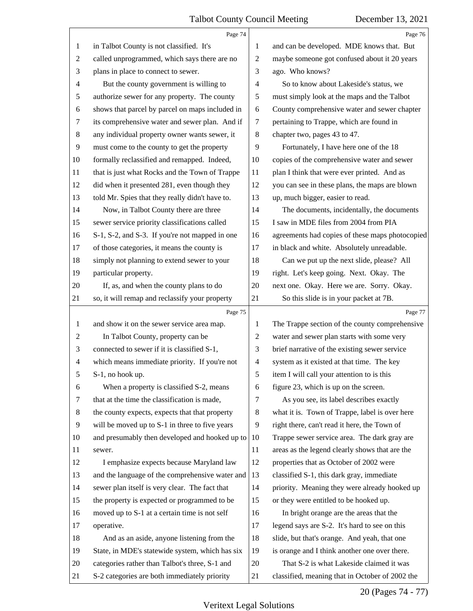<span id="page-20-0"></span>

|                | Page 74                                                                                           |                | Page 76                                                                                   |
|----------------|---------------------------------------------------------------------------------------------------|----------------|-------------------------------------------------------------------------------------------|
| 1              | in Talbot County is not classified. It's                                                          | 1              | and can be developed. MDE knows that. But                                                 |
| 2              | called unprogrammed, which says there are no                                                      | $\overline{c}$ | maybe someone got confused about it 20 years                                              |
| 3              | plans in place to connect to sewer.                                                               | 3              | ago. Who knows?                                                                           |
| 4              | But the county government is willing to                                                           | $\overline{4}$ | So to know about Lakeside's status, we                                                    |
| 5              | authorize sewer for any property. The county                                                      | 5              | must simply look at the maps and the Talbot                                               |
| 6              | shows that parcel by parcel on maps included in                                                   | 6              | County comprehensive water and sewer chapter                                              |
| 7              | its comprehensive water and sewer plan. And if                                                    | 7              | pertaining to Trappe, which are found in                                                  |
| $8\,$          | any individual property owner wants sewer, it                                                     | 8              | chapter two, pages 43 to 47.                                                              |
| $\overline{9}$ | must come to the county to get the property                                                       | 9              | Fortunately, I have here one of the 18                                                    |
| 10             | formally reclassified and remapped. Indeed,                                                       | 10             | copies of the comprehensive water and sewer                                               |
| 11             | that is just what Rocks and the Town of Trappe                                                    | 11             | plan I think that were ever printed. And as                                               |
| 12             | did when it presented 281, even though they                                                       | 12             | you can see in these plans, the maps are blown                                            |
| 13             | told Mr. Spies that they really didn't have to.                                                   | 13             | up, much bigger, easier to read.                                                          |
| 14             | Now, in Talbot County there are three                                                             | 14             | The documents, incidentally, the documents                                                |
| 15             | sewer service priority classifications called                                                     | 15             | I saw in MDE files from 2004 from PIA                                                     |
| 16             | S-1, S-2, and S-3. If you're not mapped in one                                                    | 16             | agreements had copies of these maps photocopied                                           |
| 17             | of those categories, it means the county is                                                       | 17             | in black and white. Absolutely unreadable.                                                |
| 18             | simply not planning to extend sewer to your                                                       | 18             | Can we put up the next slide, please? All                                                 |
| 19             | particular property.                                                                              | 19             | right. Let's keep going. Next. Okay. The                                                  |
| 20             | If, as, and when the county plans to do                                                           | 20             | next one. Okay. Here we are. Sorry. Okay.                                                 |
| 21             | so, it will remap and reclassify your property                                                    | 21             | So this slide is in your packet at 7B.                                                    |
|                | Page 75                                                                                           |                | Page 77                                                                                   |
|                |                                                                                                   |                |                                                                                           |
| 1              | and show it on the sewer service area map.                                                        | 1              | The Trappe section of the county comprehensive                                            |
| 2              | In Talbot County, property can be                                                                 | 2              | water and sewer plan starts with some very                                                |
| 3              | connected to sewer if it is classified S-1,                                                       | 3              | brief narrative of the existing sewer service                                             |
| $\overline{4}$ | which means immediate priority. If you're not                                                     | $\overline{4}$ | system as it existed at that time. The key                                                |
| 5              | S-1, no hook up.                                                                                  | 5              | item I will call your attention to is this                                                |
| 6              | When a property is classified S-2, means                                                          | 6              | figure 23, which is up on the screen.                                                     |
| 7              | that at the time the classification is made,                                                      | 7              | As you see, its label describes exactly                                                   |
| 8              | the county expects, expects that that property                                                    | 8              | what it is. Town of Trappe, label is over here                                            |
| $\overline{9}$ | will be moved up to S-1 in three to five years                                                    | 9              | right there, can't read it here, the Town of                                              |
| 10             | and presumably then developed and hooked up to                                                    | 10             | Trappe sewer service area. The dark gray are                                              |
| 11             | sewer.                                                                                            | 11             | areas as the legend clearly shows that are the                                            |
| 12             |                                                                                                   | 12             | properties that as October of 2002 were                                                   |
| 13             | I emphasize expects because Maryland law                                                          | 13             |                                                                                           |
| 14             | and the language of the comprehensive water and                                                   | 14             | classified S-1, this dark gray, immediate                                                 |
|                | sewer plan itself is very clear. The fact that                                                    | 15             | priority. Meaning they were already hooked up                                             |
| 15<br>16       | the property is expected or programmed to be                                                      | 16             | or they were entitled to be hooked up.                                                    |
| 17             | moved up to S-1 at a certain time is not self                                                     | 17             | In bright orange are the areas that the                                                   |
| 18             | operative.                                                                                        | 18             | legend says are S-2. It's hard to see on this                                             |
| 19             | And as an aside, anyone listening from the                                                        | 19             | slide, but that's orange. And yeah, that one                                              |
| 20             | State, in MDE's statewide system, which has six<br>categories rather than Talbot's three, S-1 and | 20             | is orange and I think another one over there.<br>That S-2 is what Lakeside claimed it was |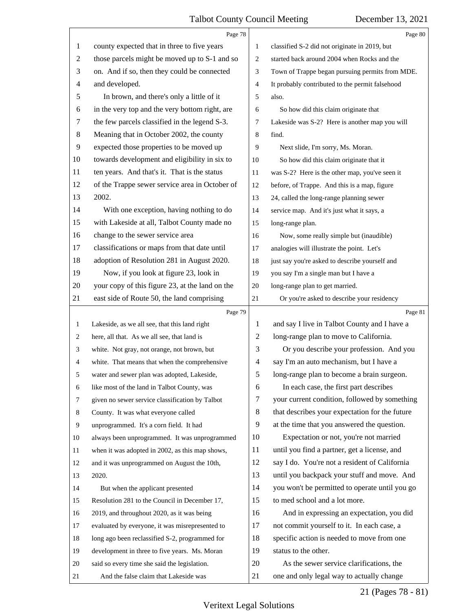<span id="page-21-0"></span>

|                | Page 78                                         |                | Page 80                                         |
|----------------|-------------------------------------------------|----------------|-------------------------------------------------|
| $\mathbf{1}$   | county expected that in three to five years     | $\mathbf{1}$   | classified S-2 did not originate in 2019, but   |
| $\overline{c}$ | those parcels might be moved up to S-1 and so   | $\overline{2}$ | started back around 2004 when Rocks and the     |
| 3              | on. And if so, then they could be connected     | 3              | Town of Trappe began pursuing permits from MDE. |
| 4              | and developed.                                  | $\overline{4}$ | It probably contributed to the permit falsehood |
| 5              | In brown, and there's only a little of it       | 5              | also.                                           |
| 6              | in the very top and the very bottom right, are  | 6              | So how did this claim originate that            |
| $\tau$         | the few parcels classified in the legend S-3.   | $\overline{7}$ | Lakeside was S-2? Here is another map you will  |
| $8\,$          | Meaning that in October 2002, the county        | 8              | find.                                           |
| 9              | expected those properties to be moved up        | 9              | Next slide, I'm sorry, Ms. Moran.               |
| 10             | towards development and eligibility in six to   | 10             | So how did this claim originate that it         |
| 11             | ten years. And that's it. That is the status    | 11             | was S-2? Here is the other map, you've seen it  |
| 12             | of the Trappe sewer service area in October of  | 12             | before, of Trappe. And this is a map, figure    |
| 13             | 2002.                                           | 13             | 24, called the long-range planning sewer        |
| 14             | With one exception, having nothing to do        | 14             | service map. And it's just what it says, a      |
| 15             | with Lakeside at all, Talbot County made no     | 15             | long-range plan.                                |
| 16             | change to the sewer service area                | 16             | Now, some really simple but (inaudible)         |
| 17             | classifications or maps from that date until    | 17             | analogies will illustrate the point. Let's      |
| 18             | adoption of Resolution 281 in August 2020.      | 18             | just say you're asked to describe yourself and  |
| 19             | Now, if you look at figure 23, look in          | 19             | you say I'm a single man but I have a           |
| 20             | your copy of this figure 23, at the land on the | 20             | long-range plan to get married.                 |
| 21             | east side of Route 50, the land comprising      | 21             | Or you're asked to describe your residency      |
|                | Page 79                                         |                | Page 81                                         |
| 1              | Lakeside, as we all see, that this land right   | 1              | and say I live in Talbot County and I have a    |
| 2              | here, all that. As we all see, that land is     | 2              | long-range plan to move to California.          |
| 3              | white. Not gray, not orange, not brown, but     | 3              | Or you describe your profession. And you        |
| 4              | white. That means that when the comprehensive   | 4              | say I'm an auto mechanism, but I have a         |
| 5              | water and sewer plan was adopted, Lakeside,     | 5              | long-range plan to become a brain surgeon.      |
| 6              | like most of the land in Talbot County, was     | 6              | In each case, the first part describes          |
| 7              | given no sewer service classification by Talbot | 7              | your current condition, followed by something   |
| 8              | County. It was what everyone called             | 8              | that describes your expectation for the future  |
| 9              | unprogrammed. It's a corn field. It had         | 9              | at the time that you answered the question.     |
| 10             | always been unprogrammed. It was unprogrammed   | 10             | Expectation or not, you're not married          |
| 11             | when it was adopted in 2002, as this map shows, | 11             | until you find a partner, get a license, and    |
| 12             |                                                 |                |                                                 |
| 13             | and it was unprogrammed on August the 10th,     | 12             | say I do. You're not a resident of California   |
| 14             | 2020.                                           | 13             | until you backpack your stuff and move. And     |
|                | But when the applicant presented                | 14             | you won't be permitted to operate until you go  |
| 15             | Resolution 281 to the Council in December 17,   | 15             | to med school and a lot more.                   |
| 16             | 2019, and throughout 2020, as it was being      | 16             | And in expressing an expectation, you did       |
| 17             | evaluated by everyone, it was misrepresented to | 17             | not commit yourself to it. In each case, a      |
| 18             | long ago been reclassified S-2, programmed for  | 18             | specific action is needed to move from one      |
| 19             | development in three to five years. Ms. Moran   | 19             | status to the other.                            |
| 20             | said so every time she said the legislation.    | 20             | As the sewer service clarifications, the        |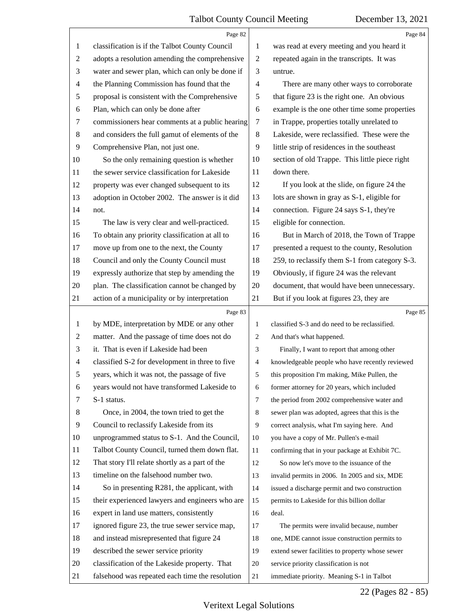<span id="page-22-0"></span>

|                | Page 82                                         |                | Page 84                                         |  |
|----------------|-------------------------------------------------|----------------|-------------------------------------------------|--|
| 1              | classification is if the Talbot County Council  | 1              | was read at every meeting and you heard it      |  |
| $\overline{2}$ | adopts a resolution amending the comprehensive  | $\overline{2}$ | repeated again in the transcripts. It was       |  |
| 3              | water and sewer plan, which can only be done if | 3              | untrue.                                         |  |
| $\overline{4}$ | the Planning Commission has found that the      | 4              | There are many other ways to corroborate        |  |
| 5              | proposal is consistent with the Comprehensive   | 5              | that figure 23 is the right one. An obvious     |  |
| 6              | Plan, which can only be done after              | 6              | example is the one other time some properties   |  |
| 7              | commissioners hear comments at a public hearing | 7              | in Trappe, properties totally unrelated to      |  |
| 8              | and considers the full gamut of elements of the | $\,8\,$        | Lakeside, were reclassified. These were the     |  |
| 9              | Comprehensive Plan, not just one.               | 9              | little strip of residences in the southeast     |  |
| 10             | So the only remaining question is whether       | 10             | section of old Trappe. This little piece right  |  |
| 11             | the sewer service classification for Lakeside   | 11             | down there.                                     |  |
| 12             | property was ever changed subsequent to its     | 12             | If you look at the slide, on figure 24 the      |  |
| 13             | adoption in October 2002. The answer is it did  | 13             | lots are shown in gray as S-1, eligible for     |  |
| 14             | not.                                            | 14             | connection. Figure 24 says S-1, they're         |  |
| 15             | The law is very clear and well-practiced.       | 15             | eligible for connection.                        |  |
| 16             | To obtain any priority classification at all to | 16             | But in March of 2018, the Town of Trappe        |  |
| 17             | move up from one to the next, the County        | 17             | presented a request to the county, Resolution   |  |
| 18             | Council and only the County Council must        | 18             | 259, to reclassify them S-1 from category S-3.  |  |
| 19             | expressly authorize that step by amending the   | 19             | Obviously, if figure 24 was the relevant        |  |
| 20             | plan. The classification cannot be changed by   | 20             | document, that would have been unnecessary.     |  |
| 21             | action of a municipality or by interpretation   | 21             | But if you look at figures 23, they are         |  |
|                |                                                 |                |                                                 |  |
|                | Page 83                                         |                | Page 85                                         |  |
| 1              | by MDE, interpretation by MDE or any other      | $\mathbf{1}$   | classified S-3 and do need to be reclassified.  |  |
| 2              | matter. And the passage of time does not do     | 2              | And that's what happened.                       |  |
| 3              | it. That is even if Lakeside had been           | 3              | Finally, I want to report that among other      |  |
| $\overline{4}$ | classified S-2 for development in three to five | 4              | knowledgeable people who have recently reviewed |  |
|                | years, which it was not, the passage of five    | 5              | this proposition I'm making, Mike Pullen, the   |  |
| 6              | years would not have transformed Lakeside to    | 6              | former attorney for 20 years, which included    |  |
| 7              | S-1 status.                                     | 7              | the period from 2002 comprehensive water and    |  |
| 8              | Once, in 2004, the town tried to get the        | 8              | sewer plan was adopted, agrees that this is the |  |
| 9              | Council to reclassify Lakeside from its         | 9              | correct analysis, what I'm saying here. And     |  |
| 10             | unprogrammed status to S-1. And the Council,    | 10             | you have a copy of Mr. Pullen's e-mail          |  |
| 11             | Talbot County Council, turned them down flat.   | 11             | confirming that in your package at Exhibit 7C.  |  |
| 12             | That story I'll relate shortly as a part of the | 12             | So now let's move to the issuance of the        |  |
| 13             | timeline on the falsehood number two.           | 13             | invalid permits in 2006. In 2005 and six, MDE   |  |
| 14             | So in presenting R281, the applicant, with      | 14             | issued a discharge permit and two construction  |  |
| 15             | their experienced lawyers and engineers who are | 15             | permits to Lakeside for this billion dollar     |  |
| 16             | expert in land use matters, consistently        | 16             | deal.                                           |  |
| 17             | ignored figure 23, the true sewer service map,  | 17             | The permits were invalid because, number        |  |
| 18             | and instead misrepresented that figure 24       | 18             | one, MDE cannot issue construction permits to   |  |
| 19             | described the sewer service priority            | 19             | extend sewer facilities to property whose sewer |  |
| 20             | classification of the Lakeside property. That   | 20             | service priority classification is not          |  |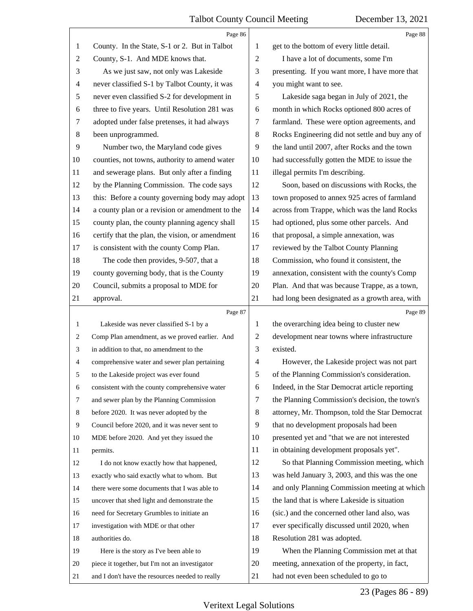<span id="page-23-0"></span>

|                | Page 86                                         |                | Page 88                                         |
|----------------|-------------------------------------------------|----------------|-------------------------------------------------|
| 1              | County. In the State, S-1 or 2. But in Talbot   | 1              | get to the bottom of every little detail.       |
| $\overline{c}$ | County, S-1. And MDE knows that.                | $\mathfrak{2}$ | I have a lot of documents, some I'm             |
| 3              | As we just saw, not only was Lakeside           | 3              | presenting. If you want more, I have more that  |
| 4              | never classified S-1 by Talbot County, it was   | $\overline{4}$ | you might want to see.                          |
| 5              | never even classified S-2 for development in    | 5              | Lakeside saga began in July of 2021, the        |
| 6              | three to five years. Until Resolution 281 was   | 6              | month in which Rocks optioned 800 acres of      |
| 7              | adopted under false pretenses, it had always    | 7              | farmland. These were option agreements, and     |
| 8              | been unprogrammed.                              | $\,8\,$        | Rocks Engineering did not settle and buy any of |
| 9              | Number two, the Maryland code gives             | 9              | the land until 2007, after Rocks and the town   |
| 10             | counties, not towns, authority to amend water   | 10             | had successfully gotten the MDE to issue the    |
| 11             | and sewerage plans. But only after a finding    | 11             | illegal permits I'm describing.                 |
| 12             | by the Planning Commission. The code says       | 12             | Soon, based on discussions with Rocks, the      |
| 13             | this: Before a county governing body may adopt  | 13             | town proposed to annex 925 acres of farmland    |
| 14             | a county plan or a revision or amendment to the | 14             | across from Trappe, which was the land Rocks    |
| 15             | county plan, the county planning agency shall   | 15             | had optioned, plus some other parcels. And      |
| 16             | certify that the plan, the vision, or amendment | 16             | that proposal, a simple annexation, was         |
| 17             | is consistent with the county Comp Plan.        | 17             | reviewed by the Talbot County Planning          |
| 18             | The code then provides, 9-507, that a           | 18             | Commission, who found it consistent, the        |
| 19             | county governing body, that is the County       | 19             | annexation, consistent with the county's Comp   |
| 20             | Council, submits a proposal to MDE for          | 20             | Plan. And that was because Trappe, as a town,   |
| 21             | approval.                                       | 21             | had long been designated as a growth area, with |
|                | Page 87                                         |                | Page 89                                         |
| $\mathbf{1}$   | Lakeside was never classified S-1 by a          | 1              | the overarching idea being to cluster new       |
|                |                                                 |                |                                                 |
| 2              | Comp Plan amendment, as we proved earlier. And  | 2              | development near towns where infrastructure     |
| 3              | in addition to that, no amendment to the        | 3              | existed.                                        |
| 4              | comprehensive water and sewer plan pertaining   | $\overline{4}$ | However, the Lakeside project was not part      |
| 5              | to the Lakeside project was ever found          | 5              | of the Planning Commission's consideration.     |
| 6              | consistent with the county comprehensive water  | 6              | Indeed, in the Star Democrat article reporting  |
| 7              | and sewer plan by the Planning Commission       | 7              | the Planning Commission's decision, the town's  |
| 8              | before 2020. It was never adopted by the        | 8              | attorney, Mr. Thompson, told the Star Democrat  |
| 9              | Council before 2020, and it was never sent to   | 9              | that no development proposals had been          |
| 10             | MDE before 2020. And yet they issued the        | 10             | presented yet and "that we are not interested   |
| 11             | permits.                                        | 11             | in obtaining development proposals yet".        |
| 12             | I do not know exactly how that happened,        | 12             | So that Planning Commission meeting, which      |
| 13             | exactly who said exactly what to whom. But      | 13             | was held January 3, 2003, and this was the one  |
| 14             | there were some documents that I was able to    | 14             | and only Planning Commission meeting at which   |
| 15             | uncover that shed light and demonstrate the     | 15             | the land that is where Lakeside is situation    |
| 16             | need for Secretary Grumbles to initiate an      | 16             | (sic.) and the concerned other land also, was   |
| 17             | investigation with MDE or that other            | 17             | ever specifically discussed until 2020, when    |
| 18             | authorities do.                                 | 18             | Resolution 281 was adopted.                     |
| 19             | Here is the story as I've been able to          | 19             | When the Planning Commission met at that        |
| 20             | piece it together, but I'm not an investigator  | 20             | meeting, annexation of the property, in fact,   |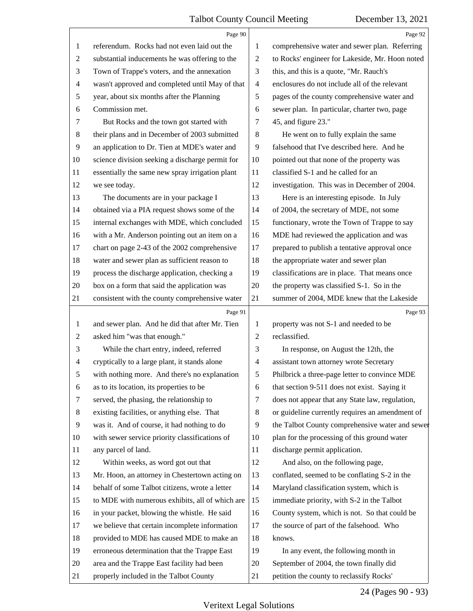<span id="page-24-0"></span>

|                | Page 90                                         |                | Page 92                                         |
|----------------|-------------------------------------------------|----------------|-------------------------------------------------|
| 1              | referendum. Rocks had not even laid out the     | 1              | comprehensive water and sewer plan. Referring   |
| $\overline{c}$ | substantial inducements he was offering to the  | $\overline{c}$ | to Rocks' engineer for Lakeside, Mr. Hoon noted |
| 3              | Town of Trappe's voters, and the annexation     | 3              | this, and this is a quote, "Mr. Rauch's         |
| 4              | wasn't approved and completed until May of that | $\overline{4}$ | enclosures do not include all of the relevant   |
| 5              | year, about six months after the Planning       | 5              | pages of the county comprehensive water and     |
| 6              | Commission met.                                 | 6              | sewer plan. In particular, charter two, page    |
| 7              | But Rocks and the town got started with         | 7              | 45, and figure 23."                             |
| 8              | their plans and in December of 2003 submitted   | $\,8\,$        | He went on to fully explain the same            |
| $\overline{9}$ | an application to Dr. Tien at MDE's water and   | 9              | falsehood that I've described here. And he      |
| 10             | science division seeking a discharge permit for | 10             | pointed out that none of the property was       |
| 11             | essentially the same new spray irrigation plant | 11             | classified S-1 and he called for an             |
| 12             | we see today.                                   | 12             | investigation. This was in December of 2004.    |
| 13             | The documents are in your package I             | 13             | Here is an interesting episode. In July         |
| 14             | obtained via a PIA request shows some of the    | 14             | of 2004, the secretary of MDE, not some         |
| 15             | internal exchanges with MDE, which concluded    | 15             | functionary, wrote the Town of Trappe to say    |
| 16             | with a Mr. Anderson pointing out an item on a   | 16             | MDE had reviewed the application and was        |
| 17             | chart on page 2-43 of the 2002 comprehensive    | 17             | prepared to publish a tentative approval once   |
| 18             | water and sewer plan as sufficient reason to    | 18             | the appropriate water and sewer plan            |
| 19             | process the discharge application, checking a   | 19             | classifications are in place. That means once   |
| 20             | box on a form that said the application was     | 20             | the property was classified S-1. So in the      |
| 21             | consistent with the county comprehensive water  | 21             | summer of 2004, MDE knew that the Lakeside      |
|                |                                                 |                |                                                 |
|                | Page 91                                         |                | Page 93                                         |
| 1              | and sewer plan. And he did that after Mr. Tien  | 1              | property was not S-1 and needed to be           |
| 2              | asked him "was that enough."                    | 2              | reclassified.                                   |
| 3              | While the chart entry, indeed, referred         | 3              | In response, on August the 12th, the            |
| 4              | cryptically to a large plant, it stands alone   | $\overline{4}$ | assistant town attorney wrote Secretary         |
| 5              | with nothing more. And there's no explanation   | 5              | Philbrick a three-page letter to convince MDE   |
| 6              | as to its location, its properties to be        | 6              | that section 9-511 does not exist. Saying it    |
| 7              | served, the phasing, the relationship to        | 7              | does not appear that any State law, regulation, |
| 8              | existing facilities, or anything else. That     | 8              | or guideline currently requires an amendment of |
| $\overline{9}$ | was it. And of course, it had nothing to do     | 9              | the Talbot County comprehensive water and sewer |
| 10             | with sewer service priority classifications of  | 10             | plan for the processing of this ground water    |
| 11             | any parcel of land.                             | 11             | discharge permit application.                   |
| 12             | Within weeks, as word got out that              | 12             | And also, on the following page,                |
| 13             | Mr. Hoon, an attorney in Chestertown acting on  | 13             | conflated, seemed to be conflating S-2 in the   |
| 14             | behalf of some Talbot citizens, wrote a letter  | 14             | Maryland classification system, which is        |
| 15             | to MDE with numerous exhibits, all of which are | 15             | immediate priority, with S-2 in the Talbot      |
| 16             | in your packet, blowing the whistle. He said    | 16             | County system, which is not. So that could be   |
| 17             | we believe that certain incomplete information  | 17             | the source of part of the falsehood. Who        |
| 18             | provided to MDE has caused MDE to make an       | 18             | knows.                                          |
| 19             | erroneous determination that the Trappe East    | 19             | In any event, the following month in            |
| 20             | area and the Trappe East facility had been      | 20             | September of 2004, the town finally did         |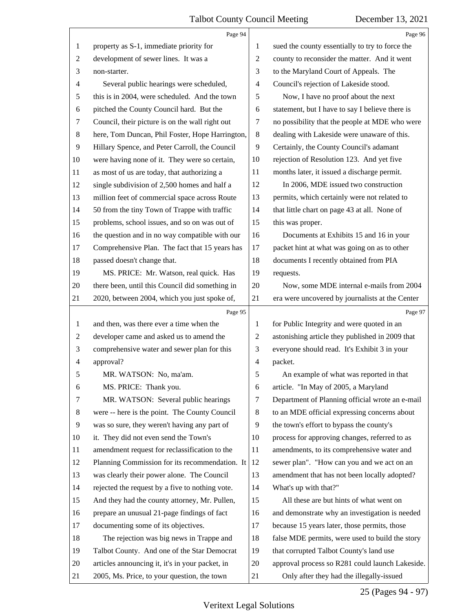<span id="page-25-0"></span>

|                | Page 94                                         |                | Page 96                                         |
|----------------|-------------------------------------------------|----------------|-------------------------------------------------|
| 1              | property as S-1, immediate priority for         | 1              | sued the county essentially to try to force the |
| $\overline{c}$ | development of sewer lines. It was a            | $\overline{c}$ | county to reconsider the matter. And it went    |
| 3              | non-starter.                                    | 3              | to the Maryland Court of Appeals. The           |
| 4              | Several public hearings were scheduled,         | $\overline{4}$ | Council's rejection of Lakeside stood.          |
| 5              | this is in 2004, were scheduled. And the town   | 5              | Now, I have no proof about the next             |
| 6              | pitched the County Council hard. But the        | 6              | statement, but I have to say I believe there is |
| 7              | Council, their picture is on the wall right out | $\tau$         | no possibility that the people at MDE who were  |
| 8              | here, Tom Duncan, Phil Foster, Hope Harrington, | 8              | dealing with Lakeside were unaware of this.     |
| $\overline{9}$ | Hillary Spence, and Peter Carroll, the Council  | 9              | Certainly, the County Council's adamant         |
| 10             | were having none of it. They were so certain,   | 10             | rejection of Resolution 123. And yet five       |
| 11             | as most of us are today, that authorizing a     | 11             | months later, it issued a discharge permit.     |
| 12             | single subdivision of 2,500 homes and half a    | 12             | In 2006, MDE issued two construction            |
| 13             | million feet of commercial space across Route   | 13             | permits, which certainly were not related to    |
| 14             | 50 from the tiny Town of Trappe with traffic    | 14             | that little chart on page 43 at all. None of    |
| 15             | problems, school issues, and so on was out of   | 15             | this was proper.                                |
| 16             | the question and in no way compatible with our  | 16             | Documents at Exhibits 15 and 16 in your         |
| 17             | Comprehensive Plan. The fact that 15 years has  | 17             | packet hint at what was going on as to other    |
| 18             | passed doesn't change that.                     | 18             | documents I recently obtained from PIA          |
| 19             | MS. PRICE: Mr. Watson, real quick. Has          | 19             | requests.                                       |
| 20             | there been, until this Council did something in | 20             | Now, some MDE internal e-mails from 2004        |
| 21             | 2020, between 2004, which you just spoke of,    | 21             | era were uncovered by journalists at the Center |
|                |                                                 |                |                                                 |
|                | Page 95                                         |                | Page 97                                         |
| 1              | and then, was there ever a time when the        | 1              | for Public Integrity and were quoted in an      |
| $\overline{c}$ | developer came and asked us to amend the        | 2              | astonishing article they published in 2009 that |
| 3              | comprehensive water and sewer plan for this     | 3              | everyone should read. It's Exhibit 3 in your    |
| 4              | approval?                                       | 4              | packet.                                         |
| 5              | MR. WATSON: No, ma'am.                          | 5              | An example of what was reported in that         |
| 6              | MS. PRICE: Thank you.                           | 6              | article. "In May of 2005, a Maryland            |
| 7              | MR. WATSON: Several public hearings             | 7              | Department of Planning official wrote an e-mail |
| 8              | were -- here is the point. The County Council   | 8              | to an MDE official expressing concerns about    |
| $\overline{9}$ | was so sure, they weren't having any part of    | 9              | the town's effort to bypass the county's        |
| 10             | it. They did not even send the Town's           | 10             | process for approving changes, referred to as   |
| 11             | amendment request for reclassification to the   | 11             | amendments, to its comprehensive water and      |
| 12             | Planning Commission for its recommendation. It  | 12             | sewer plan". "How can you and we act on an      |
| 13             | was clearly their power alone. The Council      | 13             | amendment that has not been locally adopted?    |
| 14             | rejected the request by a five to nothing vote. | 14             | What's up with that?"                           |
| 15             | And they had the county attorney, Mr. Pullen,   | 15             | All these are but hints of what went on         |
| 16             | prepare an unusual 21-page findings of fact     | 16             | and demonstrate why an investigation is needed  |
| 17             | documenting some of its objectives.             | 17             | because 15 years later, those permits, those    |
| 18             | The rejection was big news in Trappe and        | 18             | false MDE permits, were used to build the story |
| 19             | Talbot County. And one of the Star Democrat     | 19             | that corrupted Talbot County's land use         |
| 20             | articles announcing it, it's in your packet, in | 20             | approval process so R281 could launch Lakeside. |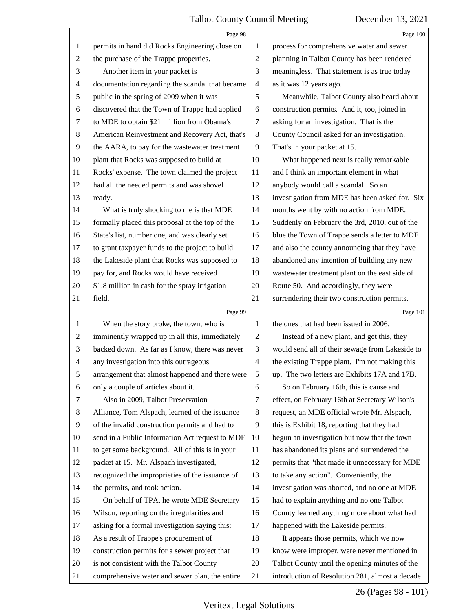<span id="page-26-0"></span>

|                | Page 98                                         |                          | Page 100                                        |
|----------------|-------------------------------------------------|--------------------------|-------------------------------------------------|
| 1              | permits in hand did Rocks Engineering close on  | 1                        | process for comprehensive water and sewer       |
| $\overline{c}$ | the purchase of the Trappe properties.          | $\overline{c}$           | planning in Talbot County has been rendered     |
| 3              | Another item in your packet is                  | 3                        | meaningless. That statement is as true today    |
| 4              | documentation regarding the scandal that became | $\overline{\mathcal{A}}$ | as it was 12 years ago.                         |
| 5              | public in the spring of 2009 when it was        | 5                        | Meanwhile, Talbot County also heard about       |
| 6              | discovered that the Town of Trappe had applied  | 6                        | construction permits. And it, too, joined in    |
| 7              | to MDE to obtain \$21 million from Obama's      | 7                        | asking for an investigation. That is the        |
| $\,8\,$        | American Reinvestment and Recovery Act, that's  | $\,8\,$                  | County Council asked for an investigation.      |
| 9              | the AARA, to pay for the wastewater treatment   | 9                        | That's in your packet at 15.                    |
| 10             | plant that Rocks was supposed to build at       | 10                       | What happened next is really remarkable         |
| 11             | Rocks' expense. The town claimed the project    | 11                       | and I think an important element in what        |
| 12             | had all the needed permits and was shovel       | 12                       | anybody would call a scandal. So an             |
| 13             | ready.                                          | 13                       | investigation from MDE has been asked for. Six  |
| 14             | What is truly shocking to me is that MDE        | 14                       | months went by with no action from MDE.         |
| 15             | formally placed this proposal at the top of the | 15                       | Suddenly on February the 3rd, 2010, out of the  |
| 16             | State's list, number one, and was clearly set   | 16                       | blue the Town of Trappe sends a letter to MDE   |
| 17             | to grant taxpayer funds to the project to build | 17                       | and also the county announcing that they have   |
| 18             | the Lakeside plant that Rocks was supposed to   | 18                       | abandoned any intention of building any new     |
| 19             | pay for, and Rocks would have received          | 19                       | wastewater treatment plant on the east side of  |
| 20             | \$1.8 million in cash for the spray irrigation  | 20                       | Route 50. And accordingly, they were            |
| 21             | field.                                          | 21                       | surrendering their two construction permits,    |
|                | Page 99                                         |                          | Page 101                                        |
| $\mathbf{1}$   | When the story broke, the town, who is          | 1                        | the ones that had been issued in 2006.          |
| $\overline{c}$ | imminently wrapped up in all this, immediately  | $\overline{c}$           | Instead of a new plant, and get this, they      |
| 3              | backed down. As far as I know, there was never  | $\mathfrak{Z}$           | would send all of their sewage from Lakeside to |
| $\overline{4}$ | any investigation into this outrageous          | $\overline{4}$           |                                                 |
|                |                                                 |                          | the existing Trappe plant. I'm not making this  |
| 5              | arrangement that almost happened and there were | 5                        | up. The two letters are Exhibits 17A and 17B.   |
| 6              | only a couple of articles about it.             | 6                        | So on February 16th, this is cause and          |
| 7              | Also in 2009, Talbot Preservation               | 7                        | effect, on February 16th at Secretary Wilson's  |
| 8              | Alliance, Tom Alspach, learned of the issuance  | 8                        | request, an MDE official wrote Mr. Alspach,     |
| 9              | of the invalid construction permits and had to  | 9                        | this is Exhibit 18, reporting that they had     |
| 10             | send in a Public Information Act request to MDE | 10                       | begun an investigation but now that the town    |
| 11             | to get some background. All of this is in your  | 11                       | has abandoned its plans and surrendered the     |
| 12             | packet at 15. Mr. Alspach investigated,         | 12                       | permits that "that made it unnecessary for MDE  |
| 13             | recognized the improprieties of the issuance of | 13                       | to take any action". Conveniently, the          |
| 14             | the permits, and took action.                   | 14                       | investigation was aborted, and no one at MDE    |
| 15             | On behalf of TPA, he wrote MDE Secretary        | 15                       | had to explain anything and no one Talbot       |
| 16             | Wilson, reporting on the irregularities and     | 16                       | County learned anything more about what had     |
| 17             | asking for a formal investigation saying this:  | 17                       | happened with the Lakeside permits.             |
| 18             | As a result of Trappe's procurement of          | 18                       | It appears those permits, which we now          |
| 19             | construction permits for a sewer project that   | 19                       | know were improper, were never mentioned in     |
| 20             | is not consistent with the Talbot County        | 20                       | Talbot County until the opening minutes of the  |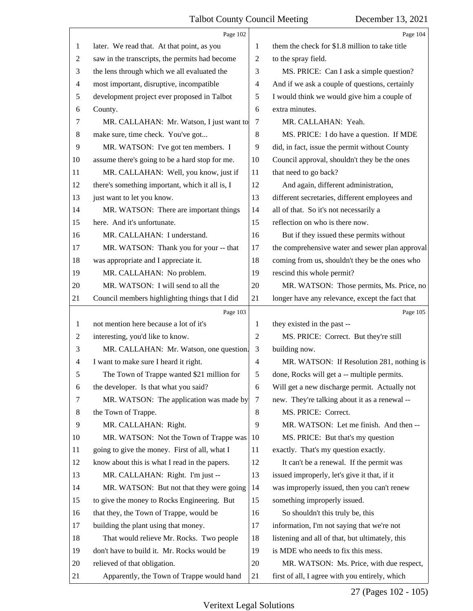<span id="page-27-0"></span>

|                | Page 102                                        |                                                    | Page 104                                        |
|----------------|-------------------------------------------------|----------------------------------------------------|-------------------------------------------------|
| 1              | later. We read that. At that point, as you      | 1                                                  | them the check for \$1.8 million to take title  |
| $\overline{c}$ | saw in the transcripts, the permits had become  | 2                                                  | to the spray field.                             |
| 3              | the lens through which we all evaluated the     | 3                                                  | MS. PRICE: Can I ask a simple question?         |
| 4              | most important, disruptive, incompatible        | 4                                                  | And if we ask a couple of questions, certainly  |
| 5              | development project ever proposed in Talbot     | 5                                                  | I would think we would give him a couple of     |
| 6              | County.                                         | 6                                                  | extra minutes.                                  |
| 7              | MR. CALLAHAN: Mr. Watson, I just want to        | 7                                                  | MR. CALLAHAN: Yeah.                             |
| 8              | make sure, time check. You've got               | 8                                                  | MS. PRICE: I do have a question. If MDE         |
| 9              | MR. WATSON: I've got ten members. I             | 9                                                  | did, in fact, issue the permit without County   |
| 10             | assume there's going to be a hard stop for me.  | Council approval, shouldn't they be the ones<br>10 |                                                 |
| 11             | MR. CALLAHAN: Well, you know, just if           | 11                                                 | that need to go back?                           |
| 12             | there's something important, which it all is, I | And again, different administration,<br>12         |                                                 |
| 13             | just want to let you know.                      | 13                                                 | different secretaries, different employees and  |
| 14             | MR. WATSON: There are important things          | 14                                                 | all of that. So it's not necessarily a          |
| 15             | here. And it's unfortunate.                     | 15                                                 | reflection on who is there now.                 |
| 16             | MR. CALLAHAN: I understand.                     | 16                                                 | But if they issued these permits without        |
| 17             | MR. WATSON: Thank you for your -- that          | 17                                                 | the comprehensive water and sewer plan approval |
| 18             | was appropriate and I appreciate it.            | 18                                                 | coming from us, shouldn't they be the ones who  |
| 19             | MR. CALLAHAN: No problem.                       | 19                                                 | rescind this whole permit?                      |
| 20             | MR. WATSON: I will send to all the              | 20                                                 | MR. WATSON: Those permits, Ms. Price, no        |
| 21             | Council members highlighting things that I did  | 21                                                 | longer have any relevance, except the fact that |
|                | Page 103                                        |                                                    | Page 105                                        |
| 1              | not mention here because a lot of it's          | 1                                                  | they existed in the past --                     |
| 2              | interesting, you'd like to know.                | $\overline{2}$                                     | MS. PRICE: Correct. But they're still           |
|                | MR. CALLAHAN: Mr. Watson, one question.         |                                                    |                                                 |
| 3              |                                                 | 3                                                  | building now.                                   |
| 4              | I want to make sure I heard it right.           | $\overline{4}$                                     | MR. WATSON: If Resolution 281, nothing is       |
| 5              | The Town of Trappe wanted \$21 million for      | 5                                                  | done, Rocks will get a -- multiple permits.     |
| 6              | the developer. Is that what you said?           | 6                                                  | Will get a new discharge permit. Actually not   |
| 7              | MR. WATSON: The application was made by         | 7                                                  | new. They're talking about it as a renewal --   |
| 8              | the Town of Trappe.                             | 8                                                  | MS. PRICE: Correct.                             |
| 9              | MR. CALLAHAN: Right.                            | 9                                                  | MR. WATSON: Let me finish. And then --          |
| 10             | MR. WATSON: Not the Town of Trappe was          | 10                                                 | MS. PRICE: But that's my question               |
| 11             | going to give the money. First of all, what I   | 11                                                 | exactly. That's my question exactly.            |
| 12             | know about this is what I read in the papers.   | 12                                                 | It can't be a renewal. If the permit was        |
| 13             | MR. CALLAHAN: Right. I'm just --                | 13                                                 | issued improperly, let's give it that, if it    |
| 14             | MR. WATSON: But not that they were going        | 14                                                 | was improperly issued, then you can't renew     |
| 15             | to give the money to Rocks Engineering. But     | 15                                                 | something improperly issued.                    |
| 16             | that they, the Town of Trappe, would be         | 16                                                 | So shouldn't this truly be, this                |
| 17             | building the plant using that money.            | 17                                                 | information, I'm not saying that we're not      |
| 18             | That would relieve Mr. Rocks. Two people        | 18                                                 | listening and all of that, but ultimately, this |
| 19             | don't have to build it. Mr. Rocks would be      | 19                                                 | is MDE who needs to fix this mess.              |
| 20             | relieved of that obligation.                    | 20                                                 | MR. WATSON: Ms. Price, with due respect,        |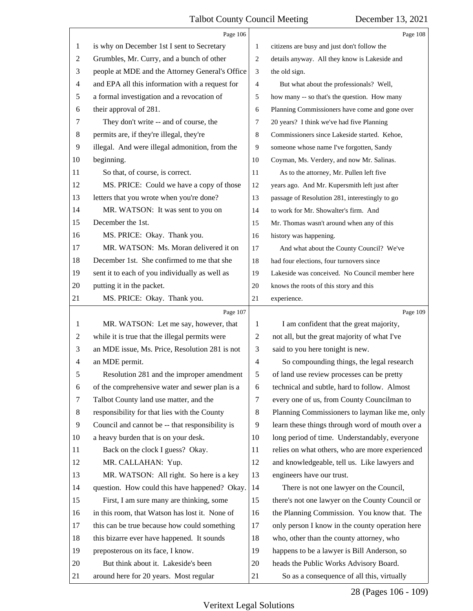<span id="page-28-0"></span>

|                          | Page 106                                        |                | Page 108                                        |
|--------------------------|-------------------------------------------------|----------------|-------------------------------------------------|
| 1                        | is why on December 1st I sent to Secretary      | $\mathbf{1}$   | citizens are busy and just don't follow the     |
| $\overline{c}$           | Grumbles, Mr. Curry, and a bunch of other       | 2              | details anyway. All they know is Lakeside and   |
| 3                        | people at MDE and the Attorney General's Office | 3              | the old sign.                                   |
| $\overline{\mathcal{A}}$ | and EPA all this information with a request for | $\overline{4}$ | But what about the professionals? Well,         |
| 5                        | a formal investigation and a revocation of      | 5              | how many -- so that's the question. How many    |
| 6                        | their approval of 281.                          | 6              | Planning Commissioners have come and gone over  |
| 7                        | They don't write -- and of course, the          | 7              | 20 years? I think we've had five Planning       |
| 8                        | permits are, if they're illegal, they're        | 8              | Commissioners since Lakeside started. Kehoe,    |
| 9                        | illegal. And were illegal admonition, from the  | 9              | someone whose name I've forgotten, Sandy        |
| 10                       | beginning.                                      | 10             | Coyman, Ms. Verdery, and now Mr. Salinas.       |
| 11                       | So that, of course, is correct.                 | 11             | As to the attorney, Mr. Pullen left five        |
| 12                       | MS. PRICE: Could we have a copy of those        | 12             | years ago. And Mr. Kupersmith left just after   |
| 13                       | letters that you wrote when you're done?        | 13             | passage of Resolution 281, interestingly to go  |
| 14                       | MR. WATSON: It was sent to you on               | 14             | to work for Mr. Showalter's firm. And           |
| 15                       | December the 1st.                               | 15             | Mr. Thomas wasn't around when any of this       |
| 16                       | MS. PRICE: Okay. Thank you.                     | 16             | history was happening.                          |
| 17                       | MR. WATSON: Ms. Moran delivered it on           | 17             | And what about the County Council? We've        |
| 18                       | December 1st. She confirmed to me that she      | 18             | had four elections, four turnovers since        |
| 19                       | sent it to each of you individually as well as  | 19             | Lakeside was conceived. No Council member here  |
| 20                       | putting it in the packet.                       | 20             | knows the roots of this story and this          |
| 21                       | MS. PRICE: Okay. Thank you.                     | 21             | experience.                                     |
|                          | Page 107                                        |                | Page 109                                        |
|                          | MR. WATSON: Let me say, however, that           |                |                                                 |
| $\mathbf{1}$             |                                                 | 1              | I am confident that the great majority,         |
| 2                        | while it is true that the illegal permits were  | 2              | not all, but the great majority of what I've    |
| 3                        | an MDE issue, Ms. Price, Resolution 281 is not  | 3              | said to you here tonight is new.                |
| 4                        | an MDE permit.                                  | $\overline{4}$ | So compounding things, the legal research       |
| 5                        | Resolution 281 and the improper amendment       | 5              | of land use review processes can be pretty      |
| 6                        | of the comprehensive water and sewer plan is a  | 6              | technical and subtle, hard to follow. Almost    |
| 7                        | Talbot County land use matter, and the          | 7              | every one of us, from County Councilman to      |
| 8                        | responsibility for that lies with the County    | 8              | Planning Commissioners to layman like me, only  |
| 9                        | Council and cannot be -- that responsibility is | 9              | learn these things through word of mouth over a |
| 10                       | a heavy burden that is on your desk.            | 10             | long period of time. Understandably, everyone   |
| 11                       | Back on the clock I guess? Okay.                | 11             | relies on what others, who are more experienced |
| 12                       | MR. CALLAHAN: Yup.                              | 12             | and knowledgeable, tell us. Like lawyers and    |
| 13                       | MR. WATSON: All right. So here is a key         | 13             | engineers have our trust.                       |
| 14                       | question. How could this have happened? Okay.   | 14             | There is not one lawyer on the Council,         |
| 15                       | First, I am sure many are thinking, some        | 15             | there's not one lawyer on the County Council or |
| 16                       | in this room, that Watson has lost it. None of  | 16             | the Planning Commission. You know that. The     |
| 17                       | this can be true because how could something    | 17             | only person I know in the county operation here |
| 18                       | this bizarre ever have happened. It sounds      | 18             | who, other than the county attorney, who        |
| 19                       | preposterous on its face, I know.               | 19             | happens to be a lawyer is Bill Anderson, so     |
| 20                       | But think about it. Lakeside's been             | 20             | heads the Public Works Advisory Board.          |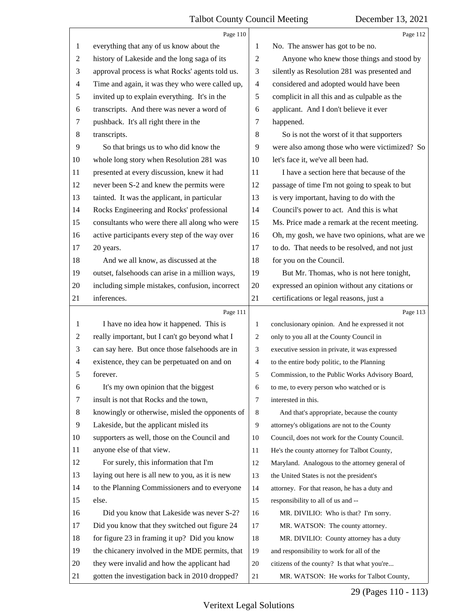<span id="page-29-0"></span>

|                | Page 110                                        |                | Page 112                                        |
|----------------|-------------------------------------------------|----------------|-------------------------------------------------|
| 1              | everything that any of us know about the        | 1              | No. The answer has got to be no.                |
| $\overline{c}$ | history of Lakeside and the long saga of its    | $\overline{c}$ | Anyone who knew those things and stood by       |
| 3              | approval process is what Rocks' agents told us. | 3              | silently as Resolution 281 was presented and    |
| 4              | Time and again, it was they who were called up, | $\overline{4}$ | considered and adopted would have been          |
| 5              | invited up to explain everything. It's in the   | 5              | complicit in all this and as culpable as the    |
| 6              | transcripts. And there was never a word of      | 6              | applicant. And I don't believe it ever          |
| 7              | pushback. It's all right there in the           | 7              | happened.                                       |
| 8              | transcripts.                                    | 8              | So is not the worst of it that supporters       |
| 9              | So that brings us to who did know the           | 9              | were also among those who were victimized? So   |
| 10             | whole long story when Resolution 281 was        | 10             | let's face it, we've all been had.              |
| 11             | presented at every discussion, knew it had      | 11             | I have a section here that because of the       |
| 12             | never been S-2 and knew the permits were        | 12             | passage of time I'm not going to speak to but   |
| 13             | tainted. It was the applicant, in particular    | 13             | is very important, having to do with the        |
| 14             | Rocks Engineering and Rocks' professional       | 14             | Council's power to act. And this is what        |
| 15             | consultants who were there all along who were   | 15             | Ms. Price made a remark at the recent meeting.  |
| 16             | active participants every step of the way over  | 16             | Oh, my gosh, we have two opinions, what are we  |
| 17             | 20 years.                                       | 17             | to do. That needs to be resolved, and not just  |
| 18             | And we all know, as discussed at the            | 18             | for you on the Council.                         |
| 19             | outset, falsehoods can arise in a million ways, | 19             | But Mr. Thomas, who is not here tonight,        |
| 20             | including simple mistakes, confusion, incorrect | 20             | expressed an opinion without any citations or   |
| 21             | inferences.                                     | 21             | certifications or legal reasons, just a         |
|                | Page 111                                        |                | Page 113                                        |
| 1              | I have no idea how it happened. This is         | $\mathbf{1}$   | conclusionary opinion. And he expressed it not  |
| 2              | really important, but I can't go beyond what I  | 2              | only to you all at the County Council in        |
| 3              | can say here. But once those falsehoods are in  | 3              | executive session in private, it was expressed  |
| $\overline{4}$ | existence, they can be perpetuated on and on    |                |                                                 |
| 5              |                                                 | 4              | to the entire body politic, to the Planning     |
|                | forever.                                        | 5              | Commission, to the Public Works Advisory Board, |
| 6              | It's my own opinion that the biggest            | 6              | to me, to every person who watched or is        |
| 7              | insult is not that Rocks and the town,          | 7              | interested in this.                             |
| 8              | knowingly or otherwise, misled the opponents of | 8              | And that's appropriate, because the county      |
| 9              | Lakeside, but the applicant misled its          | 9              | attorney's obligations are not to the County    |
| 10             | supporters as well, those on the Council and    | 10             | Council, does not work for the County Council.  |
| 11             | anyone else of that view.                       | 11             | He's the county attorney for Talbot County,     |
| 12             | For surely, this information that I'm           | 12             | Maryland. Analogous to the attorney general of  |
| 13             | laying out here is all new to you, as it is new | 13             | the United States is not the president's        |
| 14             | to the Planning Commissioners and to everyone   | 14             | attorney. For that reason, he has a duty and    |
| 15             | else.                                           | 15             | responsibility to all of us and --              |
| 16             | Did you know that Lakeside was never S-2?       | 16             | MR. DIVILIO: Who is that? I'm sorry.            |
| 17             | Did you know that they switched out figure 24   | 17             | MR. WATSON: The county attorney.                |
| 18             | for figure 23 in framing it up? Did you know    | 18             | MR. DIVILIO: County attorney has a duty         |
| 19             | the chicanery involved in the MDE permits, that | 19             | and responsibility to work for all of the       |
| 20             | they were invalid and how the applicant had     | 20             | citizens of the county? Is that what you're     |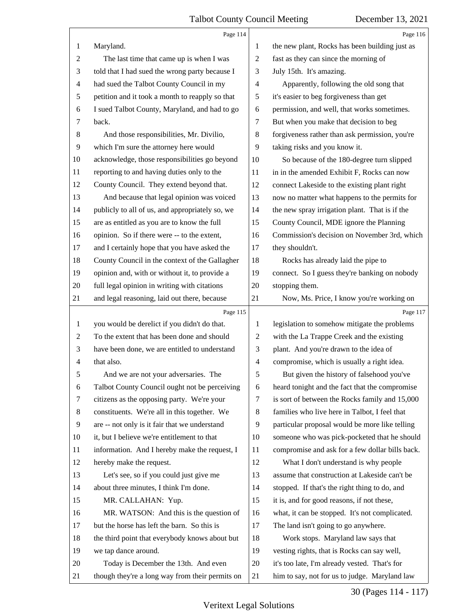<span id="page-30-0"></span>

|                | Page 114                                        |                                                     | Page 116                                        |
|----------------|-------------------------------------------------|-----------------------------------------------------|-------------------------------------------------|
| 1              | Maryland.                                       | 1                                                   | the new plant, Rocks has been building just as  |
| $\overline{c}$ | The last time that came up is when I was        | 2                                                   | fast as they can since the morning of           |
| 3              | told that I had sued the wrong party because I  | 3                                                   | July 15th. It's amazing.                        |
| $\overline{4}$ | had sued the Talbot County Council in my        | $\overline{4}$                                      | Apparently, following the old song that         |
| 5              | petition and it took a month to reapply so that | 5                                                   | it's easier to beg forgiveness than get         |
| 6              | I sued Talbot County, Maryland, and had to go   | 6                                                   | permission, and well, that works sometimes.     |
| 7              | back.                                           | 7                                                   | But when you make that decision to beg          |
| $8\,$          | And those responsibilities, Mr. Divilio,        | forgiveness rather than ask permission, you're<br>8 |                                                 |
| 9              | which I'm sure the attorney here would          | 9                                                   | taking risks and you know it.                   |
| 10             | acknowledge, those responsibilities go beyond   | 10<br>So because of the 180-degree turn slipped     |                                                 |
| 11             | reporting to and having duties only to the      | 11<br>in in the amended Exhibit F, Rocks can now    |                                                 |
| 12             | County Council. They extend beyond that.        | connect Lakeside to the existing plant right<br>12  |                                                 |
| 13             | And because that legal opinion was voiced       | 13                                                  | now no matter what happens to the permits for   |
| 14             | publicly to all of us, and appropriately so, we | 14                                                  | the new spray irrigation plant. That is if the  |
| 15             | are as entitled as you are to know the full     | 15                                                  | County Council, MDE ignore the Planning         |
| 16             | opinion. So if there were -- to the extent,     | 16                                                  | Commission's decision on November 3rd, which    |
| 17             | and I certainly hope that you have asked the    | 17                                                  | they shouldn't.                                 |
| 18             | County Council in the context of the Gallagher  | 18                                                  | Rocks has already laid the pipe to              |
| 19             | opinion and, with or without it, to provide a   | 19                                                  | connect. So I guess they're banking on nobody   |
| 20             | full legal opinion in writing with citations    | 20                                                  | stopping them.                                  |
| 21             | and legal reasoning, laid out there, because    | 21                                                  | Now, Ms. Price, I know you're working on        |
|                | Page 115                                        |                                                     | Page 117                                        |
|                |                                                 |                                                     |                                                 |
| $\mathbf{1}$   | you would be derelict if you didn't do that.    | 1                                                   | legislation to somehow mitigate the problems    |
| 2              | To the extent that has been done and should     | $\overline{c}$                                      | with the La Trappe Creek and the existing       |
| 3              | have been done, we are entitled to understand   | 3                                                   | plant. And you're drawn to the idea of          |
| $\overline{4}$ | that also.                                      | $\overline{4}$                                      | compromise, which is usually a right idea.      |
| 5              | And we are not your adversaries. The            | 5                                                   | But given the history of falsehood you've       |
| 6              | Talbot County Council ought not be perceiving   | 6                                                   | heard tonight and the fact that the compromise  |
| 7              | citizens as the opposing party. We're your      | 7                                                   | is sort of between the Rocks family and 15,000  |
| 8              | constituents. We're all in this together. We    | 8                                                   | families who live here in Talbot, I feel that   |
| 9              | are -- not only is it fair that we understand   | 9                                                   | particular proposal would be more like telling  |
| 10             | it, but I believe we're entitlement to that     | 10                                                  | someone who was pick-pocketed that he should    |
| 11             | information. And I hereby make the request, I   | 11                                                  | compromise and ask for a few dollar bills back. |
| 12             | hereby make the request.                        | 12                                                  | What I don't understand is why people           |
| 13             | Let's see, so if you could just give me         | 13                                                  | assume that construction at Lakeside can't be   |
| 14             | about three minutes, I think I'm done.          | 14                                                  | stopped. If that's the right thing to do, and   |
| 15             | MR. CALLAHAN: Yup.                              | 15                                                  | it is, and for good reasons, if not these,      |
| 16             | MR. WATSON: And this is the question of         | 16                                                  | what, it can be stopped. It's not complicated.  |
| 17             | but the horse has left the barn. So this is     | 17                                                  | The land isn't going to go anywhere.            |
| 18             | the third point that everybody knows about but  | 18                                                  | Work stops. Maryland law says that              |
| 19             | we tap dance around.                            | 19                                                  | vesting rights, that is Rocks can say well,     |
| 20             | Today is December the 13th. And even            | 20                                                  | it's too late, I'm already vested. That's for   |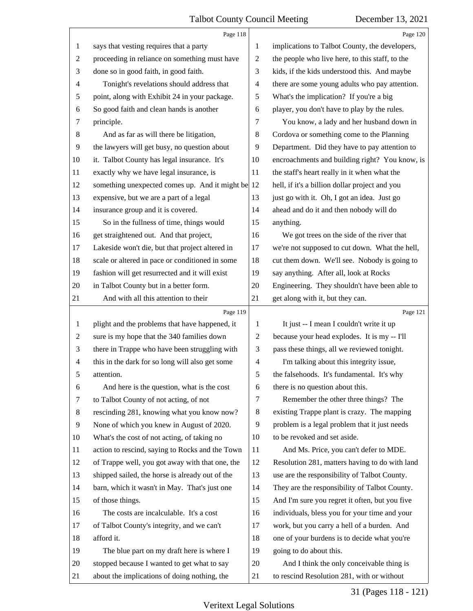<span id="page-31-0"></span>

|                | Page 118                                          |                                                      | Page 120                                        |
|----------------|---------------------------------------------------|------------------------------------------------------|-------------------------------------------------|
| 1              | says that vesting requires that a party           | 1                                                    | implications to Talbot County, the developers,  |
| $\sqrt{2}$     | proceeding in reliance on something must have     | $\overline{c}$                                       | the people who live here, to this staff, to the |
| 3              | done so in good faith, in good faith.             | 3                                                    | kids, if the kids understood this. And maybe    |
| $\overline{4}$ | Tonight's revelations should address that         | $\overline{\mathcal{A}}$                             | there are some young adults who pay attention.  |
| $\sqrt{5}$     | point, along with Exhibit 24 in your package.     | 5                                                    | What's the implication? If you're a big         |
| 6              | So good faith and clean hands is another          | 6                                                    | player, you don't have to play by the rules.    |
| $\tau$         | principle.                                        | 7                                                    | You know, a lady and her husband down in        |
| $\,8\,$        | And as far as will there be litigation,           | $\,8\,$                                              | Cordova or something come to the Planning       |
| 9              | the lawyers will get busy, no question about      | 9                                                    | Department. Did they have to pay attention to   |
| 10             | it. Talbot County has legal insurance. It's       | encroachments and building right? You know, is<br>10 |                                                 |
| 11             | exactly why we have legal insurance, is           | 11                                                   | the staff's heart really in it when what the    |
| 12             | something unexpected comes up. And it might be 12 | hell, if it's a billion dollar project and you       |                                                 |
| 13             | expensive, but we are a part of a legal           | 13                                                   | just go with it. Oh, I got an idea. Just go     |
| 14             | insurance group and it is covered.                | 14                                                   | ahead and do it and then nobody will do         |
| 15             | So in the fullness of time, things would          | 15                                                   | anything.                                       |
| 16             | get straightened out. And that project,           | 16                                                   | We got trees on the side of the river that      |
| 17             | Lakeside won't die, but that project altered in   | 17                                                   | we're not supposed to cut down. What the hell,  |
| 18             | scale or altered in pace or conditioned in some   | 18                                                   | cut them down. We'll see. Nobody is going to    |
| 19             | fashion will get resurrected and it will exist    | 19                                                   | say anything. After all, look at Rocks          |
| 20             | in Talbot County but in a better form.            | 20                                                   | Engineering. They shouldn't have been able to   |
| 21             | And with all this attention to their              | 21                                                   | get along with it, but they can.                |
|                | Page 119                                          |                                                      | Page 121                                        |
| $\mathbf{1}$   | plight and the problems that have happened, it    | $\mathbf{1}$                                         | It just -- I mean I couldn't write it up        |
| $\overline{2}$ | sure is my hope that the 340 families down        | $\overline{2}$                                       | because your head explodes. It is my -- I'll    |
| 3              | there in Trappe who have been struggling with     | 3                                                    | pass these things, all we reviewed tonight.     |
| $\overline{4}$ | this in the dark for so long will also get some   | $\overline{4}$                                       | I'm talking about this integrity issue,         |
| 5              | attention.                                        | 5                                                    | the falsehoods. It's fundamental. It's why      |
| 6              | And here is the question, what is the cost        | 6                                                    | there is no question about this.                |
| 7              | to Talbot County of not acting, of not            | 7                                                    | Remember the other three things? The            |
| $8\phantom{1}$ |                                                   |                                                      |                                                 |
| 9              | rescinding 281, knowing what you know now?        | $\,8\,$                                              | existing Trappe plant is crazy. The mapping     |
|                | None of which you knew in August of 2020.         | 9                                                    | problem is a legal problem that it just needs   |
| 10             | What's the cost of not acting, of taking no       | 10                                                   | to be revoked and set aside.                    |
| 11             | action to rescind, saying to Rocks and the Town   | 11                                                   | And Ms. Price, you can't defer to MDE.          |
| 12             | of Trappe well, you got away with that one, the   | 12                                                   | Resolution 281, matters having to do with land  |
| 13             | shipped sailed, the horse is already out of the   | 13                                                   | use are the responsibility of Talbot County.    |
| 14             | barn, which it wasn't in May. That's just one     | 14                                                   | They are the responsibility of Talbot County.   |
| 15             | of those things.                                  | 15                                                   | And I'm sure you regret it often, but you five  |
| 16             | The costs are incalculable. It's a cost           | 16                                                   | individuals, bless you for your time and your   |
| 17             | of Talbot County's integrity, and we can't        | 17                                                   | work, but you carry a hell of a burden. And     |
| 18             | afford it.                                        | 18                                                   | one of your burdens is to decide what you're    |
| 19             | The blue part on my draft here is where I         | 19                                                   | going to do about this.                         |
| 20             | stopped because I wanted to get what to say       | 20                                                   | And I think the only conceivable thing is       |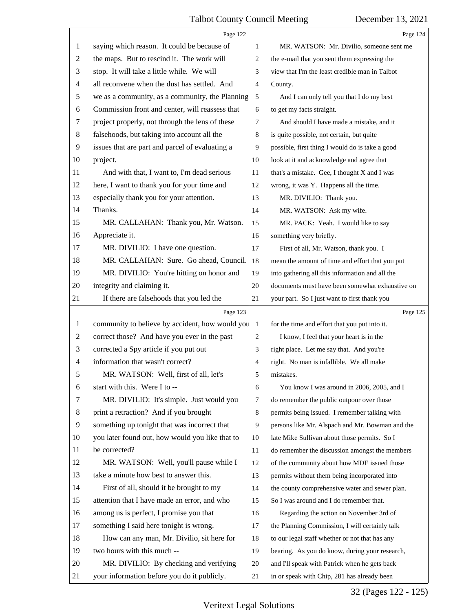<span id="page-32-0"></span>

|    | Page 122                                        |                | Page 124                                        |
|----|-------------------------------------------------|----------------|-------------------------------------------------|
| 1  | saying which reason. It could be because of     | 1              | MR. WATSON: Mr. Divilio, someone sent me        |
| 2  | the maps. But to rescind it. The work will      | 2              | the e-mail that you sent them expressing the    |
| 3  | stop. It will take a little while. We will      | 3              | view that I'm the least credible man in Talbot  |
| 4  | all reconvene when the dust has settled. And    | $\overline{4}$ | County.                                         |
| 5  | we as a community, as a community, the Planning | 5              | And I can only tell you that I do my best       |
| 6  | Commission front and center, will reassess that | 6              | to get my facts straight.                       |
| 7  | project properly, not through the lens of these | $\overline{7}$ | And should I have made a mistake, and it        |
| 8  | falsehoods, but taking into account all the     | 8              | is quite possible, not certain, but quite       |
| 9  | issues that are part and parcel of evaluating a | 9              | possible, first thing I would do is take a good |
| 10 | project.                                        | 10             | look at it and acknowledge and agree that       |
| 11 | And with that, I want to, I'm dead serious      | 11             | that's a mistake. Gee, I thought X and I was    |
| 12 | here, I want to thank you for your time and     | 12             | wrong, it was Y. Happens all the time.          |
| 13 | especially thank you for your attention.        | 13             | MR. DIVILIO: Thank you.                         |
| 14 | Thanks.                                         | 14             | MR. WATSON: Ask my wife.                        |
| 15 | MR. CALLAHAN: Thank you, Mr. Watson.            | 15             | MR. PACK: Yeah. I would like to say             |
| 16 | Appreciate it.                                  | 16             | something very briefly.                         |
| 17 | MR. DIVILIO: I have one question.               | 17             | First of all, Mr. Watson, thank you. I          |
| 18 | MR. CALLAHAN: Sure. Go ahead, Council.          | 18             | mean the amount of time and effort that you put |
| 19 | MR. DIVILIO: You're hitting on honor and        | 19             | into gathering all this information and all the |
| 20 | integrity and claiming it.                      | $20\,$         | documents must have been somewhat exhaustive on |
| 21 | If there are falsehoods that you led the        | 21             | your part. So I just want to first thank you    |
|    | Page 123                                        |                | Page 125                                        |
|    |                                                 |                |                                                 |
| 1  | community to believe by accident, how would you | $\mathbf{1}$   | for the time and effort that you put into it.   |
| 2  | correct those? And have you ever in the past    | 2              | I know, I feel that your heart is in the        |
| 3  | corrected a Spy article if you put out          | 3              | right place. Let me say that. And you're        |
| 4  | information that wasn't correct?                | $\overline{4}$ | right. No man is infallible. We all make        |
| 5  | MR. WATSON: Well, first of all, let's           | 5              | mistakes.                                       |
| 6  | start with this. Were I to --                   | 6              | You know I was around in 2006, 2005, and I      |
| 7  | MR. DIVILIO: It's simple. Just would you        | $\tau$         | do remember the public outpour over those       |
| 8  | print a retraction? And if you brought          | 8              | permits being issued. I remember talking with   |
| 9  | something up tonight that was incorrect that    | 9              | persons like Mr. Alspach and Mr. Bowman and the |
| 10 | you later found out, how would you like that to | 10             | late Mike Sullivan about those permits. So I    |
| 11 | be corrected?                                   | 11             | do remember the discussion amongst the members  |
| 12 | MR. WATSON: Well, you'll pause while I          | 12             | of the community about how MDE issued those     |
| 13 | take a minute how best to answer this.          | 13             | permits without them being incorporated into    |
| 14 | First of all, should it be brought to my        | 14             | the county comprehensive water and sewer plan.  |
| 15 | attention that I have made an error, and who    | 15             | So I was around and I do remember that.         |
| 16 | among us is perfect, I promise you that         | 16             | Regarding the action on November 3rd of         |
| 17 | something I said here tonight is wrong.         | 17             | the Planning Commission, I will certainly talk  |
| 18 | How can any man, Mr. Divilio, sit here for      | 18             | to our legal staff whether or not that has any  |
| 19 | two hours with this much --                     | 19             | bearing. As you do know, during your research,  |
| 20 | MR. DIVILIO: By checking and verifying          | 20             | and I'll speak with Patrick when he gets back   |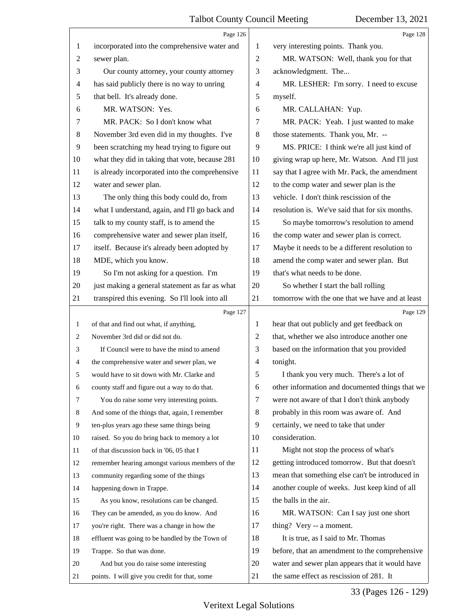<span id="page-33-0"></span>

|                | Page 126                                        |                                                      | Page 128                                        |
|----------------|-------------------------------------------------|------------------------------------------------------|-------------------------------------------------|
| 1              | incorporated into the comprehensive water and   | 1                                                    | very interesting points. Thank you.             |
| $\overline{2}$ | sewer plan.                                     | 2                                                    | MR. WATSON: Well, thank you for that            |
| 3              | Our county attorney, your county attorney       | 3                                                    | acknowledgment. The                             |
| 4              | has said publicly there is no way to unring     | 4                                                    | MR. LESHER: I'm sorry. I need to excuse         |
| 5              | that bell. It's already done.                   | 5                                                    | myself.                                         |
| 6              | MR. WATSON: Yes.                                | 6                                                    | MR. CALLAHAN: Yup.                              |
| 7              | MR. PACK: So I don't know what                  | 7                                                    | MR. PACK: Yeah. I just wanted to make           |
| 8              | November 3rd even did in my thoughts. I've      | 8<br>those statements. Thank you, Mr. --             |                                                 |
| 9              | been scratching my head trying to figure out    | 9                                                    | MS. PRICE: I think we're all just kind of       |
| 10             | what they did in taking that vote, because 281  | giving wrap up here, Mr. Watson. And I'll just<br>10 |                                                 |
| 11             | is already incorporated into the comprehensive  | 11                                                   | say that I agree with Mr. Pack, the amendment   |
| 12             | water and sewer plan.                           | to the comp water and sewer plan is the<br>12        |                                                 |
| 13             | The only thing this body could do, from         | 13                                                   | vehicle. I don't think rescission of the        |
| 14             | what I understand, again, and I'll go back and  | 14                                                   | resolution is. We've said that for six months.  |
| 15             | talk to my county staff, is to amend the        | 15                                                   | So maybe tomorrow's resolution to amend         |
| 16             | comprehensive water and sewer plan itself,      | 16                                                   | the comp water and sewer plan is correct.       |
| 17             | itself. Because it's already been adopted by    | 17                                                   | Maybe it needs to be a different resolution to  |
| 18             | MDE, which you know.                            | 18                                                   | amend the comp water and sewer plan. But        |
| 19             | So I'm not asking for a question. I'm           | 19                                                   | that's what needs to be done.                   |
| 20             | just making a general statement as far as what  | 20                                                   | So whether I start the ball rolling             |
| 21             | transpired this evening. So I'll look into all  | 21                                                   | tomorrow with the one that we have and at least |
|                | Page 127                                        |                                                      | Page 129                                        |
|                |                                                 |                                                      |                                                 |
| 1              | of that and find out what, if anything,         | 1                                                    | hear that out publicly and get feedback on      |
| 2              | November 3rd did or did not do.                 | $\overline{2}$                                       | that, whether we also introduce another one     |
| 3              | If Council were to have the mind to amend       | 3                                                    | based on the information that you provided      |
| 4              | the comprehensive water and sewer plan, we      | $\overline{4}$                                       | tonight.                                        |
|                | would have to sit down with Mr. Clarke and      | 5                                                    | I thank you very much. There's a lot of         |
| 6              | county staff and figure out a way to do that.   | 6                                                    | other information and documented things that we |
| 7              | You do raise some very interesting points.      | 7                                                    | were not aware of that I don't think anybody    |
| 8              | And some of the things that, again, I remember  | 8                                                    | probably in this room was aware of. And         |
| 9              | ten-plus years ago these same things being      | 9                                                    | certainly, we need to take that under           |
| 10             | raised. So you do bring back to memory a lot    | 10                                                   | consideration.                                  |
| 11             | of that discussion back in '06, 05 that I       | 11                                                   | Might not stop the process of what's            |
| 12             | remember hearing amongst various members of the | 12                                                   | getting introduced tomorrow. But that doesn't   |
| 13             | community regarding some of the things          | 13                                                   | mean that something else can't be introduced in |
| 14             | happening down in Trappe.                       | 14                                                   | another couple of weeks. Just keep kind of all  |
| 15             | As you know, resolutions can be changed.        | 15                                                   | the balls in the air.                           |
| 16             | They can be amended, as you do know. And        | 16                                                   | MR. WATSON: Can I say just one short            |
| 17             | you're right. There was a change in how the     | 17                                                   | thing? Very -- a moment.                        |
| 18             | effluent was going to be handled by the Town of | 18                                                   | It is true, as I said to Mr. Thomas             |
| 19             | Trappe. So that was done.                       | 19                                                   | before, that an amendment to the comprehensive  |
| 20             | And but you do raise some interesting           | 20                                                   | water and sewer plan appears that it would have |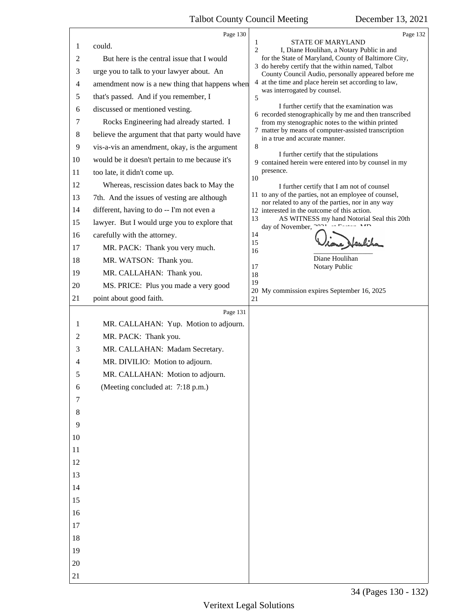<span id="page-34-0"></span>

|        | Page 130                                        | Page 132                                                                                                    |
|--------|-------------------------------------------------|-------------------------------------------------------------------------------------------------------------|
| 1      | could.                                          | 1<br><b>STATE OF MARYLAND</b>                                                                               |
| 2      | But here is the central issue that I would      | 2<br>I, Diane Houlihan, a Notary Public in and<br>for the State of Maryland, County of Baltimore City,      |
| 3      | urge you to talk to your lawyer about. An       | 3 do hereby certify that the within named, Talbot                                                           |
| 4      | amendment now is a new thing that happens when  | County Council Audio, personally appeared before me<br>4 at the time and place herein set according to law, |
| 5      | that's passed. And if you remember, I           | was interrogated by counsel.<br>5                                                                           |
| 6      | discussed or mentioned vesting.                 | I further certify that the examination was                                                                  |
| 7      | Rocks Engineering had already started. I        | 6 recorded stenographically by me and then transcribed<br>from my stenographic notes to the within printed  |
| 8      | believe the argument that that party would have | 7 matter by means of computer-assisted transcription                                                        |
| 9      | vis-a-vis an amendment, okay, is the argument   | in a true and accurate manner.<br>8                                                                         |
| 10     | would be it doesn't pertain to me because it's  | I further certify that the stipulations                                                                     |
| 11     | too late, it didn't come up.                    | 9 contained herein were entered into by counsel in my<br>presence.                                          |
| 12     | Whereas, rescission dates back to May the       | 10<br>I further certify that I am not of counsel                                                            |
| 13     | 7th. And the issues of vesting are although     | 11 to any of the parties, not an employee of counsel,                                                       |
| 14     | different, having to do -- I'm not even a       | nor related to any of the parties, nor in any way<br>12 interested in the outcome of this action.           |
| 15     | lawyer. But I would urge you to explore that    | 13<br>AS WITNESS my hand Notorial Seal this 20th                                                            |
| 16     | carefully with the attorney.                    | day of November, 2021 of Eastern MD<br>14                                                                   |
| 17     | MR. PACK: Thank you very much.                  | 15                                                                                                          |
| 18     | MR. WATSON: Thank you.                          | 16<br>Diane Houlihan                                                                                        |
| 19     | MR. CALLAHAN: Thank you.                        | 17<br>Notary Public<br>18                                                                                   |
| 20     | MS. PRICE: Plus you made a very good            | 19                                                                                                          |
| 21     | point about good faith.                         | 20 My commission expires September 16, 2025<br>21                                                           |
|        | Page 131                                        |                                                                                                             |
| 1      | MR. CALLAHAN: Yup. Motion to adjourn.           |                                                                                                             |
| 2      | MR. PACK: Thank you.                            |                                                                                                             |
| 3      | MR. CALLAHAN: Madam Secretary.                  |                                                                                                             |
| 4      | MR. DIVILIO: Motion to adjourn.                 |                                                                                                             |
| 5      | MR. CALLAHAN: Motion to adjourn.                |                                                                                                             |
| 6      | (Meeting concluded at: 7:18 p.m.)               |                                                                                                             |
| $\tau$ |                                                 |                                                                                                             |
| 8      |                                                 |                                                                                                             |
| 9      |                                                 |                                                                                                             |
| 10     |                                                 |                                                                                                             |
| 11     |                                                 |                                                                                                             |
| 12     |                                                 |                                                                                                             |
| 13     |                                                 |                                                                                                             |
| 14     |                                                 |                                                                                                             |
| 15     |                                                 |                                                                                                             |
| 16     |                                                 |                                                                                                             |
| 17     |                                                 |                                                                                                             |
| 18     |                                                 |                                                                                                             |
| 19     |                                                 |                                                                                                             |
| 20     |                                                 |                                                                                                             |
| 21     |                                                 |                                                                                                             |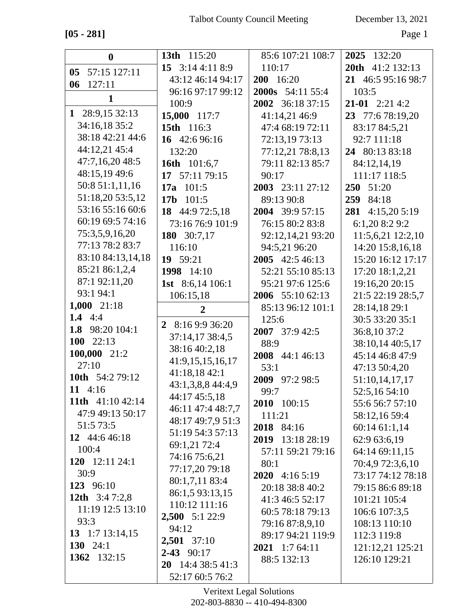**[05 - 281]** Page 1

| $\bf{0}$                   | 13th 115:20                   | 85:6 107:21 108:7       | 2025 132:20         |
|----------------------------|-------------------------------|-------------------------|---------------------|
| 05 57:15 127:11            | 15 $3:144:118:9$              | 110:17                  | 20th 41:2 132:13    |
| 127:11<br>06               | 43:12 46:14 94:17             | 200 16:20               | 21 46:5 95:16 98:7  |
|                            | 96:16 97:17 99:12             | <b>2000s</b> 54:11 55:4 | 103:5               |
| 1                          | 100:9                         | 2002 36:18 37:15        | $21-01$ $2:21$ 4:2  |
| 1 28:9,15 32:13            | 15,000 117:7                  | 41:14,21 46:9           | 23 77:6 78:19,20    |
| 34:16,18 35:2              | 15th 116:3                    | 47:4 68:19 72:11        | 83:17 84:5,21       |
| 38:18 42:21 44:6           | 16 42:6 96:16                 | 72:13,19 73:13          | 92:7 111:18         |
| 44:12,21 45:4              | 132:20                        | 77:12,21 78:8,13        | 24 80:13 83:18      |
| 47:7,16,20 48:5            | 16th 101:6,7                  | 79:11 82:13 85:7        | 84:12,14,19         |
| 48:15,19 49:6              | 17 57:11 79:15                | 90:17                   | 111:17 118:5        |
| 50:8 51:1,11,16            | 17a $101:5$                   | 2003 23:11 27:12        | <b>250</b><br>51:20 |
| 51:18,20 53:5,12           | 101:5<br>17 <sub>b</sub>      | 89:13 90:8              | 84:18<br>259        |
| 53:16 55:16 60:6           | 18 44:9 72:5,18               | 2004 39:9 57:15         | 281<br>4:15,205:19  |
| 60:19 69:5 74:16           | 73:16 76:9 101:9              | 76:15 80:2 83:8         | 6:1,20 8:2 9:2      |
| 75:3,5,9,16,20             | 180 30:7,17                   | 92:12,14,21 93:20       | 11:5,6,21 12:2,10   |
| 77:13 78:2 83:7            | 116:10                        | 94:5,21 96:20           | 14:20 15:8,16,18    |
| 83:10 84:13,14,18          | 19 59:21                      | 2005 42:5 46:13         | 15:20 16:12 17:17   |
| 85:21 86:1,2,4             | 1998 14:10                    | 52:21 55:10 85:13       | 17:20 18:1,2,21     |
| 87:1 92:11,20              | <b>1st</b> 8:6,14 106:1       | 95:21 97:6 125:6        | 19:16,20 20:15      |
| 93:1 94:1                  | 106:15,18                     | 2006 55:10 62:13        | 21:5 22:19 28:5,7   |
| 1,000 $21:18$              | $\overline{2}$                | 85:13 96:12 101:1       | 28:14,18 29:1       |
| 1.4 $4:4$                  | 8:16 9:9 36:20<br>$2^{\circ}$ | 125:6                   | 30:5 33:20 35:1     |
| 1.8 98:20 104:1            | 37:14,17 38:4,5               | $2007$ 37:9 42:5        | 36:8,10 37:2        |
| 100 $22:13$                | 38:16 40:2,18                 | 88:9                    | 38:10,14 40:5,17    |
| 100,000 21:2               | 41:9,15,15,16,17              | 2008 44:1 46:13         | 45:14 46:8 47:9     |
| 27:10                      | 41:18,18 42:1                 | 53:1                    | 47:13 50:4,20       |
| 10th 54:2 79:12            | 43:1,3,8,8 44:4,9             | 2009 97:2 98:5          | 51:10,14,17,17      |
| 11 $4:16$                  | 44:17 45:5,18                 | 99:7                    | 52:5,16 54:10       |
| 11th $41:1042:14$          | 46:11 47:4 48:7,7             | 2010 100:15             | 55:6 56:7 57:10     |
| 47:9 49:13 50:17           | 48:17 49:7,9 51:3             | 111:21                  | 58:12,16 59:4       |
| 51:5 73:5<br>12 44:6 46:18 | 51:19 54:3 57:13              | 2018 84:16              | 60:14 61:1,14       |
| 100:4                      | 69:1,21 72:4                  | 2019 13:18 28:19        | 62:9 63:6,19        |
| 120 $12:112:4:1$           | 74:16 75:6,21                 | 57:11 59:21 79:16       | 64:14 69:11,15      |
| 30:9                       | 77:17,20 79:18                | 80:1                    | 70:4,9 72:3,6,10    |
| 123 96:10                  | 80:1,7,11 83:4                | <b>2020</b> 4:16 5:19   | 73:17 74:12 78:18   |
| 12th $3:47:2,8$            | 86:1,5 93:13,15               | 20:18 38:8 40:2         | 79:15 86:6 89:18    |
| 11:19 12:5 13:10           | 110:12 111:16                 | 41:3 46:5 52:17         | 101:21 105:4        |
| 93:3                       | $2,500$ 5:1 22:9              | 60:5 78:18 79:13        | 106:6 107:3,5       |
| 13 1:7 13:14,15            | 94:12                         | 79:16 87:8,9,10         | 108:13 110:10       |
| 130 24:1                   | 2,501 37:10                   | 89:17 94:21 119:9       | 112:3 119:8         |
| 1362 132:15                | $2 - 43$ 90:17                | 2021 1:7 64:11          | 121:12,21 125:21    |
|                            | <b>20</b> 14:4 38:5 41:3      | 88:5 132:13             | 126:10 129:21       |
|                            | 52:17 60:5 76:2               |                         |                     |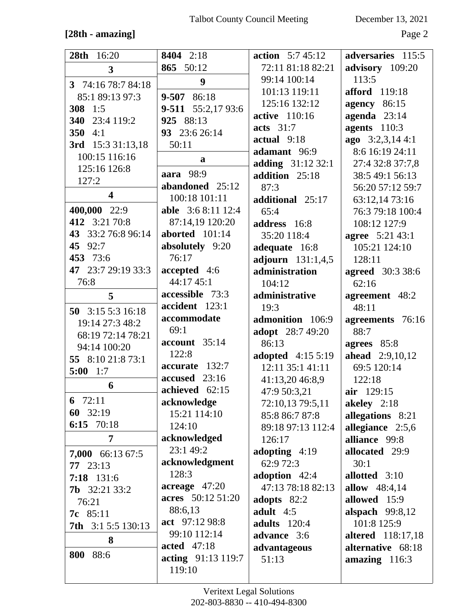## **[28th - amazing]** Page 2

| 8404 2:18<br>28th<br>16:20<br><b>action</b> $5:745:12$          | adversaries 115:5                    |
|-----------------------------------------------------------------|--------------------------------------|
| 865 50:12<br>72:11 81:18 82:21<br>$\mathbf{3}$                  | advisory 109:20                      |
| 99:14 100:14<br>113:5<br>9<br>3 74:16 78:7 84:18                |                                      |
| 101:13 119:11<br>9-507 86:18<br>85:1 89:13 97:3                 | afford 119:18                        |
| 125:16 132:12<br>9-511 55:2,17 93:6<br>308 1:5                  | agency 86:15                         |
| <b>active</b> 110:16<br>340 23:4 119:2<br>925 88:13             | agenda $23:14$                       |
| acts $31:7$<br>350 $4:1$<br>93 23:6 26:14                       | agents 110:3                         |
| actual 9:18<br>3rd 15:3 31:13,18<br>50:11                       | ago 3:2,3,14 4:1                     |
| adamant 96:9<br>100:15 116:16                                   | 8:6 16:19 24:11                      |
| a<br>adding 31:12 32:1<br>125:16 126:8                          | 27:4 32:8 37:7,8                     |
| aara 98:9<br>addition 25:18<br>127:2                            | 38:5 49:1 56:13                      |
| abandoned 25:12<br>87:3<br>$\overline{\mathbf{4}}$              | 56:20 57:12 59:7                     |
| 100:18 101:11<br>additional 25:17                               | 63:12,14 73:16                       |
| 400,000 22:9<br><b>able</b> 3:6 8:11 12:4<br>65:4               | 76:3 79:18 100:4                     |
| 412 3:21 70:8<br>87:14,19 120:20<br>address 16:8                | 108:12 127:9                         |
| aborted $101:14$<br>43 33:2 76:8 96:14<br>35:20 118:4           | <b>agree</b> 5:21 43:1               |
| 45 92:7<br>absolutely 9:20<br>adequate 16:8                     | 105:21 124:10                        |
| 453 73:6<br>76:17<br>adjourn $131:1,4,5$<br>128:11              |                                      |
| 47 23:7 29:19 33:3<br>accepted 4:6<br>administration            | <b>agreed</b> 30:3 38:6              |
| 44:17 45:1<br>76:8<br>104:12<br>62:16                           |                                      |
| accessible 73:3<br>administrative<br>5                          | agreement 48:2                       |
| accident 123:1<br>48:11<br>19:3<br>50 3:15 5:3 16:18            |                                      |
| accommodate<br>admonition 106:9<br>19:14 27:3 48:2              | agreements 76:16                     |
| 69:1<br>adopt 28:7 49:20<br>88:7<br>68:19 72:14 78:21           |                                      |
| account 35:14<br>86:13<br>94:14 100:20<br>122:8                 | agrees 85:8                          |
| <b>adopted</b> 4:15 5:19<br>55 8:10 21:8 73:1<br>accurate 132:7 | <b>ahead</b> 2:9,10,12               |
| 12:11 35:1 41:11<br>$5:00$ 1:7<br>accused 23:16                 | 69:5 120:14                          |
| 41:13,20 46:8,9<br>122:18<br>6<br>achieved 62:15                |                                      |
| 47:9 50:3,21<br>air 129:15<br>6 $72:11$<br>acknowledge          | akeley 2:18                          |
| 72:10,13 79:5,11<br>60 32:19<br>15:21 114:10<br>85:8 86:7 87:8  |                                      |
| 6:15 70:18<br>124:10<br>89:18 97:13 112:4                       | allegations 8:21<br>allegiance 2:5,6 |
| acknowledged<br>$\overline{7}$<br>126:17                        | alliance 99:8                        |
| 23:1 49:2<br>adopting 4:19                                      | allocated 29:9                       |
| 7,000 66:13 67:5<br>acknowledgment<br>62:9 72:3<br>30:1         |                                      |
| $77 \quad 23:13$<br>128:3<br>adoption 42:4                      | allotted 3:10                        |
| 7:18 131:6<br>acreage $47:20$<br>47:13 78:18 82:13              | allow $48:4,14$                      |
| <b>7b</b> $32:2133:2$<br>acres 50:12 51:20<br>adopts 82:2       | allowed 15:9                         |
| 76:21<br>88:6,13<br>adult $4:5$<br>7c 85:11                     | alspach $99:8,12$                    |
| act 97:12 98:8<br>adults 120:4<br>7th 3:1 5:5 130:13            | 101:8 125:9                          |
| 99:10 112:14<br>advance 3:6                                     | <b>altered</b> 118:17,18             |
| 8<br>acted 47:18<br>advantageous                                | alternative 68:18                    |
| 800 88:6<br>acting 91:13 119:7<br>51:13                         | amazing 116:3                        |
| 119:10                                                          |                                      |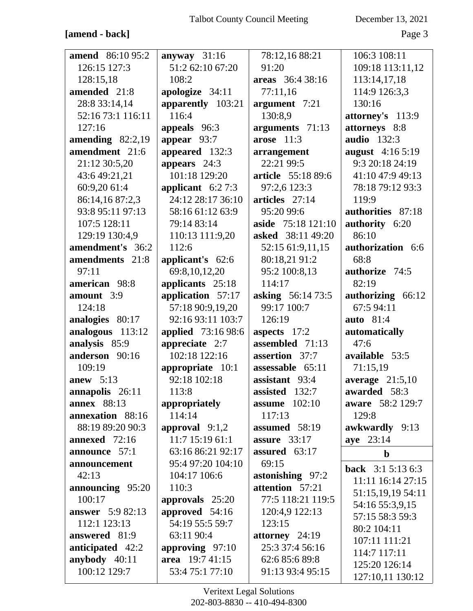#### **[amend - back]** Page 3

| <b>amend</b> 86:10 95:2 | anyway $31:16$     | 78:12,16 88:21           | 106:3 108:11             |
|-------------------------|--------------------|--------------------------|--------------------------|
| 126:15 127:3            | 51:2 62:10 67:20   | 91:20                    | 109:18 113:11,12         |
| 128:15,18               | 108:2              | areas 36:4 38:16         | 113:14,17,18             |
| amended 21:8            | apologize 34:11    | 77:11,16                 | 114:9 126:3,3            |
| 28:8 33:14,14           | apparently 103:21  | argument 7:21            | 130:16                   |
| 52:16 73:1 116:11       | 116:4              | 130:8,9                  | attorney's 113:9         |
| 127:16                  | appeals 96:3       | arguments 71:13          | attorneys 8:8            |
| amending $82:2,19$      | appear $93:7$      | arose $11:3$             | <b>audio</b> 132:3       |
| amendment 21:6          | appeared 132:3     | arrangement              | august 4:16 5:19         |
| 21:12 30:5,20           | appears $24:3$     | 22:21 99:5               | 9:3 20:18 24:19          |
| 43:6 49:21,21           | 101:18 129:20      | article 55:18 89:6       | 41:10 47:9 49:13         |
| 60:9,20 61:4            | applicant $6:27:3$ | 97:2,6 123:3             | 78:18 79:12 93:3         |
| 86:14,16 87:2,3         | 24:12 28:17 36:10  | articles 27:14           | 119:9                    |
| 93:8 95:11 97:13        | 58:16 61:12 63:9   | 95:20 99:6               | authorities 87:18        |
| 107:5 128:11            | 79:14 83:14        | aside 75:18 121:10       | authority 6:20           |
| 129:19 130:4,9          | 110:13 111:9,20    | <b>asked</b> 38:11 49:20 | 86:10                    |
| amendment's 36:2        | 112:6              | 52:15 61:9,11,15         | authorization 6:6        |
| amendments 21:8         | applicant's 62:6   | 80:18,21 91:2            | 68:8                     |
| 97:11                   | 69:8,10,12,20      | 95:2 100:8,13            | authorize 74:5           |
| american 98:8           | applicants 25:18   | 114:17                   | 82:19                    |
| amount 3:9              | application 57:17  | <b>asking</b> 56:14 73:5 | authorizing 66:12        |
| 124:18                  | 57:18 90:9,19,20   | 99:17 100:7              | 67:5 94:11               |
| analogies 80:17         | 92:16 93:11 103:7  | 126:19                   | <b>auto</b> 81:4         |
| analogous 113:12        | applied 73:16 98:6 | aspects $17:2$           | automatically            |
| analysis 85:9           | appreciate $2:7$   | assembled 71:13          | 47:6                     |
| anderson 90:16          | 102:18 122:16      | assertion 37:7           | available 53:5           |
| 109:19                  | appropriate 10:1   | assessable 65:11         | 71:15,19                 |
| anew $5:13$             | 92:18 102:18       | assistant 93:4           | average $21:5,10$        |
| annapolis 26:11         | 113:8              | assisted 132:7           | awarded 58:3             |
| <b>annex</b> 88:13      | appropriately      | assume $102:10$          | aware 58:2 129:7         |
| annexation 88:16        | 114:14             | 117:13                   | 129:8                    |
| 88:19 89:20 90:3        | approval $9:1,2$   | assumed 58:19            | awkwardly 9:13           |
| annexed 72:16           | 11:7 15:19 61:1    | assure $33:17$           | aye 23:14                |
| announce 57:1           | 63:16 86:21 92:17  | assured $63:17$          | $\mathbf b$              |
| announcement            | 95:4 97:20 104:10  | 69:15                    | <b>back</b> $3:15:136:3$ |
| 42:13                   | 104:17 106:6       | astonishing 97:2         | 11:11 16:14 27:15        |
| announcing 95:20        | 110:3              | attention 57:21          | 51:15,19,19 54:11        |
| 100:17                  | approvals $25:20$  | 77:5 118:21 119:5        | 54:16 55:3,9,15          |
| <b>answer</b> 5:9 82:13 | approved 54:16     | 120:4,9 122:13           | 57:15 58:3 59:3          |
| 112:1 123:13            | 54:19 55:5 59:7    | 123:15                   | 80:2 104:11              |
| answered 81:9           | 63:11 90:4         | attorney $24:19$         | 107:11 111:21            |
| anticipated 42:2        | approving $97:10$  | 25:3 37:4 56:16          | 114:7 117:11             |
| anybody 40:11           | area 19:7 41:15    | 62:6 85:6 89:8           | 125:20 126:14            |
| 100:12 129:7            | 53:4 75:1 77:10    | 91:13 93:4 95:15         | 127:10,11 130:12         |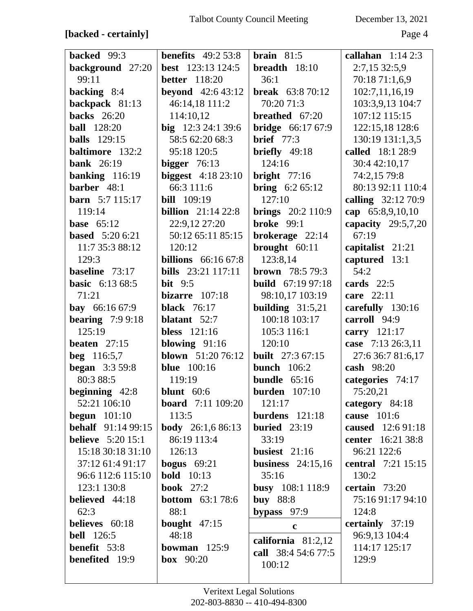## **[backed - certainly]** Page 4

| <b>backed</b> 99:3        | <b>benefits</b> 49:2 53:8  | <b>brain</b> $81:5$      | callahan $1:142:3$        |
|---------------------------|----------------------------|--------------------------|---------------------------|
| background 27:20          | <b>best</b> 123:13 124:5   | breadth $18:10$          | 2:7,15 32:5,9             |
| 99:11                     | <b>better</b> 118:20       | 36:1                     | 70:18 71:1,6,9            |
| backing 8:4               | <b>beyond</b> $42:643:12$  | <b>break</b> $63:870:12$ | 102:7,11,16,19            |
| backpack 81:13            | 46:14,18 111:2             | 70:20 71:3               | 103:3,9,13 104:7          |
| <b>backs</b> 26:20        | 114:10,12                  | breathed 67:20           | 107:12 115:15             |
| <b>ball</b> 128:20        | big $12:324:139:6$         | <b>bridge</b> 66:17 67:9 | 122:15,18 128:6           |
| <b>balls</b> 129:15       | 58:5 62:20 68:3            | <b>brief</b> 77:3        | 130:19 131:1,3,5          |
| baltimore 132:2           | 95:18 120:5                | briefly 49:18            | called 18:1 28:9          |
| <b>bank</b> 26:19         | bigger $76:13$             | 124:16                   | 30:4 42:10,17             |
| banking $116:19$          | biggest $4:1823:10$        | bright $77:16$           | 74:2,15 79:8              |
| barber 48:1               | 66:3 111:6                 | <b>bring</b> $6:2 65:12$ | 80:13 92:11 110:4         |
| <b>barn</b> $5:7$ 115:17  | <b>bill</b> 109:19         | 127:10                   | calling 32:12 70:9        |
| 119:14                    | <b>billion</b> $21:1422:8$ | <b>brings</b> 20:2 110:9 | cap 65:8,9,10,10          |
| <b>base</b> 65:12         | 22:9,12 27:20              | broke $99:1$             | capacity $29:5,7,20$      |
| <b>based</b> 5:20 6:21    | 50:12 65:11 85:15          | brokerage $22:14$        | 67:19                     |
| 11:7 35:3 88:12           | 120:12                     | brought $60:11$          | capitalist 21:21          |
| 129:3                     | <b>billions</b> 66:16 67:8 | 123:8,14                 | captured 13:1             |
| baseline 73:17            | <b>bills</b> 23:21 117:11  | <b>brown</b> $78:579:3$  | 54:2                      |
| <b>basic</b> 6:13 68:5    | bit $9:5$                  | <b>build</b> 67:19 97:18 | cards $22:5$              |
| 71:21                     | bizarre $107:18$           | 98:10,17 103:19          | care 22:11                |
| <b>bay</b> $66:1667:9$    | <b>black</b> 76:17         | building $31:5,21$       | carefully 130:16          |
| bearing $7:99:18$         | blatant 52:7               | 100:18 103:17            | carroll 94:9              |
| 125:19                    | <b>bless</b> 121:16        | 105:3 116:1              | carry 121:17              |
| beaten $27:15$            | blowing $91:16$            | 120:10                   | case 7:13 26:3,11         |
| <b>beg</b> 116:5,7        | <b>blown</b> 51:20 76:12   | <b>built</b> 27:3 67:15  | 27:6 36:7 81:6,17         |
| <b>began</b> 3:3 59:8     | <b>blue</b> 100:16         | bunch $106:2$            | cash 98:20                |
| 80:3 88:5                 | 119:19                     | bundle $65:16$           | categories 74:17          |
| beginning 42:8            | blunt $60:6$               | <b>burden</b> $107:10$   | 75:20,21                  |
| 52:21 106:10              | <b>board</b> 7:11 109:20   | 121:17                   | category 84:18            |
| begun $101:10$            | 113:5                      | burdens $121:18$         | cause 101:6               |
| <b>behalf</b> 91:14 99:15 | <b>body</b> 26:1,6 86:13   | buried $23:19$           | caused 12:6 91:18         |
| <b>believe</b> 5:20 15:1  | 86:19 113:4                | 33:19                    | center 16:21 38:8         |
| 15:18 30:18 31:10         | 126:13                     | busiest $21:16$          | 96:21 122:6               |
| 37:12 61:4 91:17          | <b>bogus</b> $69:21$       | business $24:15,16$      | <b>central</b> 7:21 15:15 |
| 96:6 112:6 115:10         | <b>bold</b> 10:13          | 35:16                    | 130:2                     |
| 123:1 130:8               | <b>book</b> 27:2           | busy 108:1 118:9         | certain $73:20$           |
| believed 44:18            | <b>bottom</b> 63:1 78:6    | <b>buy</b> 88:8          | 75:16 91:17 94:10         |
| 62:3                      | 88:1                       | bypass 97:9              | 124:8                     |
| believes 60:18            | <b>bought</b> $47:15$      | $\mathbf c$              | certainly 37:19           |
| <b>bell</b> 126:5         | 48:18                      | california $81:2,12$     | 96:9,13 104:4             |
| benefit 53:8              | bowman $125:9$             | call 38:4 54:6 77:5      | 114:17 125:17             |
| <b>benefited</b> 19:9     | box $90:20$                | 100:12                   | 129:9                     |
|                           |                            |                          |                           |
|                           |                            |                          |                           |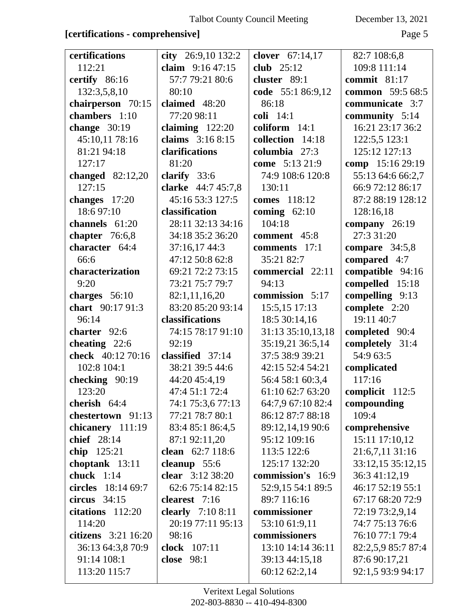#### **[certifications - comprehensive]** Page 5

| certifications                     | city $26:9,10$ 132:2                | clover 67:14,17                | 82:7 108:6,8                       |
|------------------------------------|-------------------------------------|--------------------------------|------------------------------------|
| 112:21                             | claim $9:1647:15$                   | club $25:12$                   | 109:8 111:14                       |
| certify 86:16                      | 57:7 79:21 80:6                     | cluster 89:1                   | commit $81:17$                     |
| 132:3,5,8,10                       | 80:10                               | code 55:1 86:9,12              | common 59:5 68:5                   |
| chairperson 70:15                  | claimed 48:20                       | 86:18                          | communicate 3:7                    |
| chambers 1:10                      | 77:20 98:11                         | coli 14:1                      | community $5:14$                   |
| change $30:19$                     | claiming $122:20$                   | coliform 14:1                  | 16:21 23:17 36:2                   |
| 45:10,11 78:16                     | claims 3:16 8:15                    | collection 14:18               | 122:5,5 123:1                      |
| 81:21 94:18                        | clarifications                      | columbia 27:3                  | 125:12 127:13                      |
| 127:17                             | 81:20                               | come 5:13 21:9                 | comp 15:16 29:19                   |
| changed $82:12,20$                 | clarify $33:6$                      | 74:9 108:6 120:8               | 55:13 64:6 66:2,7                  |
| 127:15                             | clarke 44:7 45:7,8                  | 130:11                         | 66:9 72:12 86:17                   |
| changes 17:20                      | 45:16 53:3 127:5                    | comes 118:12                   | 87:2 88:19 128:12                  |
| 18:6 97:10                         | classification                      | coming $62:10$                 | 128:16,18                          |
| channels 61:20                     | 28:11 32:13 34:16                   | 104:18                         | company $26:19$                    |
| chapter $76:6,8$                   | 34:18 35:2 36:20                    | comment 45:8                   | 27:3 31:20                         |
| character 64:4                     | 37:16,17 44:3                       | comments 17:1                  | compare $34:5,8$                   |
| 66:6                               | 47:12 50:8 62:8                     | 35:21 82:7                     | compared 4:7                       |
| characterization                   | 69:21 72:2 73:15                    | commercial 22:11               | compatible 94:16                   |
| 9:20                               | 73:21 75:7 79:7                     | 94:13                          | compelled 15:18                    |
| charges $56:10$                    | 82:1,11,16,20                       | commission 5:17                | compelling 9:13                    |
| chart 90:17 91:3                   | 83:20 85:20 93:14                   | 15:5,15 17:13                  | complete 2:20                      |
| 96:14                              | classifications                     | 18:5 30:14,16                  | 19:11 40:7                         |
| charter 92:6                       | 74:15 78:17 91:10                   | 31:13 35:10,13,18              | completed 90:4                     |
| cheating $22:6$                    | 92:19                               | 35:19,21 36:5,14               | completely 31:4                    |
| check 40:12 70:16                  | classified 37:14                    | 37:5 38:9 39:21                | 54:9 63:5                          |
| 102:8 104:1                        | 38:21 39:5 44:6                     | 42:15 52:4 54:21               | complicated                        |
| checking 90:19                     | 44:20 45:4,19                       | 56:4 58:1 60:3,4               | 117:16                             |
| 123:20                             | 47:4 51:1 72:4                      | 61:10 62:7 63:20               | complicit 112:5                    |
| cherish $64:4$                     | 74:1 75:3,6 77:13                   | 64:7,9 67:10 82:4              | compounding                        |
| chestertown 91:13                  | 77:21 78:7 80:1                     | 86:12 87:7 88:18               | 109:4                              |
| chicanery 111:19                   | 83:4 85:1 86:4,5                    | 89:12,14,19 90:6               | comprehensive                      |
| chief 28:14                        | 87:1 92:11,20                       | 95:12 109:16                   | 15:11 17:10,12                     |
| chip 125:21                        | clean 62:7 118:6                    | 113:5 122:6                    | 21:6,7,11 31:16                    |
| choptank 13:11                     | cleanup $55:6$                      | 125:17 132:20                  | 33:12,15 35:12,15                  |
| chuck $1:14$                       | clear 3:12 38:20                    | commission's 16:9              | 36:3 41:12,19                      |
| circles 18:14 69:7                 | 62:6 75:14 82:15                    | 52:9,15 54:1 89:5              | 46:17 52:19 55:1                   |
| circus $34:15$<br>citations 112:20 | clearest 7:16<br>clearly $7:108:11$ | 89:7 116:16<br>commissioner    | 67:17 68:20 72:9                   |
| 114:20                             | 20:19 77:11 95:13                   |                                | 72:19 73:2,9,14<br>74:7 75:13 76:6 |
| citizens $3:21$ 16:20              | 98:16                               | 53:10 61:9,11<br>commissioners | 76:10 77:1 79:4                    |
| 36:13 64:3,8 70:9                  | clock 107:11                        | 13:10 14:14 36:11              | 82:2,5,9 85:7 87:4                 |
| 91:14 108:1                        | <b>close</b> 98:1                   | 39:13 44:15,18                 | 87:6 90:17,21                      |
| 113:20 115:7                       |                                     | 60:12 62:2,14                  | 92:1,5 93:9 94:17                  |
|                                    |                                     |                                |                                    |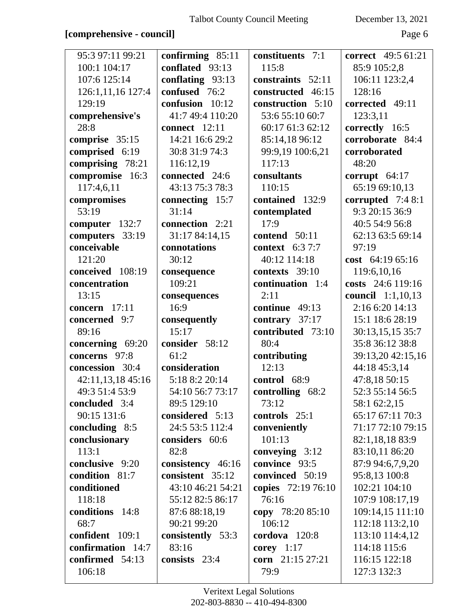#### **[comprehensive - council]** Page 6

| 95:3 97:11 99:21  | confirming $85:11$ | constituents 7:1   | <b>correct</b> 49:5 61:21 |
|-------------------|--------------------|--------------------|---------------------------|
| 100:1 104:17      | conflated 93:13    | 115:8              | 85:9 105:2,8              |
| 107:6 125:14      | conflating 93:13   | constraints 52:11  | 106:11 123:2,4            |
| 126:1,11,16 127:4 | confused 76:2      | constructed 46:15  | 128:16                    |
| 129:19            | confusion 10:12    | construction 5:10  | corrected 49:11           |
| comprehensive's   | 41:7 49:4 110:20   | 53:6 55:10 60:7    | 123:3,11                  |
| 28:8              | connect 12:11      | 60:17 61:3 62:12   | correctly 16:5            |
| comprise 35:15    | 14:21 16:6 29:2    | 85:14,18 96:12     | corroborate 84:4          |
| comprised 6:19    | 30:8 31:9 74:3     | 99:9,19 100:6,21   | corroborated              |
| comprising 78:21  | 116:12,19          | 117:13             | 48:20                     |
| compromise 16:3   | connected 24:6     | consultants        | corrupt $64:17$           |
| 117:4,6,11        | 43:13 75:3 78:3    | 110:15             | 65:19 69:10,13            |
| compromises       | connecting 15:7    | contained 132:9    | corrupted $7:48:1$        |
| 53:19             | 31:14              | contemplated       | 9:3 20:15 36:9            |
| computer 132:7    | connection 2:21    | 17:9               | 40:5 54:9 56:8            |
| computers 33:19   | 31:17 84:14,15     | contend $50:11$    | 62:13 63:5 69:14          |
| conceivable       | connotations       | context $6:37:7$   | 97:19                     |
| 121:20            | 30:12              | 40:12 114:18       | cost $64:1965:16$         |
| conceived 108:19  | consequence        | contexts 39:10     | 119:6,10,16               |
| concentration     | 109:21             | continuation 1:4   | costs 24:6 119:16         |
| 13:15             | consequences       | 2:11               | council 1:1,10,13         |
| concern 17:11     | 16:9               | continue $49:13$   | 2:16 6:20 14:13           |
| concerned 9:7     | consequently       | contrary 37:17     | 15:1 18:6 28:19           |
| 89:16             | 15:17              | contributed 73:10  | 30:13,15,15 35:7          |
| concerning 69:20  | consider 58:12     | 80:4               | 35:8 36:12 38:8           |
| concerns 97:8     | 61:2               | contributing       | 39:13,20 42:15,16         |
| concession 30:4   | consideration      | 12:13              | 44:18 45:3,14             |
| 42:11,13,18 45:16 | 5:18 8:2 20:14     | control 68:9       | 47:8,18 50:15             |
| 49:3 51:4 53:9    | 54:10 56:7 73:17   | controlling 68:2   | 52:3 55:14 56:5           |
| concluded 3:4     | 89:5 129:10        | 73:12              | 58:1 62:2,15              |
| 90:15 131:6       | considered 5:13    | controls 25:1      | 65:17 67:11 70:3          |
| concluding $8:5$  | 24:5 53:5 112:4    | conveniently       | 71:17 72:10 79:15         |
| conclusionary     | considers 60:6     | 101:13             | 82:1,18,18 83:9           |
| 113:1             | 82:8               | conveying $3:12$   | 83:10,11 86:20            |
| conclusive 9:20   | consistency 46:16  | convince 93:5      | 87:9 94:6,7,9,20          |
| condition 81:7    | consistent 35:12   | convinced 50:19    | 95:8,13 100:8             |
| conditioned       | 43:10 46:21 54:21  | copies 72:19 76:10 | 102:21 104:10             |
| 118:18            | 55:12 82:5 86:17   | 76:16              | 107:9 108:17,19           |
| conditions 14:8   | 87:6 88:18,19      | copy 78:20 85:10   | 109:14,15 111:10          |
| 68:7              | 90:21 99:20        | 106:12             | 112:18 113:2,10           |
| confident 109:1   | consistently 53:3  | cordova 120:8      | 113:10 114:4,12           |
| confirmation 14:7 | 83:16              | corey $1:17$       | 114:18 115:6              |
| confirmed 54:13   | consists 23:4      | corn 21:15 27:21   | 116:15 122:18             |
| 106:18            |                    | 79:9               | 127:3 132:3               |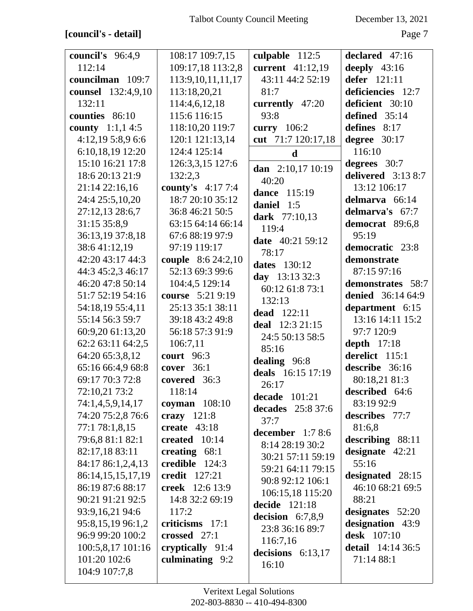## **[council's - detail]** Page 7

| council's 96:4,9        | 108:17 109:7,15           | culpable $112:5$     | declared 47:16           |
|-------------------------|---------------------------|----------------------|--------------------------|
| 112:14                  | 109:17,18 113:2,8         | current 41:12,19     | deeply $43:16$           |
| councilman 109:7        | 113:9, 10, 11, 11, 17     | 43:11 44:2 52:19     | defer 121:11             |
| counsel 132:4,9,10      | 113:18,20,21              | 81:7                 | deficiencies 12:7        |
| 132:11                  | 114:4,6,12,18             | currently 47:20      | deficient 30:10          |
| counties 86:10          | 115:6 116:15              | 93:8                 | defined 35:14            |
| <b>county</b> 1:1,1 4:5 | 118:10,20 119:7           | curry 106:2          | defines $8:17$           |
| 4:12,19 5:8,9 6:6       | 120:1 121:13,14           | cut 71:7 120:17,18   | degree $30:17$           |
| 6:10,18,19 12:20        | 124:4 125:14              | $\mathbf d$          | 116:10                   |
| 15:10 16:21 17:8        | 126:3,3,15 127:6          | dan 2:10,17 10:19    | degrees 30:7             |
| 18:6 20:13 21:9         | 132:2,3                   | 40:20                | delivered $3:138:7$      |
| 21:14 22:16,16          | county's 4:17 7:4         | <b>dance</b> 115:19  | 13:12 106:17             |
| 24:4 25:5,10,20         | 18:7 20:10 35:12          | daniel 1:5           | delmarva 66:14           |
| 27:12,13 28:6,7         | 36:8 46:21 50:5           | <b>dark</b> 77:10,13 | delmarva's 67:7          |
| 31:15 35:8,9            | 63:15 64:14 66:14         | 119:4                | democrat 89:6,8          |
| 36:13,19 37:8,18        | 67:6 88:19 97:9           | date 40:21 59:12     | 95:19                    |
| 38:641:12,19            | 97:19 119:17              | 78:17                | democratic 23:8          |
| 42:20 43:17 44:3        | <b>couple</b> 8:6 24:2,10 | <b>dates</b> 130:12  | demonstrate              |
| 44:3 45:2,3 46:17       | 52:13 69:3 99:6           | day 13:13 32:3       | 87:15 97:16              |
| 46:20 47:8 50:14        | 104:4,5 129:14            | 60:12 61:8 73:1      | demonstrates 58:7        |
| 51:7 52:19 54:16        | course 5:21 9:19          | 132:13               | <b>denied</b> 36:14 64:9 |
| 54:18,19 55:4,11        | 25:13 35:1 38:11          | dead 122:11          | department 6:15          |
| 55:14 56:3 59:7         | 39:18 43:2 49:8           | deal 12:3 21:15      | 13:16 14:11 15:2         |
| 60:9,20 61:13,20        | 56:18 57:3 91:9           | 24:5 50:13 58:5      | 97:7 120:9               |
| 62:2 63:11 64:2,5       | 106:7,11                  | 85:16                | depth $17:18$            |
| 64:20 65:3,8,12         | <b>court</b> 96:3         | dealing 96:8         | derelict 115:1           |
| 65:16 66:4,9 68:8       | <b>cover</b> 36:1         | deals 16:15 17:19    | describe 36:16           |
| 69:17 70:3 72:8         | covered 36:3              | 26:17                | 80:18,21 81:3            |
| 72:10,21 73:2           | 118:14                    | decade $101:21$      | described 64:6           |
| 74:1,4,5,9,14,17        | coyman $108:10$           | decades 25:8 37:6    | 83:19 92:9               |
| 74:20 75:2,8 76:6       | crazy $121:8$             | 37:7                 | describes 77:7           |
| 77:1 78:1,8,15          | create $43:18$            | december $1:78:6$    | 81:6,8                   |
| 79:6,8 81:1 82:1        | created 10:14             | 8:14 28:19 30:2      | describing 88:11         |
| 82:17,18 83:11          | creating $68:1$           | 30:21 57:11 59:19    | designate $42:21$        |
| 84:17 86:1,2,4,13       | credible 124:3            | 59:21 64:11 79:15    | 55:16                    |
| 86:14,15,15,17,19       | <b>credit</b> 127:21      | 90:8 92:12 106:1     | designated 28:15         |
| 86:19 87:6 88:17        | creek 12:6 13:9           | 106:15,18 115:20     | 46:10 68:21 69:5         |
| 90:21 91:21 92:5        | 14:8 32:2 69:19           | decide 121:18        | 88:21                    |
| 93:9,16,21 94:6         | 117:2                     | decision $6:7,8,9$   | designates 52:20         |
| 95:8,15,19 96:1,2       | criticisms 17:1           | 23:8 36:16 89:7      | designation 43:9         |
| 96:9 99:20 100:2        | crossed $27:1$            | 116:7,16             | desk 107:10              |
| 100:5,8,17 101:16       | cryptically 91:4          | decisions $6:13,17$  | <b>detail</b> 14:14 36:5 |
| 101:20 102:6            | culminating 9:2           | 16:10                | 71:14 88:1               |
| 104:9 107:7,8           |                           |                      |                          |
|                         |                           |                      |                          |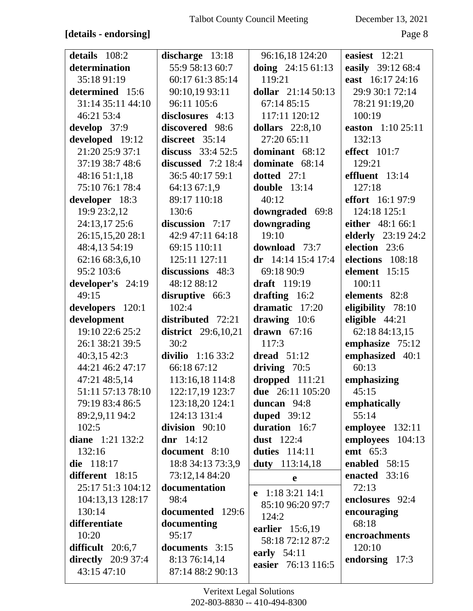## **[details - endorsing]** Page 8

| details 108:2                      | discharge 13:18                   | 96:16,18 124:20        | easiest 12:21             |
|------------------------------------|-----------------------------------|------------------------|---------------------------|
| determination                      | 55:9 58:13 60:7                   | doing $24:1561:13$     | easily 39:12 68:4         |
| 35:18 91:19                        | 60:17 61:3 85:14                  | 119:21                 | east 16:17 24:16          |
| determined 15:6                    | 90:10,19 93:11                    | dollar $21:1450:13$    | 29:9 30:1 72:14           |
| 31:14 35:11 44:10                  | 96:11 105:6                       | 67:14 85:15            | 78:21 91:19,20            |
| 46:21 53:4                         | disclosures 4:13                  | 117:11 120:12          | 100:19                    |
| develop 37:9                       | discovered 98:6                   | <b>dollars</b> 22:8,10 | easton 1:10 25:11         |
| developed 19:12                    | discreet 35:14                    | 27:20 65:11            | 132:13                    |
| 21:20 25:9 37:1                    | discuss $33:452:5$                | dominant 68:12         | effect $101:7$            |
| 37:19 38:7 48:6                    | discussed $7:2$ 18:4              | dominate 68:14         | 129:21                    |
| 48:16 51:1,18                      | 36:5 40:17 59:1                   | dotted $27:1$          | effluent 13:14            |
| 75:10 76:1 78:4                    | 64:13 67:1,9                      | double $13:14$         | 127:18                    |
| developer 18:3                     | 89:17 110:18                      | 40:12                  | <b>effort</b> 16:1 97:9   |
| 19:9 23:2,12                       | 130:6                             | downgraded 69:8        | 124:18 125:1              |
| 24:13,17 25:6                      | discussion $7:17$                 | downgrading            | either 48:1 66:1          |
| 26:15,15,20 28:1                   | 42:9 47:11 64:18                  | 19:10                  | <b>elderly</b> 23:19 24:2 |
| 48:4,13 54:19                      | 69:15 110:11                      | download 73:7          | election 23:6             |
| 62:16 68:3,6,10                    | 125:11 127:11                     | dr $14:14$ 15:4 17:4   | elections 108:18          |
| 95:2 103:6                         | discussions 48:3                  | 69:18 90:9             | element 15:15             |
| developer's 24:19                  | 48:12 88:12                       | <b>draft</b> 119:19    | 100:11                    |
| 49:15                              | disruptive 66:3                   | drafting 16:2          | elements 82:8             |
| developers 120:1                   | 102:4                             | dramatic 17:20         | eligibility 78:10         |
| development                        | distributed 72:21                 | drawing 10:6           | eligible 44:21            |
| 19:10 22:6 25:2                    | <b>district</b> 29:6,10,21        | drawn $67:16$          | 62:18 84:13,15            |
|                                    |                                   |                        |                           |
| 26:1 38:21 39:5                    | 30:2                              | 117:3                  | emphasize 75:12           |
| 40:3,1542:3                        | divilio $1:1633:2$                | dread $51:12$          | emphasized 40:1           |
| 44:21 46:2 47:17                   | 66:18 67:12                       | driving $70:5$         | 60:13                     |
| 47:21 48:5,14                      | 113:16,18 114:8                   | dropped 111:21         | emphasizing               |
| 51:11 57:13 78:10                  | 122:17,19 123:7                   | due 26:11 105:20       | 45:15                     |
| 79:19 83:4 86:5                    | 123:18,20 124:1                   | duncan 94:8            | emphatically              |
| 89:2,9,11 94:2                     | 124:13 131:4                      | duped $39:12$          | 55:14                     |
| 102:5                              | division 90:10                    | duration 16:7          | employee 132:11           |
| diane $1:21$ 132:2                 | dnr $14:12$                       | <b>dust</b> 122:4      | employees 104:13          |
| 132:16                             | document 8:10                     | duties $114:11$        | <b>emt</b> 65:3           |
| die 118:17                         | 18:8 34:13 73:3,9                 | duty 113:14,18         | enabled 58:15             |
| different 18:15                    | 73:12,14 84:20                    | e                      | enacted 33:16             |
| 25:17 51:3 104:12                  | documentation                     | e $1:183:2114:1$       | 72:13                     |
| 104:13,13 128:17                   | 98:4                              | 85:10 96:20 97:7       | enclosures 92:4           |
| 130:14                             | documented 129:6                  | 124:2                  | encouraging               |
| differentiate                      | documenting                       | earlier 15:6,19        | 68:18                     |
| 10:20                              | 95:17                             | 58:18 72:12 87:2       | encroachments             |
| difficult 20:6,7                   | documents 3:15                    | early $54:11$          | 120:10                    |
| directly $20:937:4$<br>43:15 47:10 | 8:13 76:14,14<br>87:14 88:2 90:13 | easier 76:13 116:5     | endorsing 17:3            |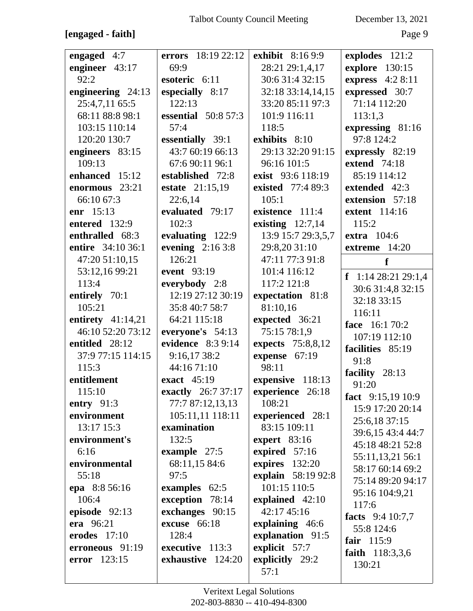## **[engaged - faith]** Page 9

| engaged 4:7         | errors 18:19 22:12         | <b>exhibit</b> 8:16 9:9 | explodes 121:2      |
|---------------------|----------------------------|-------------------------|---------------------|
| engineer 43:17      | 69:9                       | 28:21 29:1,4,17         | explore 130:15      |
| 92:2                | esoteric 6:11              | 30:6 31:4 32:15         | express 4:2 8:11    |
| engineering 24:13   | especially 8:17            | 32:18 33:14,14,15       | expressed 30:7      |
| 25:4,7,11 65:5      | 122:13                     | 33:20 85:11 97:3        | 71:14 112:20        |
| 68:11 88:8 98:1     | <b>essential</b> 50:8 57:3 | 101:9 116:11            | 113:1,3             |
| 103:15 110:14       | 57:4                       | 118:5                   | expressing 81:16    |
| 120:20 130:7        | essentially 39:1           | exhibits 8:10           | 97:8 124:2          |
| engineers 83:15     | 43:7 60:19 66:13           | 29:13 32:20 91:15       | expressly 82:19     |
| 109:13              | 67:6 90:11 96:1            | 96:16 101:5             | extend 74:18        |
| enhanced 15:12      | established 72:8           | exist 93:6 118:19       | 85:19 114:12        |
| enormous 23:21      | estate 21:15,19            | existed 77:4 89:3       | extended 42:3       |
| 66:10 67:3          | 22:6,14                    | 105:1                   | extension 57:18     |
| <b>enr</b> $15:13$  | evaluated 79:17            | existence 111:4         | extent 114:16       |
| entered 132:9       | 102:3                      | existing $12:7,14$      | 115:2               |
| enthralled 68:3     | evaluating 122:9           | 13:9 15:7 29:3,5,7      | <b>extra</b> 104:6  |
| entire 34:10 36:1   | evening $2:163:8$          | 29:8,20 31:10           | extreme 14:20       |
| 47:20 51:10,15      | 126:21                     | 47:11 77:3 91:8         | f                   |
| 53:12,16 99:21      | event 93:19                | 101:4 116:12            | f 1:14 28:21 29:1,4 |
| 113:4               | everybody 2:8              | 117:2 121:8             | 30:6 31:4,8 32:15   |
| entirely 70:1       | 12:19 27:12 30:19          | expectation 81:8        | 32:18 33:15         |
| 105:21              | 35:8 40:7 58:7             | 81:10,16                | 116:11              |
| entirety $41:14,21$ | 64:21 115:18               | expected 36:21          | face 16:1 70:2      |
| 46:10 52:20 73:12   | everyone's 54:13           | 75:15 78:1,9            | 107:19 112:10       |
| entitled 28:12      | evidence 8:3 9:14          | expects 75:8,8,12       | facilities 85:19    |
| 37:9 77:15 114:15   | 9:16,17 38:2               | expense 67:19           | 91:8                |
| 115:3               | 44:16 71:10                | 98:11                   | facility 28:13      |
| entitlement         | exact 45:19                | expensive 118:13        | 91:20               |
| 115:10              | <b>exactly</b> 26:7 37:17  | experience 26:18        | fact $9:15,1910:9$  |
| entry $91:3$        | 77:7 87:12,13,13           | 108:21                  | 15:9 17:20 20:14    |
| environment         | 105:11,11 118:11           | experienced 28:1        | 25:6,18 37:15       |
| 13:17 15:3          | examination                | 83:15 109:11            | 39:6,15 43:4 44:7   |
| environment's       | 132:5                      | expert $83:16$          | 45:18 48:21 52:8    |
| 6:16                | example 27:5               | expired 57:16           | 55:11,13,21 56:1    |
| environmental       | 68:11,15 84:6              | expires 132:20          | 58:17 60:14 69:2    |
| 55:18               | 97:5                       | explain 58:19 92:8      | 75:14 89:20 94:17   |
| epa 8:8 56:16       | examples 62:5              | 101:15 110:5            | 95:16 104:9,21      |
| 106:4               | exception 78:14            | explained 42:10         | 117:6               |
| episode 92:13       | exchanges 90:15            | 42:17 45:16             | facts 9:4 10:7,7    |
| era 96:21           | excuse 66:18               | explaining 46:6         | 55:8 124:6          |
| erodes $17:10$      | 128:4                      | explanation 91:5        | fair 115:9          |
| erroneous 91:19     | executive 113:3            | explicit 57:7           | faith 118:3,3,6     |
| <b>error</b> 123:15 | exhaustive 124:20          | explicitly 29:2         | 130:21              |
|                     |                            | 57:1                    |                     |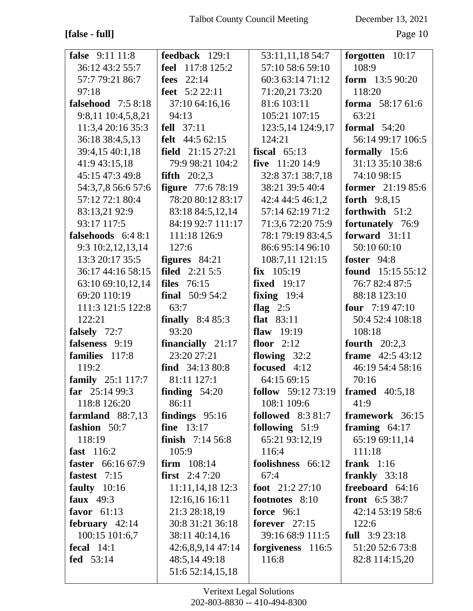## **[false - full]** Page 10

| <b>false</b> 9:11 11:8       | feedback 129:1           | 53:11,11,18 54:7                                  | forgotten 10:17                     |
|------------------------------|--------------------------|---------------------------------------------------|-------------------------------------|
| 36:12 43:2 55:7              | <b>feel</b> 117:8 125:2  | 57:10 58:6 59:10                                  | 108:9                               |
| 57:7 79:21 86:7              | fees $22:14$             | 60:3 63:14 71:12                                  | form $13:590:20$                    |
| 97:18                        | feet $5:222:11$          | 71:20,21 73:20                                    | 118:20                              |
| <b>falsehood</b> 7:5 8:18    | 37:10 64:16,16           | 81:6 103:11                                       | forma 58:17 61:6                    |
| 9:8,11 10:4,5,8,21           | 94:13                    | 105:21 107:15                                     | 63:21                               |
| 11:3,4 20:16 35:3            | fell $37:11$             | 123:5,14 124:9,17                                 | formal $54:20$                      |
| 36:18 38:4,5,13              | felt 44:5 62:15          | 124:21                                            | 56:14 99:17 106:5                   |
| 39:4,15 40:1,18              | field $21:15\,27:21$     | fiscal $65:13$                                    | formally 15:6                       |
| 41:9 43:15,18                | 79:9 98:21 104:2         | five $11:2014:9$                                  | 31:13 35:10 38:6                    |
| 45:15 47:3 49:8              | fifth $20:2,3$           | 32:8 37:1 38:7,18                                 | 74:10 98:15                         |
| 54:3,7,8 56:6 57:6           | <b>figure</b> 77:6 78:19 | 38:21 39:5 40:4                                   | <b>former</b> $21:1985:6$           |
| 57:12 72:1 80:4              | 78:20 80:12 83:17        | 42:4 44:5 46:1,2                                  | <b>forth</b> 9:8,15                 |
|                              | 83:18 84:5,12,14         | 57:14 62:19 71:2                                  | forthwith 51:2                      |
| 83:13,21 92:9<br>93:17 117:5 | 84:19 92:7 111:17        | 71:3,6 72:20 75:9                                 |                                     |
| falsehoods $6:48:1$          | 111:18 126:9             | 78:1 79:19 83:4,5                                 | fortunately 76:9<br>forward $31:11$ |
|                              | 127:6                    | 86:6 95:14 96:10                                  |                                     |
| 9:3 10:2,12,13,14            |                          |                                                   | 50:10 60:10                         |
| 13:3 20:17 35:5              | figures $84:21$          | 108:7,11 121:15                                   | foster 94:8                         |
| 36:17 44:16 58:15            | <b>filed</b> 2:21 5:5    | $fix$ 105:19                                      | found $15:155:12$                   |
| 63:10 69:10,12,14            | <b>files</b> 76:15       | <b>fixed</b> 19:17                                | 76:7 82:4 87:5                      |
| 69:20 110:19                 | final $50:954:2$         | fixing $19:4$                                     | 88:18 123:10                        |
| 111:3 121:5 122:8            | 63:7                     | flag $2:5$                                        | four $7:1947:10$                    |
| 122:21                       | <b>finally</b> $8:485:3$ | <b>flat</b> 83:11                                 | 50:4 52:4 108:18                    |
| <b>falsely</b> 72:7          | 93:20                    | flaw $19:19$                                      | 108:18                              |
| falseness 9:19               | financially $21:17$      | floor $2:12$                                      | fourth $20:2,3$                     |
| families 117:8               | 23:20 27:21              | flowing $32:2$                                    | <b>frame</b> $42:543:12$            |
| 119:2                        | find $34:1380:8$         | focused 4:12                                      | 46:19 54:4 58:16                    |
| family 25:1 117:7            | 81:11 127:1              | 64:15 69:15                                       | 70:16                               |
| far $25:1499:3$              | finding $54:20$          | <b>follow</b> 59:12 73:19   <b>framed</b> 40:5,18 |                                     |
| 118:8 126:20                 | 86:11                    | 108:1 109:6                                       | 41:9                                |
| farmland $88:7,13$           | findings $95:16$         | <b>followed</b> 8:3 81:7                          | framework 36:15                     |
| fashion 50:7                 | fine 13:17               | following $51:9$                                  | framing $64:17$                     |
| 118:19                       | finish $7:1456:8$        | 65:21 93:12,19                                    | 65:19 69:11,14                      |
| fast 116:2                   | 105:9                    | 116:4                                             | 111:18                              |
| faster 66:16 67:9            | firm $108:14$            | foolishness 66:12                                 | frank $1:16$                        |
| fastest 7:15                 | <b>first</b> $2:47:20$   | 67:4                                              | frankly 33:18                       |
| faulty $10:16$               | 11:11,14,18 12:3         | foot 21:2 27:10                                   | freeboard 64:16                     |
| faux $49:3$                  | 12:16,16 16:11           | footnotes 8:10                                    | <b>front</b> $6:538:7$              |
| favor $61:13$                | 21:3 28:18,19            | <b>force</b> 96:1                                 | 42:14 53:19 58:6                    |
| february $42:14$             | 30:8 31:21 36:18         | forever $27:15$                                   | 122:6                               |
| 100:15 101:6,7               | 38:11 40:14,16           | 39:16 68:9 111:5                                  | full $3:923:18$                     |
| fecal $14:1$                 | 42:6,8,9,14 47:14        | forgiveness 116:5                                 | 51:20 52:6 73:8                     |
| fed 53:14                    | 48:5,14 49:18            | 116:8                                             | 82:8 114:15,20                      |
|                              | 51:6 52:14,15,18         |                                                   |                                     |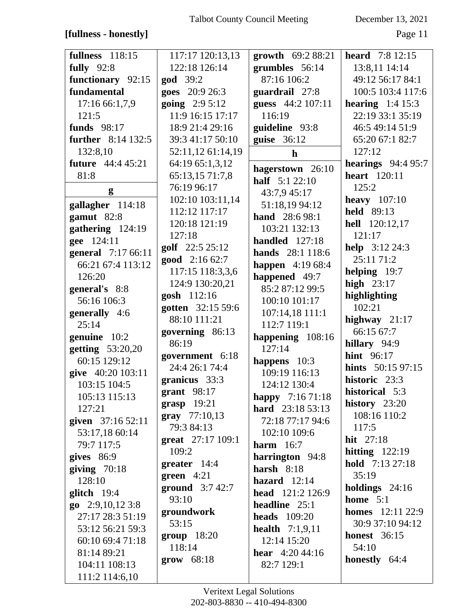## **[fullness - honestly]** Page 11

| <b>fullness</b> 118:15    | 117:17 120:13,13       | growth 69:2 88:21        | <b>heard</b> $7:8$ 12:15  |
|---------------------------|------------------------|--------------------------|---------------------------|
| <b>fully</b> 92:8         | 122:18 126:14          | grumbles 56:14           | 13:8,11 14:14             |
| functionary 92:15         | <b>god</b> 39:2        | 87:16 106:2              | 49:12 56:17 84:1          |
| fundamental               | goes 20:9 26:3         | guardrail 27:8           | 100:5 103:4 117:6         |
|                           |                        |                          |                           |
| 17:16 66:1,7,9            | <b>going</b> $2:95:12$ | guess 44:2 107:11        | hearing $1:4$ 15:3        |
| 121:5                     | 11:9 16:15 17:17       | 116:19                   | 22:19 33:1 35:19          |
| funds $98:17$             | 18:9 21:4 29:16        | guideline 93:8           | 46:5 49:14 51:9           |
| <b>further</b> 8:14 132:5 | 39:3 41:17 50:10       | guise 36:12              | 65:20 67:1 82:7           |
| 132:8,10                  | 52:11,12 61:14,19      | $\mathbf h$              | 127:12                    |
| <b>future</b> 44:4 45:21  | 64:19 65:1,3,12        |                          | hearings $94:495:7$       |
| 81:8                      | 65:13,15 71:7,8        | hagerstown 26:10         | <b>heart</b> 120:11       |
| g                         | 76:19 96:17            | <b>half</b> 5:1 22:10    | 125:2                     |
|                           | 102:10 103:11,14       | 43:7,9 45:17             | <b>heavy</b> 107:10       |
| gallagher 114:18          | 112:12 117:17          | 51:18,19 94:12           | held 89:13                |
| gamut 82:8                | 120:18 121:19          | hand 28:6 98:1           | hell 120:12,17            |
| gathering $124:19$        |                        | 103:21 132:13            | 121:17                    |
| gee 124:11                | 127:18                 | handled $127:18$         |                           |
| general 7:17 66:11        | golf 22:5 25:12        | hands 28:1 118:6         | help 3:12 24:3            |
| 66:21 67:4 113:12         | good 2:16 62:7         | <b>happen</b> 4:19 68:4  | 25:11 71:2                |
| 126:20                    | 117:15 118:3,3,6       | happened 49:7            | helping 19:7              |
| general's 8:8             | 124:9 130:20,21        | 85:2 87:12 99:5          | high $23:17$              |
| 56:16 106:3               | gosh 112:16            | 100:10 101:17            | highlighting              |
|                           | gotten 32:15 59:6      |                          | 102:21                    |
| generally 4:6             | 88:10 111:21           | 107:14,18 111:1          | highway $21:17$           |
| 25:14                     | governing 86:13        | 112:7 119:1              | 66:15 67:7                |
| genuine 10:2              | 86:19                  | happening 108:16         | hillary 94:9              |
| getting 53:20,20          | government 6:18        | 127:14                   | <b>hint</b> 96:17         |
| 60:15 129:12              | 24:4 26:1 74:4         | happens 10:3             | <b>hints</b> 50:15 97:15  |
| give 40:20 103:11         |                        | 109:19 116:13            |                           |
| 103:15 104:5              | granicus 33:3          | 124:12 130:4             | historic 23:3             |
| 105:13 115:13             | grant 98:17            | happy 7:16 71:18         | historical 5:3            |
| 127:21                    | $grasp$ 19:21          | hard 23:18 53:13         | history $23:20$           |
| given 37:16 52:11         | gray 77:10,13          | 72:18 77:17 94:6         | 108:16 110:2              |
| 53:17,18 60:14            | 79:3 84:13             | 102:10 109:6             | 117:5                     |
| 79:7 117:5                | great 27:17 109:1      | harm $16:7$              | <b>hit</b> $27:18$        |
| gives 86:9                | 109:2                  | harrington 94:8          | hitting $122:19$          |
| giving $70:18$            | greater 14:4           | harsh $8:18$             | hold 7:13 27:18           |
| 128:10                    | green $4:21$           | hazard $12:14$           | 35:19                     |
|                           | ground $3:742:7$       |                          | holdings $24:16$          |
| $g$ litch 19:4            | 93:10                  | head 121:2 126:9         | home $5:1$                |
| $go$ 2:9,10,12 3:8        | groundwork             | headline $25:1$          | <b>homes</b> $12:11 22:9$ |
| 27:17 28:3 51:19          | 53:15                  | heads $109:20$           | 30:9 37:10 94:12          |
| 53:12 56:21 59:3          |                        | <b>health</b> $7:1,9,11$ | <b>honest</b> 36:15       |
| 60:10 69:4 71:18          | <b>group</b> 18:20     | 12:14 15:20              |                           |
| 81:14 89:21               | 118:14                 | <b>hear</b> $4:20,44:16$ | 54:10                     |
| 104:11 108:13             | grow 68:18             | 82:7 129:1               | honestly 64:4             |
| 111:2 114:6,10            |                        |                          |                           |
|                           |                        |                          |                           |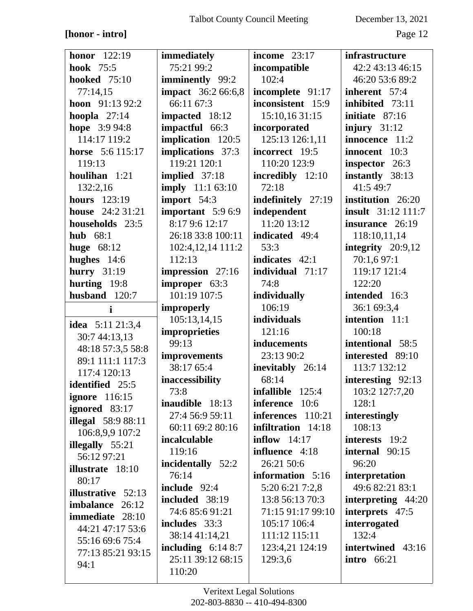#### **[honor - intro]** Page 12

| honor $122:19$            | <i>immediately</i>                       | income $23:17$            | <i>infrastructure</i>     |
|---------------------------|------------------------------------------|---------------------------|---------------------------|
| <b>hook</b> 75:5          | 75:21 99:2                               | incompatible              | 42:2 43:13 46:15          |
| <b>hooked</b> 75:10       | <b>imminently</b> 99:2                   | 102:4                     | 46:20 53:6 89:2           |
| 77:14,15                  | <b>impact</b> 36:2 66:6,8                | incomplete 91:17          | inherent 57:4             |
| hoon 91:13 92:2           | 66:11 67:3                               | inconsistent 15:9         | inhibited 73:11           |
| hoopla $27:14$            | impacted 18:12                           | 15:10,16 31:15            | initiate 87:16            |
| hope 3:9 94:8             | impactful 66:3                           | incorporated              | injury $31:12$            |
| 114:17 119:2              | implication 120:5                        | 125:13 126:1,11           | innocence 11:2            |
| horse 5:6 115:17          | implications 37:3                        | incorrect 19:5            | innocent 10:3             |
| 119:13                    | 119:21 120:1                             | 110:20 123:9              | inspector 26:3            |
| houlihan 1:21             | implied 37:18                            | incredibly 12:10          | instantly 38:13           |
| 132:2,16                  | <b>imply</b> 11:1 63:10                  | 72:18                     | 41:5 49:7                 |
| <b>hours</b> 123:19       | import 54:3                              | indefinitely 27:19        | institution 26:20         |
| house $24:231:21$         | important $5:96:9$                       | independent               | <b>insult</b> 31:12 111:7 |
| households 23:5           | 8:17 9:6 12:17                           | 11:20 13:12               | insurance 26:19           |
| hub $68:1$                | 26:18 33:8 100:11                        | indicated 49:4            | 118:10,11,14              |
| huge $68:12$              | 102:4,12,14 111:2                        | 53:3                      | integrity $20:9,12$       |
| hughes $14:6$             | 112:13                                   | indicates 42:1            | 70:1,6 97:1               |
| hurry $31:19$             | impression 27:16                         | individual $71:17$        | 119:17 121:4              |
| hurting 19:8              | improper 63:3                            | 74:8                      | 122:20                    |
| husband 120:7             | 101:19 107:5                             | individually              | intended 16:3             |
| i                         | improperly                               | 106:19                    | 36:1 69:3,4               |
| idea 5:11 21:3,4          | 105:13,14,15                             | individuals               | intention 11:1            |
| 30:7 44:13,13             | improprieties                            | 121:16                    | 100:18                    |
| 48:18 57:3,5 58:8         | 99:13                                    | inducements               | intentional 58:5          |
| 89:1 111:1 117:3          | improvements                             | 23:13 90:2                | interested 89:10          |
| 117:4 120:13              | 38:17 65:4                               | inevitably 26:14          | 113:7 132:12              |
| identified 25:5           | inaccessibility                          | 68:14                     | interesting 92:13         |
| <b>ignore</b> 116:15      | 73:8                                     | infallible 125:4          | 103:2 127:7,20            |
| ignored 83:17             | inaudible 18:13                          | <b>inference</b> 10:6     | 128:1                     |
| <b>illegal</b> 58:9 88:11 | 27:4 56:9 59:11                          | inferences 110:21         | interestingly             |
| 106:8,9,9 107:2           | 60:11 69:2 80:16                         | <b>infiltration</b> 14:18 | 108:13                    |
| illegally 55:21           | incalculable                             | $\text{inflow}$ 14:17     | interests 19:2            |
| 56:12 97:21               | 119:16                                   | influence 4:18            | internal 90:15            |
| <b>illustrate</b> 18:10   | incidentally 52:2                        | 26:21 50:6                | 96:20                     |
| 80:17                     | 76:14                                    | information 5:16          | interpretation            |
| <b>illustrative</b> 52:13 | include 92:4                             | 5:20 6:21 7:2,8           | 49:6 82:21 83:1           |
| imbalance 26:12           | included 38:19                           | 13:8 56:13 70:3           | interpreting 44:20        |
| <b>immediate</b> 28:10    | 74:6 85:6 91:21                          | 71:15 91:17 99:10         | interprets 47:5           |
| 44:21 47:17 53:6          | includes 33:3                            | 105:17 106:4              | interrogated<br>132:4     |
| 55:16 69:6 75:4           | 38:14 41:14,21                           | 111:12 115:11             | intertwined 43:16         |
| 77:13 85:21 93:15         | including $6:148:7$<br>25:11 39:12 68:15 | 123:4,21 124:19           | <b>intro</b> 66:21        |
| 94:1                      |                                          | 129:3,6                   |                           |
|                           | 110:20                                   |                           |                           |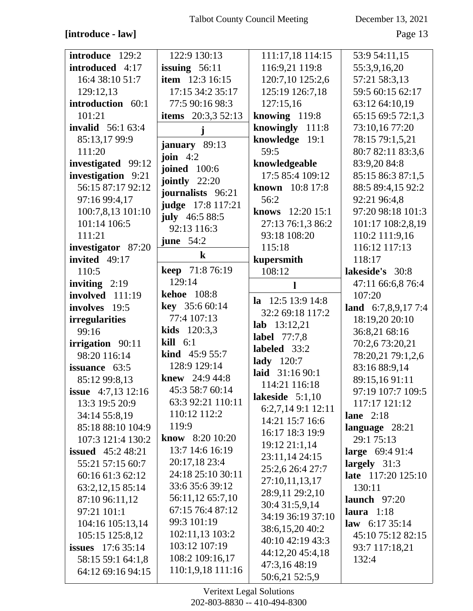## **[introduce - law]** Page 13

| introduce 129:2             | 122:9 130:13                | 111:17,18 114:15    | 53:9 54:11,15           |
|-----------------------------|-----------------------------|---------------------|-------------------------|
| introduced 4:17             | issuing $56:11$             | 116:9,21 119:8      | 55:3,9,16,20            |
| 16:4 38:10 51:7             | <b>item</b> 12:3 16:15      | 120:7,10 125:2,6    | 57:21 58:3,13           |
| 129:12,13                   | 17:15 34:2 35:17            | 125:19 126:7,18     | 59:5 60:15 62:17        |
| introduction 60:1           | 77:5 90:16 98:3             | 127:15,16           | 63:12 64:10,19          |
| 101:21                      | <b>items</b> $20:3,3,52:13$ | knowing $119:8$     | 65:15 69:5 72:1,3       |
| <b>invalid</b> $56:163:4$   |                             | knowingly 111:8     | 73:10,16 77:20          |
| 85:13,1799:9                |                             | knowledge 19:1      | 78:15 79:1,5,21         |
|                             | january 89:13               |                     |                         |
| 111:20                      | join $4:2$                  | 59:5                | 80:7 82:11 83:3,6       |
| investigated 99:12          | <b>joined</b> 100:6         | knowledgeable       | 83:9,20 84:8            |
| investigation 9:21          | jointly $22:20$             | 17:5 85:4 109:12    | 85:15 86:3 87:1,5       |
| 56:15 87:17 92:12           | journalists 96:21           | known 10:8 17:8     | 88:5 89:4,15 92:2       |
| 97:16 99:4,17               | judge 17:8 117:21           | 56:2                | 92:21 96:4,8            |
| 100:7,8,13 101:10           | july 46:5 88:5              | knows 12:20 15:1    | 97:20 98:18 101:3       |
| 101:14 106:5                | 92:13 116:3                 | 27:13 76:1,3 86:2   | 101:17 108:2,8,19       |
| 111:21                      |                             | 93:18 108:20        | 110:2 111:9,16          |
| investigator 87:20          | june $54:2$                 | 115:18              | 116:12 117:13           |
| invited 49:17               | $\bf k$                     | kupersmith          | 118:17                  |
| 110:5                       | <b>keep</b> 71:8 76:19      | 108:12              | lakeside's 30:8         |
| inviting $2:19$             | 129:14                      | 1                   | 47:11 66:6,8 76:4       |
| involved 111:19             | <b>kehoe</b> 108:8          |                     | 107:20                  |
| involves 19:5               | <b>key</b> $35:660:14$      | la $12:5$ 13:9 14:8 | land $6:7,8,9,177:4$    |
| <i>irregularities</i>       | 77:4 107:13                 | 32:2 69:18 117:2    | 18:19,20 20:10          |
| 99:16                       | <b>kids</b> $120:3,3$       | lab $13:12,21$      | 36:8,21 68:16           |
| irrigation 90:11            | $\textbf{kill}$ 6:1         | <b>label</b> 77:7,8 | 70:2,6 73:20,21         |
| 98:20 116:14                | <b>kind</b> $45:955:7$      | labeled 33:2        | 78:20,21 79:1,2,6       |
| issuance 63:5               | 128:9 129:14                | lady 120:7          | 83:16 88:9,14           |
|                             | knew 24:9 44:8              | laid 31:16 90:1     |                         |
| 85:12 99:8,13               | 45:3 58:7 60:14             | 114:21 116:18       | 89:15,1691:11           |
| <b>issue</b> $4:7,13$ 12:16 | 63:3 92:21 110:11           | lakeside $5:1,10$   | 97:19 107:7 109:5       |
| 13:3 19:5 20:9              |                             | 6:2,7,14 9:1 12:11  | 117:17 121:12           |
| 34:14 55:8,19               | 110:12 112:2                | 14:21 15:7 16:6     | lane $2:18$             |
| 85:18 88:10 104:9           | 119:9                       | 16:17 18:3 19:9     | language 28:21          |
| 107:3 121:4 130:2           | know 8:20 10:20             | 19:12 21:1,14       | 29:1 75:13              |
| <b>issued</b> $45:248:21$   | 13:7 14:6 16:19             | 23:11,14 24:15      | <b>large</b> $69:491:4$ |
| 55:21 57:15 60:7            | 20:17,18 23:4               | 25:2,6 26:4 27:7    | largely $31:3$          |
| 60:16 61:3 62:12            | 24:18 25:10 30:11           | 27:10,11,13,17      | late 117:20 125:10      |
| 63:2,12,15 85:14            | 33:6 35:6 39:12             |                     | 130:11                  |
| 87:10 96:11,12              | 56:11,12 65:7,10            | 28:9,11 29:2,10     | launch $97:20$          |
| 97:21 101:1                 | 67:15 76:4 87:12            | 30:4 31:5,9,14      | laura $1:18$            |
| 104:16 105:13,14            | 99:3 101:19                 | 34:19 36:19 37:10   | law $6:1735:14$         |
| 105:15 125:8,12             | 102:11,13 103:2             | 38:6,15,20 40:2     | 45:10 75:12 82:15       |
| <b>issues</b> $17:635:14$   | 103:12 107:19               | 40:10 42:19 43:3    | 93:7 117:18,21          |
|                             | 108:2 109:16,17             | 44:12,20 45:4,18    | 132:4                   |
| 58:15 59:1 64:1,8           |                             | 47:3,16 48:19       |                         |
| 64:12 69:16 94:15           | 110:1,9,18 111:16           |                     |                         |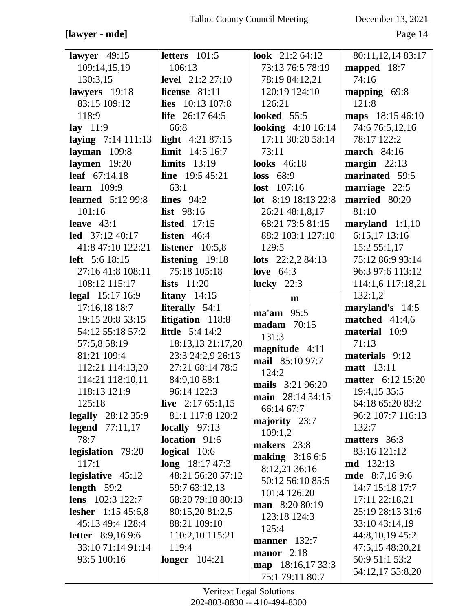#### **[lawyer - mde]** Page 14

| lawyer $49:15$                   | letters $101:5$          | look 21:2 64:12                   | 80:11,12,14 83:17                  |
|----------------------------------|--------------------------|-----------------------------------|------------------------------------|
| 109:14,15,19                     | 106:13                   | 73:13 76:5 78:19                  | mapped $18:7$                      |
| 130:3,15                         | <b>level</b> 21:2 27:10  | 78:19 84:12,21                    | 74:16                              |
| lawyers 19:18                    | license 81:11            | 120:19 124:10                     | mapping 69:8                       |
| 83:15 109:12                     | lies 10:13 107:8         | 126:21                            | 121:8                              |
| 118:9                            | <b>life</b> $26:1764:5$  | <b>looked</b> 55:5                | maps 18:15 46:10                   |
| lay $11:9$                       | 66:8                     | <b>looking</b> 4:10 16:14         | 74:6 76:5,12,16                    |
| laying $7:14$ 111:13             | light $4:2187:15$        | 17:11 30:20 58:14                 | 78:17 122:2                        |
| layman $109:8$                   | <b>limit</b> 14:5 16:7   | 73:11                             | <b>march</b> 84:16                 |
| laymen $19:20$                   | limits $13:19$           | <b>looks</b> 46:18                | margin $22:13$                     |
| leaf 67:14,18                    | line $19:545:21$         | $loss$ 68:9                       | marinated 59:5                     |
| learn $109:9$                    | 63:1                     | <b>lost</b> $107:16$              | marriage 22:5                      |
| <b>learned</b> 5:12 99:8         | lines $94:2$             | lot 8:19 18:13 22:8               | married 80:20                      |
| 101:16                           | list 98:16               | 26:21 48:1,8,17                   | 81:10                              |
| leave $43:1$                     | listed $17:15$           | 68:21 73:5 81:15                  | maryland $1:1,10$                  |
| led $37:1240:17$                 | listen $46:4$            | 88:2 103:1 127:10                 | 6:15,17 13:16                      |
| 41:8 47:10 122:21                | listener $10:5,8$        | 129:5                             | 15:2 55:1,17                       |
| <b>left</b> $5:618:15$           | listening 19:18          | <b>lots</b> $22:2,284:13$         | 75:12 86:9 93:14                   |
| 27:16 41:8 108:11                | 75:18 105:18             | love $64:3$                       | 96:3 97:6 113:12                   |
| 108:12 115:17                    | lists $11:20$            | lucky $22:3$                      | 114:1,6 117:18,21                  |
| <b>legal</b> 15:17 16:9          | litany $14:15$           | m                                 | 132:1,2                            |
| 17:16,18 18:7                    | literally 54:1           | $\text{ma'am}$ 95:5               | maryland's 14:5                    |
|                                  |                          |                                   |                                    |
| 19:15 20:8 53:15                 | litigation 118:8         | <b>madam</b> 70:15                | matched $41:4,6$                   |
| 54:12 55:18 57:2                 | <b>little</b> 5:4 14:2   | 131:3                             | material 10:9                      |
| 57:5,8 58:19                     | 18:13,13 21:17,20        | magnitude 4:11                    | 71:13                              |
| 81:21 109:4                      | 23:3 24:2,9 26:13        | mail 85:10 97:7                   | materials 9:12                     |
| 112:21 114:13,20                 | 27:21 68:14 78:5         | 124:2                             | <b>matt</b> 13:11                  |
| 114:21 118:10,11                 | 84:9,10 88:1             | mails 3:21 96:20                  | <b>matter</b> 6:12 15:20           |
| 118:13 121:9                     | 96:14 122:3              | main 28:14 34:15                  | 19:4,15 35:5                       |
| 125:18                           | live $2:1765:1,15$       | 66:14 67:7                        | 64:18 65:20 83:2                   |
| <b>legally</b> 28:12 35:9        | 81:1 117:8 120:2         | majority 23:7                     | 96:2 107:7 116:13                  |
| legend $77:11,17$                | locally $97:13$          | 109:1,2                           | 132:7                              |
| 78:7                             | location 91:6            | makers 23:8                       | <b>matters</b> 36:3                |
| legislation 79:20                | $logical$ 10:6           | making 3:16 6:5                   | 83:16 121:12                       |
| 117:1                            | <b>long</b> $18:1747:3$  | 8:12,21 36:16                     | <b>md</b> 132:13                   |
| legislative 45:12                | 48:21 56:20 57:12        | 50:12 56:10 85:5                  | <b>mde</b> 8:7,169:6               |
| length $59:2$                    | 59:7 63:12,13            | 101:4 126:20                      | 14:7 15:18 17:7                    |
| <b>lens</b> $102:3 122:7$        | 68:20 79:18 80:13        | man 8:20 80:19                    | 17:11 22:18,21                     |
| lesher $1:15\,45:6,8$            | 80:15,20 81:2,5          | 123:18 124:3                      | 25:19 28:13 31:6                   |
| 45:13 49:4 128:4                 | 88:21 109:10             | 125:4                             | 33:10 43:14,19                     |
| <b>letter</b> $8:9,169:6$        | 110:2,10 115:21          | manner 132:7                      | 44:8, 10, 19 45:2                  |
| 33:10 71:14 91:14<br>93:5 100:16 | 119:4<br>longer $104:21$ | manor $2:18$<br>map 18:16,17 33:3 | 47:5,15 48:20,21<br>50:9 51:1 53:2 |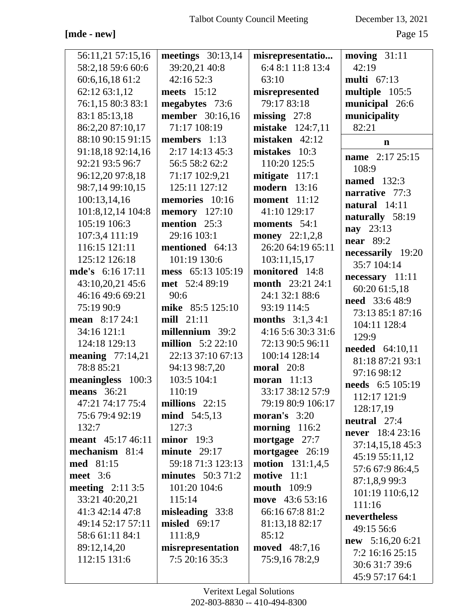**[mde - new]** Page 15

| 56:11,21 57:15,16  | meetings $30:13,14$      | misrepresentatio          | moving $31:11$         |
|--------------------|--------------------------|---------------------------|------------------------|
| 58:2,18 59:6 60:6  | 39:20,21 40:8            | 6:4 8:1 11:8 13:4         | 42:19                  |
| 60:6,16,18 61:2    | 42:16 52:3               | 63:10                     | <b>multi</b> 67:13     |
| 62:12 63:1,12      | meets 15:12              | misrepresented            | multiple 105:5         |
| 76:1,15 80:3 83:1  | megabytes 73:6           | 79:17 83:18               | municipal 26:6         |
| 83:1 85:13,18      | <b>member</b> 30:16,16   | missing $27:8$            | municipality           |
| 86:2,20 87:10,17   | 71:17 108:19             | mistake 124:7,11          | 82:21                  |
| 88:10 90:15 91:15  | members 1:13             | mistaken 42:12            | $\mathbf n$            |
| 91:18,18 92:14,16  | 2:17 14:13 45:3          | mistakes 10:3             | name 2:17 25:15        |
| 92:21 93:5 96:7    | 56:5 58:2 62:2           | 110:20 125:5              | 108:9                  |
| 96:12,20 97:8,18   | 71:17 102:9,21           | mitigate $117:1$          | <b>named</b> 132:3     |
| 98:7,14 99:10,15   | 125:11 127:12            | <b>modern</b> 13:16       | narrative 77:3         |
| 100:13,14,16       | memories 10:16           | <b>moment</b> 11:12       | natural 14:11          |
| 101:8,12,14 104:8  | <b>memory</b> 127:10     | 41:10 129:17              |                        |
| 105:19 106:3       | mention 25:3             | moments 54:1              | naturally 58:19        |
| 107:3,4 111:19     | 29:16 103:1              | <b>money</b> $22:1,2,8$   | nay 23:13              |
| 116:15 121:11      | mentioned 64:13          | 26:20 64:19 65:11         | <b>near</b> 89:2       |
| 125:12 126:18      | 101:19 130:6             | 103:11,15,17              | necessarily 19:20      |
| mde's 6:16 17:11   | mess 65:13 105:19        | monitored 14:8            | 35:7 104:14            |
| 43:10,20,21 45:6   | met 52:4 89:19           | <b>month</b> 23:21 24:1   | necessary 11:11        |
| 46:16 49:6 69:21   | 90:6                     | 24:1 32:1 88:6            | 60:20 61:5,18          |
| 75:19 90:9         | mike 85:5 125:10         | 93:19 114:5               | <b>need</b> 33:6 48:9  |
| mean 8:17 24:1     | mill $21:11$             | <b>months</b> $3:1,3,4:1$ | 73:13 85:1 87:16       |
| 34:16 121:1        | millennium 39:2          | 4:16 5:6 30:3 31:6        | 104:11 128:4           |
| 124:18 129:13      | <b>million</b> 5:2 22:10 | 72:13 90:5 96:11          | 129:9                  |
| meaning $77:14,21$ | 22:13 37:10 67:13        | 100:14 128:14             | <b>needed</b> 64:10,11 |
| 78:8 85:21         | 94:13 98:7,20            | <b>moral</b> 20:8         | 81:18 87:21 93:1       |
| meaningless 100:3  | 103:5 104:1              | moran $11:13$             | 97:16 98:12            |
| <b>means</b> 36:21 | 110:19                   | 33:17 38:12 57:9          | needs 6:5 105:19       |
| 47:21 74:17 75:4   | millions $22:15$         | 79:19 80:9 106:17         | 112:17 121:9           |
| 75:6 79:4 92:19    | <b>mind</b> 54:5,13      | <b>moran's</b> $3:20$     | 128:17,19              |
| 132:7              | 127:3                    | morning $116:2$           | neutral 27:4           |
| meant 45:17 46:11  | $minor$ 19:3             | mortgage 27:7             | never 18:4 23:16       |
| mechanism 81:4     | minute $29:17$           | mortgagee 26:19           | 37:14,15,18 45:3       |
| med 81:15          | 59:18 71:3 123:13        | <b>motion</b> 131:1,4,5   | 45:19 55:11,12         |
| meet 3:6           | minutes $50:371:2$       | motive 11:1               | 57:6 67:9 86:4,5       |
| meeting $2:113:5$  | 101:20 104:6             | <b>mouth</b> 109:9        | 87:1,8,9 99:3          |
| 33:21 40:20,21     | 115:14                   | move 43:6 53:16           | 101:19 110:6,12        |
| 41:3 42:14 47:8    | misleading 33:8          | 66:16 67:8 81:2           | 111:16                 |
| 49:14 52:17 57:11  | misled 69:17             | 81:13,18 82:17            | nevertheless           |
| 58:6 61:11 84:1    | 111:8,9                  | 85:12                     | 49:15 56:6             |
| 89:12,14,20        | misrepresentation        | <b>moved</b> 48:7,16      | $new$ 5:16,20 6:21     |
| 112:15 131:6       | 7:5 20:16 35:3           | 75:9,16 78:2,9            | 7:2 16:16 25:15        |
|                    |                          |                           | 30:6 31:7 39:6         |
|                    |                          |                           | 45:9 57:17 64:1        |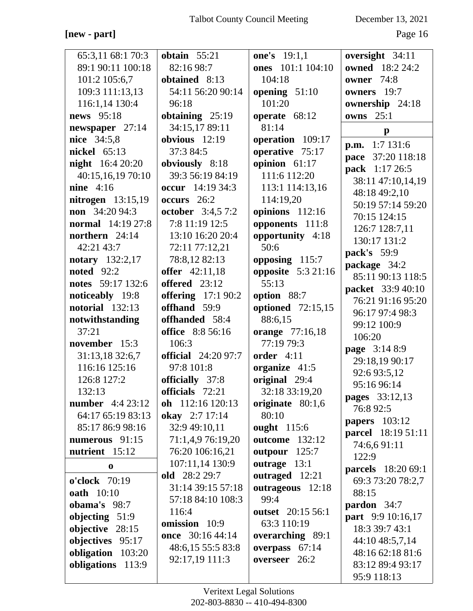#### **[new - part]** Page 16

| 65:3,11 68:1 70:3        | obtain $55:21$             | <b>one's</b> 19:1,1      | oversight 34:11           |
|--------------------------|----------------------------|--------------------------|---------------------------|
| 89:1 90:11 100:18        | 82:16 98:7                 | ones 101:1 104:10        | <b>owned</b> 18:2 24:2    |
| 101:2 105:6,7            | obtained 8:13              | 104:18                   | <b>owner</b> 74:8         |
| 109:3 111:13,13          | 54:11 56:20 90:14          | opening $51:10$          | owners 19:7               |
| 116:1,14 130:4           | 96:18                      | 101:20                   | ownership 24:18           |
| news 95:18               | obtaining $25:19$          | operate 68:12            | <b>owns</b> 25:1          |
| newspaper 27:14          | 34:15,17 89:11             | 81:14                    |                           |
| nice 34:5,8              | obvious $12:19$            | operation 109:17         | $\mathbf{p}$              |
| nickel 65:13             | 37:3 84:5                  | operative 75:17          | p.m. 1:7 131:6            |
| <b>night</b> $16:420:20$ | obviously 8:18             | opinion 61:17            | pace 37:20 118:18         |
| 40:15,16,19 70:10        | 39:3 56:19 84:19           | 111:6 112:20             | pack 1:17 26:5            |
| nine $4:16$              | occur 14:19 34:3           | 113:1 114:13,16          | 38:11 47:10,14,19         |
| nitrogen $13:15,19$      | occurs 26:2                | 114:19,20                | 48:18 49:2,10             |
| <b>non</b> $34:2094:3$   | october 3:4,5 7:2          | opinions 112:16          | 50:19 57:14 59:20         |
| <b>normal</b> 14:19 27:8 | 7:8 11:19 12:5             | opponents 111:8          | 70:15 124:15              |
| northern 24:14           | 13:10 16:20 20:4           | opportunity 4:18         | 126:7 128:7,11            |
| 42:21 43:7               | 72:11 77:12,21             | 50:6                     | 130:17 131:2              |
| notary 132:2,17          | 78:8,12 82:13              | opposing 115:7           | pack's 59:9               |
| <b>noted</b> 92:2        | <b>offer</b> 42:11,18      | opposite 5:3 21:16       | package 34:2              |
| notes 59:17 132:6        | offered 23:12              | 55:13                    | 85:11 90:13 118:5         |
| noticeably 19:8          | offering $17:190:2$        | option 88:7              | <b>packet</b> 33:9 40:10  |
| notorial 132:13          | offhand 59:9               | <b>optioned</b> 72:15,15 | 76:21 91:16 95:20         |
| notwithstanding          | offhanded 58:4             | 88:6,15                  | 96:17 97:4 98:3           |
| 37:21                    | <b>office</b> 8:8 56:16    | <b>orange</b> 77:16,18   | 99:12 100:9               |
| november 15:3            | 106:3                      | 77:19 79:3               | 106:20                    |
| 31:13,18 32:6,7          | <b>official</b> 24:20 97:7 | order $4:11$             | page 3:14 8:9             |
| 116:16 125:16            | 97:8 101:8                 | organize 41:5            | 29:18,19 90:17            |
| 126:8 127:2              | officially 37:8            | original 29:4            | 92:6 93:5,12              |
| 132:13                   | officials 72:21            | 32:18 33:19,20           | 95:16 96:14               |
| <b>number</b> 4:4 23:12  | oh 112:16 120:13           | originate 80:1,6         | <b>pages</b> 33:12,13     |
| 64:17 65:19 83:13        | okay 2:7 17:14             | 80:10                    | 76:8 92:5                 |
| 85:17 86:9 98:16         | 32:9 49:10,11              | <b>ought</b> 115:6       | <b>papers</b> 103:12      |
| numerous 91:15           | 71:1,4,9 76:19,20          | <b>outcome</b> 132:12    | <b>parcel</b> 18:19 51:11 |
| nutrient 15:12           | 76:20 106:16,21            | outpour $125:7$          | 74:6,691:11               |
| $\bf{0}$                 | 107:11,14 130:9            | outrage 13:1             | 122:9                     |
|                          | old 28:2 29:7              | outraged 12:21           | <b>parcels</b> 18:20 69:1 |
| o'clock 70:19            | 31:14 39:15 57:18          | outrageous 12:18         | 69:3 73:20 78:2,7         |
| <b>oath</b> 10:10        | 57:18 84:10 108:3          | 99:4                     | 88:15                     |
| obama's 98:7             | 116:4                      | outset 20:15 56:1        | pardon 34:7               |
| objecting $51:9$         | omission 10:9              | 63:3 110:19              | part 9:9 10:16,17         |
| objective 28:15          | once 30:16 44:14           | overarching 89:1         | 18:3 39:7 43:1            |
| objectives 95:17         | 48:6,15 55:5 83:8          | overpass 67:14           | 44:10 48:5,7,14           |
| obligation 103:20        | 92:17,19 111:3             | overseer 26:2            | 48:16 62:18 81:6          |
| obligations 113:9        |                            |                          | 83:12 89:4 93:17          |
|                          |                            |                          | 95:9 118:13               |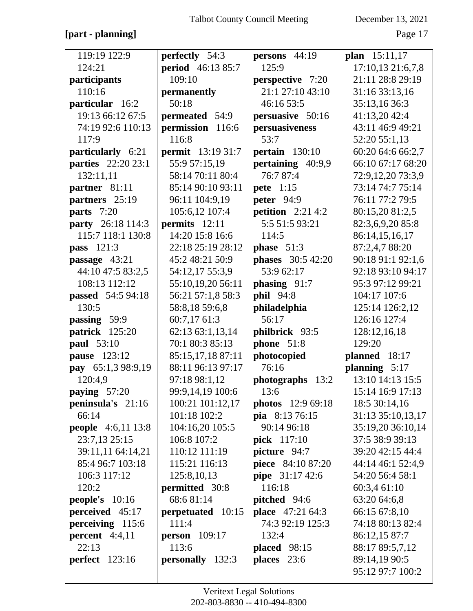#### **[part - planning]** Page 17

| 119:19 122:9              | perfectly 54:3           | persons 44:19             | plan 15:11,17     |
|---------------------------|--------------------------|---------------------------|-------------------|
| 124:21                    | <b>period</b> 46:13 85:7 | 125:9                     | 17:10,13 21:6,7,8 |
| participants              | 109:10                   | perspective 7:20          | 21:11 28:8 29:19  |
| 110:16                    | permanently              | 21:1 27:10 43:10          | 31:16 33:13,16    |
| particular 16:2           | 50:18                    | 46:16 53:5                | 35:13,16 36:3     |
| 19:13 66:12 67:5          | permeated 54:9           | persuasive 50:16          | 41:13,20 42:4     |
| 74:19 92:6 110:13         | permission 116:6         | persuasiveness            | 43:11 46:9 49:21  |
| 117:9                     | 116:8                    | 53:7                      | 52:20 55:1,13     |
| particularly 6:21         | <b>permit</b> 13:19 31:7 | pertain $130:10$          | 60:20 64:6 66:2,7 |
| <b>parties</b> 22:20 23:1 | 55:9 57:15,19            | pertaining 40:9,9         | 66:10 67:17 68:20 |
| 132:11,11                 | 58:14 70:11 80:4         | 76:7 87:4                 | 72:9,12,20 73:3,9 |
| partner 81:11             | 85:14 90:10 93:11        | <b>pete</b> 1:15          | 73:14 74:7 75:14  |
| partners 25:19            | 96:11 104:9,19           | <b>peter</b> 94:9         | 76:11 77:2 79:5   |
| parts 7:20                | 105:6,12 107:4           | <b>petition</b> 2:21 4:2  | 80:15,20 81:2,5   |
| party 26:18 114:3         | permits 12:11            | 5:5 51:5 93:21            | 82:3,6,9,20 85:8  |
| 115:7 118:1 130:8         | 14:20 15:8 16:6          | 114:5                     | 86:14,15,16,17    |
| pass 121:3                | 22:18 25:19 28:12        | phase $51:3$              | 87:2,4,7 88:20    |
| passage 43:21             | 45:2 48:21 50:9          | <b>phases</b> 30:5 42:20  | 90:18 91:1 92:1,6 |
| 44:10 47:5 83:2,5         | 54:12,17 55:3,9          | 53:9 62:17                | 92:18 93:10 94:17 |
| 108:13 112:12             | 55:10,19,20 56:11        | phasing 91:7              | 95:3 97:12 99:21  |
| passed 54:5 94:18         | 56:21 57:1,8 58:3        | phil 94:8                 | 104:17 107:6      |
| 130:5                     | 58:8,18 59:6,8           | philadelphia              | 125:14 126:2,12   |
| passing 59:9              | 60:7,17 61:3             | 56:17                     | 126:16 127:4      |
| patrick 125:20            | 62:13 63:1,13,14         | philbrick 93:5            | 128:12,16,18      |
| paul 53:10                | 70:1 80:3 85:13          | phone 51:8                | 129:20            |
| pause 123:12              | 85:15,17,18 87:11        | photocopied               | planned 18:17     |
| pay 65:1,3 98:9,19        | 88:11 96:13 97:17        | 76:16                     | planning 5:17     |
| 120:4,9                   | 97:18 98:1,12            | photographs<br>13:2       | 13:10 14:13 15:5  |
| <b>paying</b> $57:20$     | 99:9,14,19 100:6         | 13:6                      | 15:14 16:9 17:13  |
| peninsula's $21:16$       | 100:21 101:12,17         | <b>photos</b> $12:969:18$ | 18:5 30:14,16     |
| 66:14                     | 101:18 102:2             | pia 8:13 76:15            | 31:13 35:10,13,17 |
| <b>people</b> 4:6,11 13:8 | 104:16,20 105:5          | 90:14 96:18               | 35:19,20 36:10,14 |
| 23:7,13 25:15             | 106:8 107:2              | pick 117:10               | 37:5 38:9 39:13   |
| 39:11,11 64:14,21         | 110:12 111:19            | picture 94:7              | 39:20 42:15 44:4  |
| 85:4 96:7 103:18          | 115:21 116:13            | piece 84:10 87:20         | 44:14 46:1 52:4,9 |
| 106:3 117:12              | 125:8, 10, 13            | pipe 31:17 42:6           | 54:20 56:4 58:1   |
| 120:2                     | permitted 30:8           | 116:18                    | 60:3,4 61:10      |
| <b>people's</b> $10:16$   | 68:681:14                | pitched 94:6              | 63:20 64:6,8      |
| perceived 45:17           | perpetuated 10:15        | <b>place</b> 47:21 64:3   | 66:15 67:8,10     |
| perceiving 115:6          | 111:4                    | 74:3 92:19 125:3          | 74:18 80:13 82:4  |
| percent $4:4,11$          | <b>person</b> $109:17$   | 132:4                     | 86:12,15 87:7     |
| 22:13                     | 113:6                    | <b>placed</b> 98:15       | 88:17 89:5,7,12   |
| $perfect$ 123:16          | personally 132:3         | places 23:6               | 89:14,19 90:5     |
|                           |                          |                           | 95:12 97:7 100:2  |
|                           |                          |                           |                   |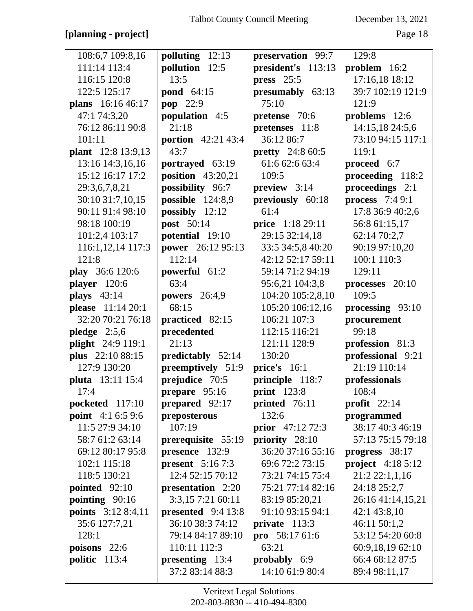## **[planning - project]** Page 18

| 108:6,7 109:8,16   | polluting 12:13          | preservation 99:7        | 129:8              |
|--------------------|--------------------------|--------------------------|--------------------|
| 111:14 113:4       | pollution 12:5           | president's 113:13       | problem $16:2$     |
| 116:15 120:8       | 13:5                     | press $25:5$             | 17:16,18 18:12     |
| 122:5 125:17       | pond 64:15               | presumably 63:13         | 39:7 102:19 121:9  |
| plans 16:16 46:17  | pop 22:9                 | 75:10                    | 121:9              |
| 47:1 74:3,20       | population 4:5           | pretense 70:6            | problems 12:6      |
| 76:12 86:11 90:8   | 21:18                    | pretenses 11:8           | 14:15,18 24:5,6    |
| 101:11             | portion 42:21 43:4       | 36:12 86:7               | 73:10 94:15 117:1  |
| plant 12:8 13:9,13 | 43:7                     | <b>pretty</b> 24:8 60:5  | 119:1              |
| 13:16 14:3,16,16   | portrayed 63:19          | 61:6 62:6 63:4           | proceed 6:7        |
| 15:12 16:17 17:2   | position $43:20,21$      | 109:5                    | proceeding 118:2   |
| 29:3,6,7,8,21      | possibility 96:7         | preview 3:14             | proceedings 2:1    |
| 30:10 31:7,10,15   | possible 124:8,9         | previously 60:18         | process $7:49:1$   |
| 90:11 91:4 98:10   | possibly $12:12$         | 61:4                     | 17:8 36:9 40:2,6   |
| 98:18 100:19       | post 50:14               | price 1:18 29:11         | 56:8 61:15,17      |
| 101:2,4 103:17     | potential 19:10          | 29:15 32:14,18           | 62:14 70:2,7       |
| 116:1,12,14 117:3  | power 26:12 95:13        | 33:5 34:5,8 40:20        | 90:19 97:10,20     |
| 121:8              | 112:14                   | 42:12 52:17 59:11        | 100:1 110:3        |
| play 36:6 120:6    | powerful 61:2            | 59:14 71:2 94:19         | 129:11             |
| player 120:6       | 63:4                     | 95:6,21 104:3,8          | processes $20:10$  |
| plays $43:14$      | <b>powers</b> 26:4,9     | 104:20 105:2,8,10        | 109:5              |
| please 11:14 20:1  | 68:15                    | 105:20 106:12,16         | processing 93:10   |
| 32:20 70:21 76:18  | practiced 82:15          | 106:21 107:3             | procurement        |
| pledge $2:5,6$     | precedented              | 112:15 116:21            | 99:18              |
| plight 24:9 119:1  | 21:13                    | 121:11 128:9             | profession 81:3    |
| plus 22:10 88:15   | <b>predictably</b> 52:14 | 130:20                   | professional 9:21  |
| 127:9 130:20       | preemptively 51:9        | price's 16:1             | 21:19 110:14       |
| pluta 13:11 15:4   | prejudice 70:5           | principle 118:7          | professionals      |
| 17:4               | prepare 95:16            | print 123:8              | 108:4              |
| pocketed $117:10$  | prepared 92:17           | printed 76:11            | profit $22:14$     |
| point 4:1 6:5 9:6  | preposterous             | 132:6                    | programmed         |
| 11:5 27:9 34:10    | 107:19                   | <b>prior</b> $47:1272:3$ | 38:17 40:3 46:19   |
| 58:7 61:2 63:14    | prerequisite 55:19       | priority 28:10           | 57:13 75:15 79:18  |
| 69:12 80:17 95:8   | presence 132:9           | 36:20 37:16 55:16        | progress 38:17     |
| 102:1 115:18       | present $5:167:3$        | 69:6 72:2 73:15          | project $4:185:12$ |
| 118:5 130:21       | 12:4 52:15 70:12         | 73:21 74:15 75:4         | 21:2 22:1,1,16     |
| pointed $92:10$    | presentation 2:20        | 75:21 77:14 82:16        | 24:18 25:2,7       |
| pointing 90:16     | 3:3,15 7:21 60:11        | 83:19 85:20,21           | 26:16 41:14,15,21  |
| points 3:12 8:4,11 | presented $9:413:8$      | 91:10 93:15 94:1         | 42:1 43:8,10       |
| 35:6 127:7,21      | 36:10 38:3 74:12         | private $113:3$          | 46:11 50:1,2       |
| 128:1              | 79:14 84:17 89:10        | pro $58:1761:6$          | 53:12 54:20 60:8   |
| poisons $22:6$     | 110:11 112:3             | 63:21                    | 60:9,18,19 62:10   |
| politic $113:4$    | presenting 13:4          | probably 6:9             | 66:4 68:12 87:5    |
|                    | 37:2 83:14 88:3          | 14:10 61:9 80:4          | 89:4 98:11,17      |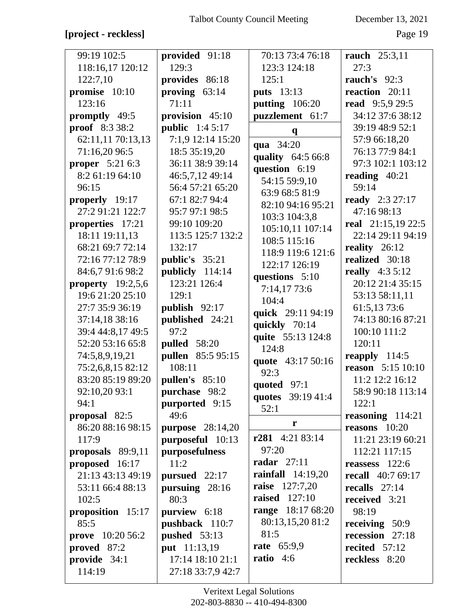## **[project - reckless]** Page 19

| 99:19 102:5            | provided 91:18          | 70:13 73:4 76:18          | <b>rauch</b> 25:3,11     |
|------------------------|-------------------------|---------------------------|--------------------------|
| 118:16,17 120:12       | 129:3                   | 123:3 124:18              | 27:3                     |
| 122:7,10               | provides 86:18          | 125:1                     | rauch's 92:3             |
| promise 10:10          | proving $63:14$         | <b>puts</b> 13:13         | reaction 20:11           |
| 123:16                 | 71:11                   | <b>putting</b> 106:20     | <b>read</b> 9:5,9 29:5   |
| promptly 49:5          | provision 45:10         | puzzlement 61:7           | 34:12 37:6 38:12         |
| <b>proof</b> $8:333:2$ | <b>public</b> $1:45:17$ |                           | 39:19 48:9 52:1          |
| 62:11,11 70:13,13      | 7:1,9 12:14 15:20       | $\mathbf{q}$              | 57:9 66:18,20            |
| 71:16,20 96:5          | 18:5 35:19,20           | qua 34:20                 | 76:13 77:9 84:1          |
| <b>proper</b> 5:21 6:3 | 36:11 38:9 39:14        | quality 64:5 66:8         | 97:3 102:1 103:12        |
| 8:2 61:19 64:10        | 46:5,7,12 49:14         | question 6:19             | reading $40:21$          |
| 96:15                  | 56:4 57:21 65:20        | 54:15 59:9,10             | 59:14                    |
| properly 19:17         | 67:1 82:7 94:4          | 63:9 68:5 81:9            | <b>ready</b> 2:3 27:17   |
| 27:2 91:21 122:7       | 95:7 97:1 98:5          | 82:10 94:16 95:21         | 47:16 98:13              |
| properties 17:21       | 99:10 109:20            | 103:3 104:3,8             | real $21:15,1922:5$      |
| 18:11 19:11,13         | 113:5 125:7 132:2       | 105:10,11 107:14          | 22:14 29:11 94:19        |
| 68:21 69:7 72:14       | 132:17                  | 108:5 115:16              | reality $26:12$          |
| 72:16 77:12 78:9       | public's 35:21          | 118:9 119:6 121:6         | realized 30:18           |
| 84:6,7 91:6 98:2       | publicly 114:14         | 122:17 126:19             | <b>really</b> 4:3 5:12   |
| property $19:2,5,6$    | 123:21 126:4            | questions 5:10            | 20:12 21:4 35:15         |
| 19:6 21:20 25:10       | 129:1                   | 7:14,17 73:6              | 53:13 58:11,11           |
| 27:7 35:9 36:19        | publish 92:17           | 104:4                     | 61:5,13 73:6             |
| 37:14,18 38:16         | published 24:21         | quick 29:11 94:19         | 74:13 80:16 87:21        |
| 39:4 44:8,17 49:5      | 97:2                    | quickly 70:14             | 100:10 111:2             |
| 52:20 53:16 65:8       | <b>pulled</b> 58:20     | quite 55:13 124:8         | 120:11                   |
| 74:5,8,9,19,21         | pullen 85:5 95:15       | 124:8                     | reapply $114:5$          |
| 75:2,6,8,15 82:12      | 108:11                  | quote 43:17 50:16<br>92:3 | <b>reason</b> 5:15 10:10 |
| 83:20 85:19 89:20      | <b>pullen's</b> 85:10   |                           | 11:2 12:2 16:12          |
| 92:10,20 93:1          | purchase 98:2           | quoted $97:1$             | 58:9 90:18 113:14        |
| 94:1                   | purported 9:15          | quotes 39:19 41:4<br>52:1 | 122:1                    |
| proposal 82:5          | 49:6                    |                           | reasoning $114:21$       |
| 86:20 88:16 98:15      | <b>purpose</b> 28:14,20 | r                         | reasons $10:20$          |
| 117:9                  | purposeful 10:13        | r281 4:21 83:14           | 11:21 23:19 60:21        |
| proposals $89:9,11$    | purposefulness          | 97:20                     | 112:21 117:15            |
| proposed 16:17         | 11:2                    | <b>radar</b> 27:11        | reassess $122:6$         |
| 21:13 43:13 49:19      | pursued $22:17$         | rainfall $14:19,20$       | <b>recall</b> 40:7 69:17 |
| 53:11 66:4 88:13       | pursuing $28:16$        | <b>raise</b> 127:7,20     | recalls $27:14$          |
| 102:5                  | 80:3                    | <b>raised</b> 127:10      | received 3:21            |
| proposition 15:17      | purview 6:18            | <b>range</b> 18:17 68:20  | 98:19                    |
| 85:5                   | pushback 110:7          | 80:13,15,20 81:2          | receiving $50:9$         |
| prove 10:20 56:2       | pushed 53:13            | 81:5                      | recession 27:18          |
| proved 87:2            | put 11:13,19            | <b>rate</b> 65:9,9        | recited 57:12            |
| provide 34:1           | 17:14 18:10 21:1        | ratio $4:6$               | reckless 8:20            |
| 114:19                 | 27:18 33:7,9 42:7       |                           |                          |
|                        |                         |                           |                          |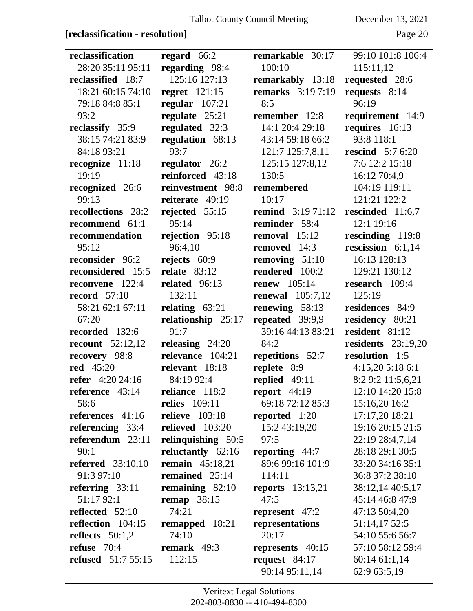#### **[reclassification - resolution]** Page 20

| reclassification          | regard $66:2$          | remarkable 30:17         | 99:10 101:8 106:4       |
|---------------------------|------------------------|--------------------------|-------------------------|
| 28:20 35:11 95:11         | regarding 98:4         | 100:10                   | 115:11,12               |
| reclassified 18:7         | 125:16 127:13          | remarkably 13:18         | requested 28:6          |
| 18:21 60:15 74:10         | regret $121:15$        | <b>remarks</b> 3:19 7:19 | requests 8:14           |
| 79:18 84:8 85:1           | regular $107:21$       | 8:5                      | 96:19                   |
| 93:2                      | regulate 25:21         | remember 12:8            | requirement 14:9        |
| reclassify 35:9           | regulated 32:3         | 14:1 20:4 29:18          | requires 16:13          |
| 38:15 74:21 83:9          | regulation 68:13       | 43:14 59:18 66:2         | 93:8 118:1              |
| 84:18 93:21               | 93:7                   | 121:7 125:7,8,11         | <b>rescind</b> 5:7 6:20 |
| recognize 11:18           | regulator 26:2         | 125:15 127:8,12          | 7:6 12:2 15:18          |
| 19:19                     | reinforced 43:18       | 130:5                    | 16:12 70:4,9            |
| recognized 26:6           | reinvestment 98:8      | remembered               | 104:19 119:11           |
| 99:13                     | reiterate 49:19        | 10:17                    | 121:21 122:2            |
| recollections 28:2        | rejected $55:15$       | <b>remind</b> 3:19 71:12 | rescinded 11:6,7        |
| recommend 61:1            | 95:14                  | reminder 58:4            | 12:1 19:16              |
| recommendation            | rejection 95:18        | removal $15:12$          | rescinding 119:8        |
| 95:12                     | 96:4,10                | removed 14:3             | rescission 6:1,14       |
| reconsider 96:2           | rejects 60:9           | removing $51:10$         | 16:13 128:13            |
| reconsidered 15:5         | relate $83:12$         | rendered 100:2           | 129:21 130:12           |
| reconvene 122:4           | related 96:13          | <b>renew</b> 105:14      | research 109:4          |
| record $57:10$            | 132:11                 | renewal $105:7,12$       | 125:19                  |
| 58:21 62:1 67:11          | relating $63:21$       | renewing 58:13           | residences 84:9         |
| 67:20                     | relationship 25:17     | repeated 39:9,9          | residency 80:21         |
| recorded 132:6            | 91:7                   | 39:16 44:13 83:21        | resident 81:12          |
| recount $52:12,12$        | releasing $24:20$      | 84:2                     | residents $23:19,20$    |
| recovery 98:8             | relevance 104:21       | repetitions 52:7         | resolution 1:5          |
| <b>red</b> 45:20          | relevant 18:18         | replete 8:9              | 4:15,205:186:1          |
| <b>refer</b> 4:20 24:16   | 84:19 92:4             | replied 49:11            | 8:2 9:2 11:5,6,21       |
| reference 43:14           | reliance 118:2         | report $44:19$           | 12:10 14:20 15:8        |
| 58:6                      | <b>relies</b> 109:11   | 69:18 72:12 85:3         | 15:16,20 16:2           |
| references 41:16          | <b>relieve</b> 103:18  | reported 1:20            | 17:17,20 18:21          |
| referencing $33:4$        | relieved 103:20        | 15:2 43:19,20            | 19:16 20:15 21:5        |
| referendum 23:11          | relinquishing 50:5     | 97:5                     | 22:19 28:4,7,14         |
| 90:1                      | reluctantly 62:16      | <b>reporting</b> 44:7    | 28:18 29:1 30:5         |
| <b>referred</b> 33:10,10  | <b>remain</b> 45:18,21 | 89:6 99:16 101:9         | 33:20 34:16 35:1        |
| 91:3 97:10                | remained 25:14         | 114:11                   | 36:8 37:2 38:10         |
| referring $33:11$         | remaining $82:10$      | reports $13:13,21$       | 38:12,14 40:5,17        |
| 51:17 92:1                | remap $38:15$          | 47:5                     | 45:14 46:8 47:9         |
| reflected $52:10$         | 74:21                  | represent $47:2$         | 47:13 50:4,20           |
| reflection 104:15         | remapped 18:21         | representations          | 51:14,17 52:5           |
| reflects $50:1,2$         | 74:10                  | 20:17                    | 54:10 55:6 56:7         |
| refuse 70:4               | remark $49:3$          | represents 40:15         | 57:10 58:12 59:4        |
| <b>refused</b> 51:7 55:15 | 112:15                 | request $84:17$          | 60:1461:1,14            |
|                           |                        | 90:14 95:11,14           | 62:9 63:5,19            |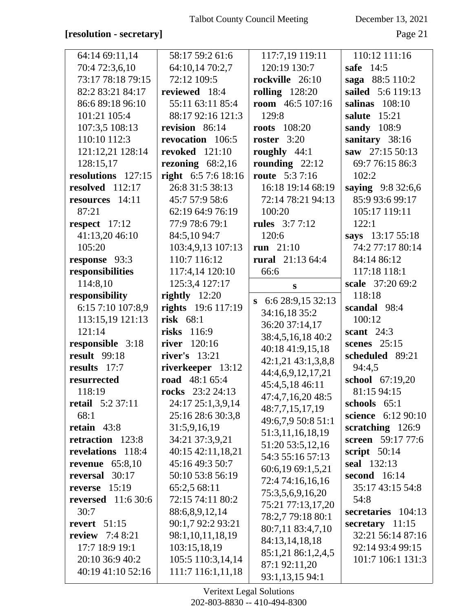#### **[resolution - secretary]** Page 21

| 64:14 69:11,14          | 58:17 59:2 61:6           | 117:7,19 119:11        | 110:12 111:16      |
|-------------------------|---------------------------|------------------------|--------------------|
| 70:4 72:3,6,10          | 64:10,14 70:2,7           | 120:19 130:7           | safe 14:5          |
| 73:17 78:18 79:15       | 72:12 109:5               | rockville 26:10        | saga 88:5 110:2    |
| 82:2 83:21 84:17        | reviewed 18:4             | rolling $128:20$       | sailed 5:6 119:13  |
| 86:6 89:18 96:10        | 55:11 63:11 85:4          | room $46:5 107:16$     | salinas $108:10$   |
|                         |                           |                        |                    |
| 101:21 105:4            | 88:17 92:16 121:3         | 129:8                  | salute 15:21       |
| 107:3,5 108:13          | revision 86:14            | <b>roots</b> 108:20    | sandy 108:9        |
| 110:10 112:3            | revocation 106:5          | roster $3:20$          | sanitary 38:16     |
| 121:12,21 128:14        | revoked $121:10$          | roughly $44:1$         | saw 27:15 50:13    |
| 128:15,17               | rezoning $68:2,16$        | rounding $22:12$       | 69:7 76:15 86:3    |
| resolutions 127:15      | right 6:5 7:6 18:16       | <b>route</b> 5:3 7:16  | 102:2              |
| resolved $112:17$       | 26:8 31:5 38:13           | 16:18 19:14 68:19      | saying 9:8 32:6,6  |
| resources 14:11         | 45:7 57:9 58:6            | 72:14 78:21 94:13      | 85:9 93:6 99:17    |
| 87:21                   | 62:19 64:9 76:19          | 100:20                 | 105:17 119:11      |
| respect $17:12$         | 77:9 78:6 79:1            | <b>rules</b> 3:7 7:12  | 122:1              |
| 41:13,20 46:10          | 84:5,10 94:7              | 120:6                  | says 13:17 55:18   |
| 105:20                  | 103:4,9,13 107:13         | run $21:10$            | 74:2 77:17 80:14   |
| response 93:3           | 110:7 116:12              | rural 21:13 64:4       | 84:14 86:12        |
| responsibilities        | 117:4,14 120:10           | 66:6                   | 117:18 118:1       |
| 114:8,10                | 125:3,4 127:17            | S                      | scale 37:20 69:2   |
| responsibility          | rightly $12:20$           | $\,$ 6:6 28:9,15 32:13 | 118:18             |
| 6:15 7:10 107:8,9       | <b>rights</b> 19:6 117:19 | 34:16,18 35:2          | scandal 98:4       |
| 113:15,19 121:13        | risk $68:1$               |                        | 100:12             |
| 121:14                  | <b>risks</b> 116:9        | 36:20 37:14,17         | scant $24:3$       |
| responsible 3:18        | river 120:16              | 38:4,5,16,18 40:2      | scenes $25:15$     |
| <b>result</b> 99:18     | river's $13:21$           | 40:18 41:9,15,18       | scheduled 89:21    |
| results 17:7            | riverkeeper 13:12         | 42:1,21 43:1,3,8,8     | 94:4,5             |
| resurrected             | road 48:1 65:4            | 44:4,6,9,12,17,21      | school 67:19,20    |
| 118:19                  | rocks 23:2 24:13          | 45:4,5,18 46:11        | 81:15 94:15        |
| <b>retail</b> 5:2 37:11 | 24:17 25:1,3,9,14         | 47:4,7,16,20 48:5      | schools 65:1       |
| 68:1                    | 25:16 28:6 30:3,8         | 48:7,7,15,17,19        | science 6:12 90:10 |
|                         |                           | 49:6,7,9 50:8 51:1     |                    |
| retain 43:8             | 31:5,9,16,19              | 51:3,11,16,18,19       | scratching $126:9$ |
| retraction 123:8        | 34:21 37:3,9,21           | 51:20 53:5,12,16       | screen 59:17 77:6  |
| revelations 118:4       | 40:15 42:11,18,21         | 54:3 55:16 57:13       | script $50:14$     |
| revenue $65:8,10$       | 45:16 49:3 50:7           | 60:6,19 69:1,5,21      | seal 132:13        |
| reversal 30:17          | 50:10 53:8 56:19          | 72:4 74:16,16,16       | second 16:14       |
| 15:19<br>reverse        | 65:2,5 68:11              | 75:3,5,6,9,16,20       | 35:17 43:15 54:8   |
| reversed $11:630:6$     | 72:15 74:11 80:2          | 75:21 77:13,17,20      | 54:8               |
| 30:7                    | 88:6,8,9,12,14            | 78:2,7 79:18 80:1      | secretaries 104:13 |
| revert $51:15$          | 90:1,7 92:2 93:21         | 80:7,11 83:4,7,10      | secretary $11:15$  |
| <b>review</b> $7:48:21$ | 98:1,10,11,18,19          |                        | 32:21 56:14 87:16  |
| 17:7 18:9 19:1          | 103:15,18,19              | 84:13,14,18,18         | 92:14 93:4 99:15   |
| 20:10 36:9 40:2         | 105:5 110:3,14,14         | 85:1,21 86:1,2,4,5     | 101:7 106:1 131:3  |
| 40:19 41:10 52:16       | 111:7 116:1,11,18         | 87:1 92:11,20          |                    |
|                         |                           | 93:1,13,15 94:1        |                    |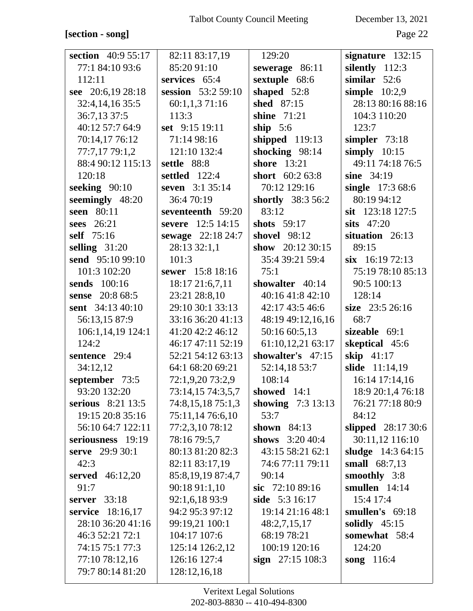## **[section - song]** Page 22

| section 40:9 55:17 | 82:11 83:17,19       | 129:20                   | signature 132:15   |
|--------------------|----------------------|--------------------------|--------------------|
| 77:1 84:10 93:6    | 85:20 91:10          | sewerage 86:11           | silently 112:3     |
| 112:11             | services 65:4        | sextuple 68:6            | similar $52:6$     |
| see 20:6,19 28:18  | session 53:2 59:10   | shaped 52:8              | simple $10:2,9$    |
| 32:4, 14, 16 35:5  | 60:1,1,3 71:16       | shed 87:15               | 28:13 80:16 88:16  |
| 36:7,13 37:5       | 113:3                | shine 71:21              | 104:3 110:20       |
| 40:12 57:7 64:9    | set 9:15 19:11       | ship $5:6$               | 123:7              |
| 70:14,1776:12      | 71:14 98:16          | shipped 119:13           | simpler $73:18$    |
| 77:7,17 79:1,2     | 121:10 132:4         | shocking 98:14           | simply $10:15$     |
| 88:4 90:12 115:13  | settle 88:8          | shore 13:21              | 49:11 74:18 76:5   |
| 120:18             | <b>settled</b> 122:4 | short $60:263:8$         | sine $34:19$       |
| seeking $90:10$    | seven 3:1 35:14      | 70:12 129:16             | single 17:3 68:6   |
| seemingly 48:20    | 36:470:19            | <b>shortly</b> 38:3 56:2 | 80:19 94:12        |
| seen 80:11         | seventeenth 59:20    | 83:12                    | sit 123:18 127:5   |
| sees 26:21         | severe 12:5 14:15    | shots 59:17              | sits $47:20$       |
| self 75:16         | sewage 22:18 24:7    | <b>shovel</b> 98:12      | situation 26:13    |
| selling $31:20$    | 28:13 32:1,1         | show $20:1230:15$        | 89:15              |
| send 95:10 99:10   | 101:3                | 35:4 39:21 59:4          | $six$ 16:19 72:13  |
| 101:3 102:20       | sewer 15:8 18:16     | 75:1                     | 75:19 78:10 85:13  |
| sends 100:16       | 18:17 21:6,7,11      | showalter 40:14          | 90:5 100:13        |
| sense 20:8 68:5    | 23:21 28:8,10        | 40:16 41:8 42:10         | 128:14             |
| sent 34:13 40:10   | 29:10 30:1 33:13     | 42:17 43:5 46:6          | size 23:5 26:16    |
| 56:13,15 87:9      | 33:16 36:20 41:13    | 48:19 49:12,16,16        | 68:7               |
| 106:1,14,19 124:1  | 41:20 42:2 46:12     | 50:16 60:5,13            | sizeable $69:1$    |
| 124:2              | 46:17 47:11 52:19    | 61:10,12,21 63:17        | skeptical 45:6     |
| sentence 29:4      | 52:21 54:12 63:13    | showalter's 47:15        | skip $41:17$       |
| 34:12,12           | 64:1 68:20 69:21     | 52:14,18 53:7            | slide 11:14,19     |
| september 73:5     | 72:1,9,20 73:2,9     | 108:14                   | 16:14 17:14,16     |
| 93:20 132:20       | 73:14,15 74:3,5,7    | showed $14:1$            | 18:9 20:1,4 76:18  |
| serious 8:21 13:5  | 74:8,15,18 75:1,3    | showing $7:3 13:13$      | 76:21 77:18 80:9   |
| 19:15 20:8 35:16   | 75:11,14 76:6,10     | 53:7                     | 84:12              |
| 56:10 64:7 122:11  | 77:2,3,10 78:12      | shown $84:13$            | slipped 28:17 30:6 |
| seriousness 19:19  | 78:16 79:5,7         | shows 3:20 40:4          | 30:11,12 116:10    |
| serve 29:9 30:1    | 80:13 81:20 82:3     | 43:15 58:21 62:1         | sludge 14:3 64:15  |
| 42:3               | 82:11 83:17,19       | 74:6 77:11 79:11         | small 68:7,13      |
| served $46:12,20$  | 85:8,19,19 87:4,7    | 90:14                    | smoothly 3:8       |
| 91:7               | 90:18 91:1,10        | sic $72:1089:16$         | smullen $14:14$    |
| 33:18<br>server    | 92:1,6,18 93:9       | side 5:3 16:17           | 15:4 17:4          |
| service 18:16,17   | 94:2 95:3 97:12      | 19:14 21:16 48:1         | smullen's 69:18    |
| 28:10 36:20 41:16  | 99:19,21 100:1       | 48:2,7,15,17             | solidly $45:15$    |
| 46:3 52:21 72:1    | 104:17 107:6         | 68:19 78:21              | somewhat 58:4      |
| 74:15 75:1 77:3    | 125:14 126:2,12      | 100:19 120:16            | 124:20             |
| 77:10 78:12,16     | 126:16 127:4         | sign $27:15108:3$        | song $116:4$       |
| 79:7 80:14 81:20   | 128:12,16,18         |                          |                    |
|                    |                      |                          |                    |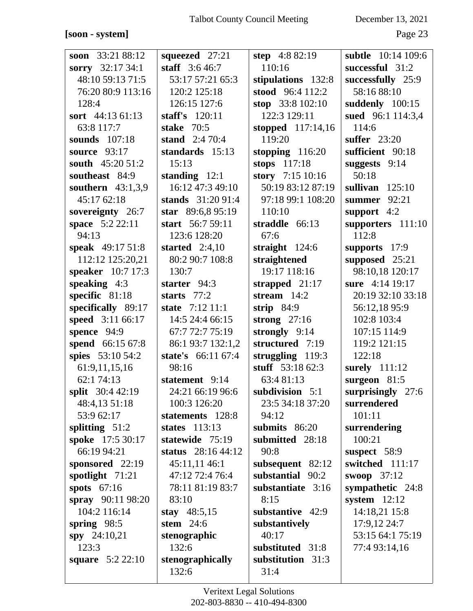#### **[soon - system]** Page 23

| soon 33:21 88:12          | squeezed 27:21      | step $4:882:19$    | <b>subtle</b> 10:14 109:6 |
|---------------------------|---------------------|--------------------|---------------------------|
| sorry $32:1734:1$         | staff $3:646:7$     | 110:16             | successful 31:2           |
| 48:10 59:13 71:5          | 53:17 57:21 65:3    | stipulations 132:8 | successfully 25:9         |
| 76:20 80:9 113:16         | 120:2 125:18        | stood 96:4 112:2   | 58:16 88:10               |
| 128:4                     | 126:15 127:6        | stop 33:8 102:10   | suddenly 100:15           |
| sort 44:13 61:13          | staff's $120:11$    | 122:3 129:11       | sued 96:1 114:3,4         |
| 63:8 117:7                | stake $70:5$        | stopped 117:14,16  | 114:6                     |
| <b>sounds</b> 107:18      | stand $2:470:4$     | 119:20             | <b>suffer</b> 23:20       |
| source 93:17              | standards 15:13     | stopping 116:20    | sufficient 90:18          |
| south 45:20 51:2          | 15:13               | stops 117:18       | suggests 9:14             |
| southeast 84:9            | standing $12:1$     | story 7:15 10:16   | 50:18                     |
| southern $43:1,3,9$       | 16:12 47:3 49:10    | 50:19 83:12 87:19  | sullivan $125:10$         |
| 45:17 62:18               | stands 31:20 91:4   | 97:18 99:1 108:20  | summer 92:21              |
| sovereignty 26:7          | star 89:6,8 95:19   | 110:10             | support 4:2               |
| space 5:2 22:11           | start 56:7 59:11    | straddle 66:13     | supporters 111:10         |
| 94:13                     | 123:6 128:20        | 67:6               | 112:8                     |
| speak 49:17 51:8          | started $2:4,10$    | straight $124:6$   | supports 17:9             |
| 112:12 125:20,21          | 80:2 90:7 108:8     | straightened       | supposed 25:21            |
| speaker 10:7 17:3         | 130:7               | 19:17 118:16       | 98:10,18 120:17           |
| speaking $4:3$            | starter 94:3        | strapped 21:17     | sure 4:14 19:17           |
| specific 81:18            | starts $77:2$       | stream $14:2$      | 20:19 32:10 33:18         |
| specifically 89:17        | state 7:12 11:1     | strip $84:9$       | 56:12,18 95:9             |
| speed 3:11 66:17          | 14:5 24:4 66:15     | strong $27:16$     | 102:8 103:4               |
| spence 94:9               | 67:7 72:7 75:19     | strongly 9:14      | 107:15 114:9              |
| spend 66:15 67:8          | 86:1 93:7 132:1,2   | structured 7:19    | 119:2 121:15              |
| spies 53:10 54:2          | state's 66:11 67:4  | struggling $119:3$ | 122:18                    |
| 61:9,11,15,16             | 98:16               | stuff 53:18 62:3   | surely 111:12             |
| 62:1 74:13                | statement 9:14      | 63:4 81:13         | surgeon 81:5              |
| split 30:4 42:19          | 24:21 66:19 96:6    | subdivision 5:1    | surprisingly 27:6         |
| 48:4,13 51:18             | 100:3 126:20        | 23:5 34:18 37:20   | surrendered               |
| 53:9 62:17                | statements 128:8    | 94:12              | 101:11                    |
| splitting $51:2$          | states $113:13$     | submits $86:20$    | surrendering              |
| spoke 17:5 30:17          | statewide 75:19     | submitted 28:18    | 100:21                    |
| 66:19 94:21               | status $28:1644:12$ | 90:8               | suspect 58:9              |
| sponsored 22:19           | 45:11,11 46:1       | subsequent 82:12   | switched 111:17           |
| spotlight 71:21           | 47:12 72:4 76:4     | substantial 90:2   | swoop $37:12$             |
| spots $67:16$             | 78:11 81:19 83:7    | substantiate 3:16  | sympathetic 24:8          |
| spray 90:11 98:20         | 83:10               | 8:15               | system $12:12$            |
| 104:2 116:14              | stay $48:5,15$      | substantive 42:9   | 14:18,21 15:8             |
| spring $98:5$             | stem $24:6$         | substantively      | 17:9,12 24:7              |
| spy 24:10,21              | stenographic        | 40:17              | 53:15 64:1 75:19          |
| 123:3                     | 132:6               | substituted 31:8   | 77:4 93:14,16             |
| <b>square</b> $5:2 22:10$ | stenographically    | substitution 31:3  |                           |
|                           | 132:6               | 31:4               |                           |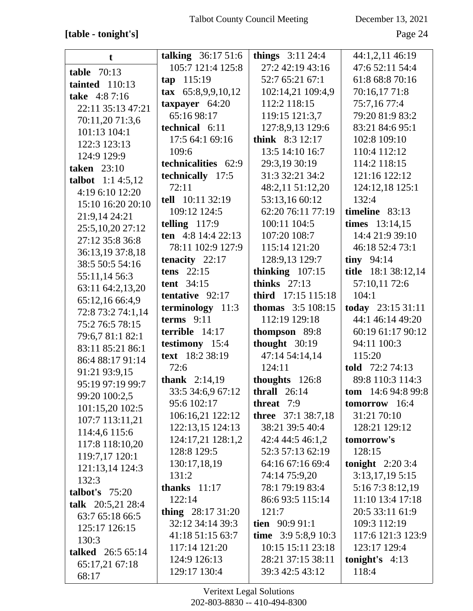## **[table - tonight's]** Page 24

| t                         | talking 36:17 51:6            | things $3:11\,24:4$        | 44:1,2,11 46:19     |
|---------------------------|-------------------------------|----------------------------|---------------------|
| <b>table</b> 70:13        | 105:7 121:4 125:8             | 27:2 42:19 43:16           | 47:6 52:11 54:4     |
| tainted $110:13$          | 115:19<br>tap                 | 52:7 65:21 67:1            | 61:8 68:8 70:16     |
| take 4:87:16              | $\textbf{tax}$ 65:8,9,9,10,12 | 102:14,21 109:4,9          | 70:16,17 71:8       |
| 22:11 35:13 47:21         | taxpayer $64:20$              | 112:2 118:15               | 75:7,16 77:4        |
| 70:11,20 71:3,6           | 65:16 98:17                   | 119:15 121:3,7             | 79:20 81:9 83:2     |
| 101:13 104:1              | technical 6:11                | 127:8,9,13 129:6           | 83:21 84:6 95:1     |
|                           | 17:5 64:1 69:16               | think 8:3 12:17            | 102:8 109:10        |
| 122:3 123:13              | 109:6                         | 13:5 14:10 16:7            | 110:4 112:12        |
| 124:9 129:9               | technicalities 62:9           | 29:3,19 30:19              | 114:2 118:15        |
| <b>taken</b> 23:10        | technically 17:5              | 31:3 32:21 34:2            | 121:16 122:12       |
| <b>talbot</b> $1:14:5,12$ | 72:11                         | 48:2,11 51:12,20           | 124:12,18 125:1     |
| 4:19 6:10 12:20           | tell 10:11 32:19              | 53:13,16 60:12             | 132:4               |
| 15:10 16:20 20:10         | 109:12 124:5                  | 62:20 76:11 77:19          | timeline $83:13$    |
| 21:9,14 24:21             | telling $117:9$               | 100:11 104:5               | times 13:14,15      |
| 25:5,10,20 27:12          | ten $4:8$ 14:4 22:13          | 107:20 108:7               | 14:4 21:9 39:10     |
| 27:12 35:8 36:8           |                               |                            |                     |
| 36:13,19 37:8,18          | 78:11 102:9 127:9             | 115:14 121:20              | 46:18 52:4 73:1     |
| 38:5 50:5 54:16           | tenacity $22:17$              | 128:9,13 129:7             | tiny $94:14$        |
| 55:11,14 56:3             | tens $22:15$                  | thinking $107:15$          | title 18:1 38:12,14 |
| 63:11 64:2,13,20          | tent $34:15$                  | thinks $27:13$             | 57:10,11 72:6       |
| 65:12,16 66:4,9           | tentative 92:17               | third 17:15 115:18         | 104:1               |
| 72:8 73:2 74:1,14         | terminology 11:3              | <b>thomas</b> $3:5 108:15$ | today 23:15 31:11   |
| 75:2 76:5 78:15           | terms $9:11$                  | 112:19 129:18              | 44:1 46:14 49:20    |
| 79:6,7 81:1 82:1          | terrible $14:17$              | thompson 89:8              | 60:19 61:17 90:12   |
| 83:11 85:21 86:1          | testimony 15:4                | thought 30:19              | 94:11 100:3         |
| 86:4 88:17 91:14          | text 18:2 38:19               | 47:14 54:14,14             | 115:20              |
| 91:21 93:9,15             | 72:6                          | 124:11                     | told 72:2 74:13     |
| 95:19 97:19 99:7          | <b>thank</b> $2:14,19$        | thoughts 126:8             | 89:8 110:3 114:3    |
| 99:20 100:2,5             | 33:5 34:6,9 67:12             | thrall $26:14$             | tom $14:694:899:8$  |
| 101:15,20 102:5           | 95:6 102:17                   | threat 7:9                 | tomorrow 16:4       |
| 107:7 113:11,21           | 106:16,21 122:12              | <b>three</b> 37:1 38:7,18  | 31:21 70:10         |
| 114:4,6 115:6             | 122:13,15 124:13              | 38:21 39:5 40:4            | 128:21 129:12       |
| 117:8 118:10,20           | 124:17,21 128:1,2             | 42:4 44:5 46:1,2           | tomorrow's          |
| 119:7,17 120:1            | 128:8 129:5                   | 52:3 57:13 62:19           | 128:15              |
| 121:13,14 124:3           | 130:17,18,19                  | 64:16 67:16 69:4           | tonight $2:203:4$   |
| 132:3                     | 131:2                         | 74:14 75:9,20              | 3:13,17,195:15      |
| talbot's $75:20$          | thanks $11:17$                | 78:1 79:19 83:4            | 5:16 7:3 8:12,19    |
| talk 20:5,21 28:4         | 122:14                        | 86:6 93:5 115:14           | 11:10 13:4 17:18    |
| 63:7 65:18 66:5           | thing 28:17 31:20             | 121:7                      | 20:5 33:11 61:9     |
| 125:17 126:15             | 32:12 34:14 39:3              | tien $90:991:1$            | 109:3 112:19        |
| 130:3                     | 41:18 51:15 63:7              | time $3:95:8,910:3$        | 117:6 121:3 123:9   |
| talked 26:5 65:14         | 117:14 121:20                 | 10:15 15:11 23:18          | 123:17 129:4        |
| 65:17,21 67:18            | 124:9 126:13                  | 28:21 37:15 38:11          | tonight's $4:13$    |
| 68:17                     | 129:17 130:4                  | 39:3 42:5 43:12            | 118:4               |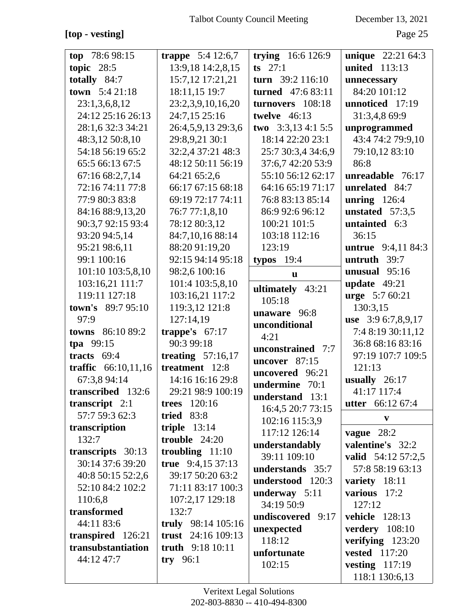**[top - vesting]** Page 25

| top $78:698:15$        | trappe $5:4$ 12:6,7 | trying $16:6 126:9$      | <b>unique</b> 22:21 64:3  |
|------------------------|---------------------|--------------------------|---------------------------|
| topic $28:5$           | 13:9,18 14:2,8,15   | $ts$ 27:1                | <b>united</b> 113:13      |
| totally $84:7$         | 15:7,12 17:21,21    | turn 39:2 116:10         | unnecessary               |
| <b>town</b> $5:421:18$ | 18:11,15 19:7       | <b>turned</b> 47:6 83:11 | 84:20 101:12              |
| 23:1,3,6,8,12          | 23:2,3,9,10,16,20   | turnovers 108:18         | unnoticed 17:19           |
| 24:12 25:16 26:13      | 24:7,15 25:16       | twelve $46:13$           | 31:3,4,8 69:9             |
| 28:1,6 32:3 34:21      | 26:4,5,9,13 29:3,6  | two $3:3,134:15:5$       | unprogrammed              |
| 48:3,12 50:8,10        | 29:8,9,21 30:1      | 18:14 22:20 23:1         | 43:4 74:2 79:9,10         |
| 54:18 56:19 65:2       | 32:2,4 37:21 48:3   | 25:7 30:3,4 34:6,9       | 79:10,12 83:10            |
| 65:5 66:13 67:5        | 48:12 50:11 56:19   | 37:6,7 42:20 53:9        | 86:8                      |
| 67:16 68:2,7,14        | 64:21 65:2,6        | 55:10 56:12 62:17        | unreadable 76:17          |
| 72:16 74:11 77:8       | 66:17 67:15 68:18   | 64:16 65:19 71:17        | unrelated 84:7            |
| 77:9 80:3 83:8         | 69:19 72:17 74:11   | 76:8 83:13 85:14         | unring $126:4$            |
| 84:16 88:9,13,20       | 76:7 77:1,8,10      | 86:9 92:6 96:12          | unstated $57:3.5$         |
| 90:3,7 92:15 93:4      | 78:12 80:3,12       | 100:21 101:5             | untainted 6:3             |
| 93:20 94:5,14          | 84:7,10,16 88:14    | 103:18 112:16            | 36:15                     |
| 95:21 98:6,11          | 88:20 91:19,20      | 123:19                   | <b>untrue</b> 9:4,11 84:3 |
| 99:1 100:16            | 92:15 94:14 95:18   | typos $19:4$             | untruth 39:7              |
| 101:10 103:5,8,10      | 98:2,6 100:16       | u                        | unusual $95:16$           |
| 103:16,21 111:7        | 101:4 103:5,8,10    | ultimately 43:21         | update $49:21$            |
| 119:11 127:18          | 103:16,21 117:2     | 105:18                   | <b>urge</b> 5:7 60:21     |
| town's 89:7 95:10      | 119:3,12 121:8      | unaware 96:8             | 130:3,15                  |
| 97:9                   | 127:14,19           | unconditional            | use 3:9 6:7,8,9,17        |
| towns 86:10 89:2       | trappe's $67:17$    | 4:21                     | 7:4 8:19 30:11,12         |
| tpa $99:15$            | 90:3 99:18          | unconstrained 7:7        | 36:8 68:16 83:16          |
| tracts $69:4$          | treating $57:16,17$ | uncover 87:15            | 97:19 107:7 109:5         |
| traffic $66:10,11,16$  | treatment 12:8      | uncovered 96:21          | 121:13                    |
| 67:3,8 94:14           | 14:16 16:16 29:8    | undermine 70:1           | usually $26:17$           |
| transcribed 132:6      | 29:21 98:9 100:19   | understand 13:1          | 41:17 117:4               |
| transcript $2:1$       | <b>trees</b> 120:16 | 16:4,5 20:7 73:15        | <b>utter</b> $66:1267:4$  |
| 57:7 59:3 62:3         | <b>tried</b> 83:8   | 102:16 115:3,9           | $\mathbf{v}$              |
| transcription          | triple $13:14$      | 117:12 126:14            | vague $28:2$              |
| 132:7                  | trouble $24:20$     | understandably           | valentine's 32:2          |
| transcripts 30:13      | troubling $11:10$   | 39:11 109:10             | valid $54:12\,57:2,5$     |
| 30:14 37:6 39:20       | true 9:4,15 37:13   | understands 35:7         | 57:8 58:19 63:13          |
| 40:8 50:15 52:2,6      | 39:17 50:20 63:2    | understood 120:3         | variety 18:11             |
| 52:10 84:2 102:2       | 71:11 83:17 100:3   | underway $5:11$          | various 17:2              |
| 110:6,8                | 107:2,17 129:18     | 34:19 50:9               | 127:12                    |
| transformed            | 132:7               | undiscovered 9:17        | <b>vehicle</b> 128:13     |
| 44:11 83:6             | truly 98:14 105:16  | unexpected               | verdery 108:10            |
| transpired 126:21      | trust $24:16109:13$ | 118:12                   | verifying $123:20$        |
| transubstantiation     | truth 9:18 10:11    | unfortunate              | <b>vested</b> 117:20      |
| 44:12 47:7             | try $96:1$          | 102:15                   | vesting $117:19$          |
|                        |                     |                          | 118:1 130:6,13            |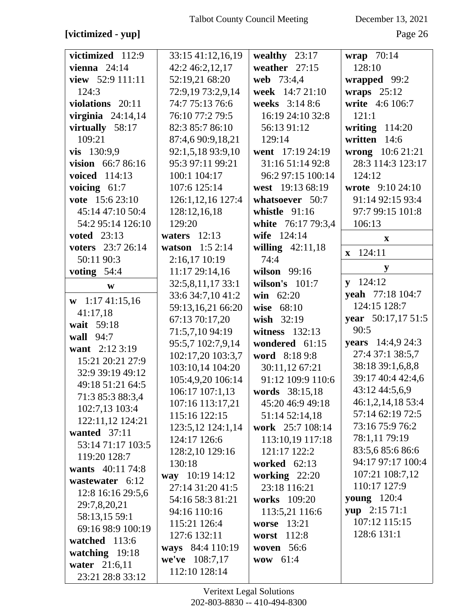## **[victimized - yup]** Page 26

| victimized 112:9    | 33:15 41:12,16,19 | wealthy $23:17$    | wrap 70:14             |
|---------------------|-------------------|--------------------|------------------------|
| vienna $24:14$      | 42:2 46:2,12,17   | weather $27:15$    | 128:10                 |
| view 52:9 111:11    | 52:19,21 68:20    | web 73:4,4         | wrapped 99:2           |
| 124:3               | 72:9,19 73:2,9,14 | week 14:7 21:10    | wraps $25:12$          |
| violations 20:11    | 74:7 75:13 76:6   | weeks 3:14 8:6     | write 4:6 106:7        |
| virginia $24:14,14$ | 76:10 77:2 79:5   | 16:19 24:10 32:8   | 121:1                  |
| virtually 58:17     | 82:3 85:7 86:10   | 56:13 91:12        | writing $114:20$       |
| 109:21              | 87:4,6 90:9,18,21 | 129:14             | written 14:6           |
| vis 130:9,9         | 92:1,5,18 93:9,10 | went 17:19 24:19   | wrong 10:6 21:21       |
| vision 66:7 86:16   | 95:3 97:11 99:21  | 31:16 51:14 92:8   | 28:3 114:3 123:17      |
| voiced 114:13       | 100:1 104:17      | 96:2 97:15 100:14  | 124:12                 |
| voicing $61:7$      | 107:6 125:14      | west 19:13 68:19   | wrote 9:10 24:10       |
| vote 15:6 23:10     | 126:1,12,16 127:4 | whatsoever 50:7    | 91:14 92:15 93:4       |
| 45:14 47:10 50:4    | 128:12,16,18      | whistle $91:16$    | 97:7 99:15 101:8       |
| 54:2 95:14 126:10   | 129:20            | white 76:17 79:3,4 | 106:13                 |
| <b>voted</b> 23:13  | waters $12:13$    | wife 124:14        | $\mathbf{X}$           |
| voters 23:7 26:14   | watson $1:52:14$  | willing $42:11,18$ | 124:11<br>$\mathbf{X}$ |
| 50:11 90:3          | 2:16,17 10:19     | 74:4               |                        |
| voting $54:4$       | 11:17 29:14,16    | wilson 99:16       | y                      |
| $\mathbf{W}$        | 32:5,8,11,17 33:1 | wilson's $101:7$   | $v$ 124:12             |
| $w$ 1:17 41:15,16   | 33:6 34:7,10 41:2 | <b>win</b> $62:20$ | yeah 77:18 104:7       |
| 41:17,18            | 59:13,16,21 66:20 | wise 68:10         | 124:15 128:7           |
| wait 59:18          | 67:13 70:17,20    | wish 32:19         | year 50:17,17 51:5     |
| wall 94:7           | 71:5,7,10 94:19   | witness 132:13     | 90:5                   |
| want 2:12 3:19      | 95:5,7 102:7,9,14 | wondered 61:15     | years 14:4,9 24:3      |
| 15:21 20:21 27:9    | 102:17,20 103:3,7 | word 8:18 9:8      | 27:4 37:1 38:5,7       |
| 32:9 39:19 49:12    | 103:10,14 104:20  | 30:11,12 67:21     | 38:18 39:1,6,8,8       |
| 49:18 51:21 64:5    | 105:4,9,20 106:14 | 91:12 109:9 110:6  | 39:17 40:4 42:4,6      |
| 71:3 85:3 88:3,4    | 106:17 107:1,13   | words 38:15,18     | 43:12 44:5,6,9         |
| 102:7,13 103:4      | 107:16 113:17,21  | 45:20 46:9 49:18   | 46:1,2,14,18 53:4      |
| 122:11,12 124:21    | 115:16 122:15     | 51:14 52:14,18     | 57:14 62:19 72:5       |
| wanted $37:11$      | 123:5,12 124:1,14 | work 25:7 108:14   | 73:16 75:9 76:2        |
| 53:14 71:17 103:5   | 124:17 126:6      | 113:10,19 117:18   | 78:1,11 79:19          |
| 119:20 128:7        | 128:2,10 129:16   | 121:17 122:2       | 83:5,685:686:6         |
| wants 40:11 74:8    | 130:18            | worked $62:13$     | 94:17 97:17 100:4      |
| wastewater 6:12     | way 10:19 14:12   | working 22:20      | 107:21 108:7,12        |
| 12:8 16:16 29:5,6   | 27:14 31:20 41:5  | 23:18 116:21       | 110:17 127:9           |
| 29:7,8,20,21        | 54:16 58:3 81:21  | works 109:20       | <b>young</b> 120:4     |
| 58:13,15 59:1       | 94:16 110:16      | 113:5,21 116:6     | yup 2:15 71:1          |
| 69:16 98:9 100:19   | 115:21 126:4      | worse 13:21        | 107:12 115:15          |
| watched 113:6       | 127:6 132:11      | worst 112:8        | 128:6 131:1            |
| watching 19:18      | ways 84:4 110:19  | woven 56:6         |                        |
| water 21:6,11       | we've 108:7,17    | wow 61:4           |                        |
| 23:21 28:8 33:12    | 112:10 128:14     |                    |                        |
|                     |                   |                    |                        |